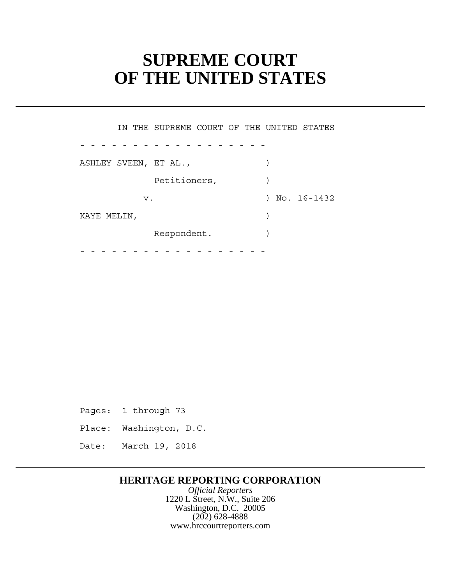# **SUPREME COURT OF THE UNITED STATES**

Petitioners,  $)$  Respondent. ) - - - - - - - - - - - - - - - - - - - - - - - - - - - - - - - - - - - - IN THE SUPREME COURT OF THE UNITED STATES ASHLEY SVEEN, ET AL., (1998) v. 16-1432 KAYE MELIN,  $\left( \right)$ 

Pages: 1 through 73

Place: Washington, D.C.

Date: March 19, 2018

# **HERITAGE REPORTING CORPORATION**

*Official Reporters* 1220 L Street, N.W., Suite 206 Washington, D.C. 20005 (202) 628-4888 www.hrccourtreporters.com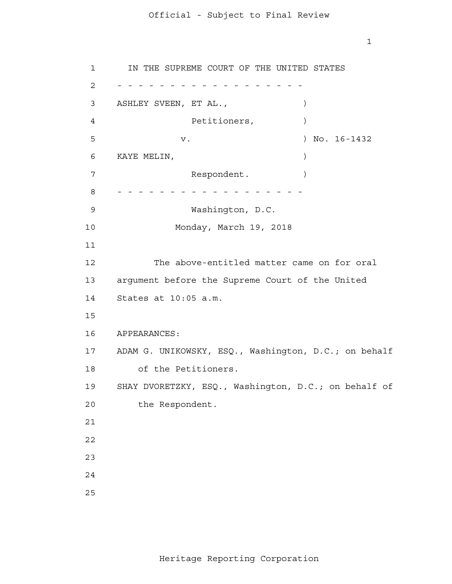1

KAYE MELIN, argument before the Supreme Court of the United States at 10:05 a.m. APPEARANCES: ADAM G. UNIKOWSKY, ESQ., Washington, D.C.; on behalf 1 2 - - - - - - - - - - - - - - - - - - 3 4 **5**  6 7 8 - - - - - - - - - - - - - - - - - - 9 10 11 12 13 14 15 16 17 18 19 20 21 22 23 24 25 IN THE SUPREME COURT OF THE UNITED STATES ASHLEY SVEEN, ET AL.,  $\qquad \qquad$ Petitioners,  $)$ v. ) No. 16-1432 Respondent. Washington, D.C. Monday, March 19, 2018 The above-entitled matter came on for oral of the Petitioners. SHAY DVORETZKY, ESQ., Washington, D.C.; on behalf of the Respondent.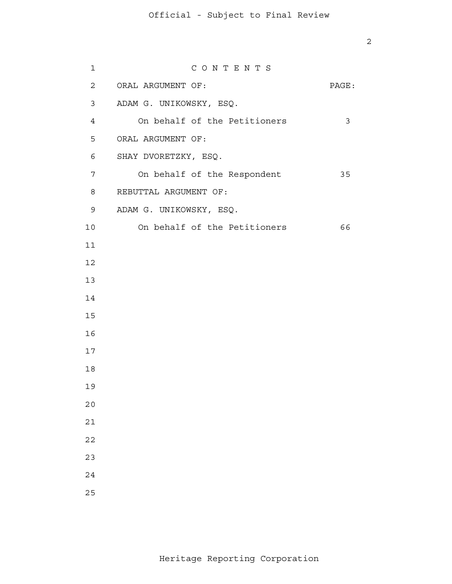| $\mathbf{1}$   | CONTENTS                     |       |
|----------------|------------------------------|-------|
| $\overline{a}$ | ORAL ARGUMENT OF:            | PAGE: |
| 3              | ADAM G. UNIKOWSKY, ESQ.      |       |
| $\overline{4}$ | On behalf of the Petitioners | 3     |
| 5              | ORAL ARGUMENT OF:            |       |
| 6              | SHAY DVORETZKY, ESQ.         |       |
| 7              | On behalf of the Respondent  | 35    |
| 8              | REBUTTAL ARGUMENT OF:        |       |
| 9              | ADAM G. UNIKOWSKY, ESQ.      |       |
| 10             | On behalf of the Petitioners | 66    |
| 11             |                              |       |
| 12             |                              |       |
| 13             |                              |       |
| 14             |                              |       |
| 15             |                              |       |
| 16             |                              |       |
| 17             |                              |       |
| 18             |                              |       |
| 19             |                              |       |
| $20$           |                              |       |
| $2\,1$         |                              |       |
| 22             |                              |       |
| 23             |                              |       |
| 24             |                              |       |
| 25             |                              |       |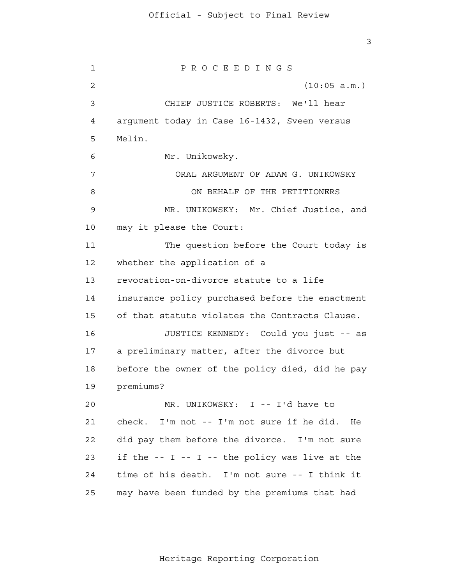3

 1 2 3 4 **5**  6 7 8 9 10 11 12 13 14 15 16 17 18 19 20 21 22 23 24 25 P R O C E E D I N G S (10:05 a.m.) CHIEF JUSTICE ROBERTS: We'll hear argument today in Case 16-1432, Sveen versus Melin. Mr. Unikowsky. ORAL ARGUMENT OF ADAM G. UNIKOWSKY ON BEHALF OF THE PETITIONERS MR. UNIKOWSKY: Mr. Chief Justice, and may it please the Court: The question before the Court today is whether the application of a revocation-on-divorce statute to a life insurance policy purchased before the enactment of that statute violates the Contracts Clause. JUSTICE KENNEDY: Could you just -- as a preliminary matter, after the divorce but before the owner of the policy died, did he pay premiums? MR. UNIKOWSKY: I -- I'd have to check. I'm not -- I'm not sure if he did. He did pay them before the divorce. I'm not sure if the  $-$ - I  $-$ - I  $-$  the policy was live at the time of his death. I'm not sure -- I think it may have been funded by the premiums that had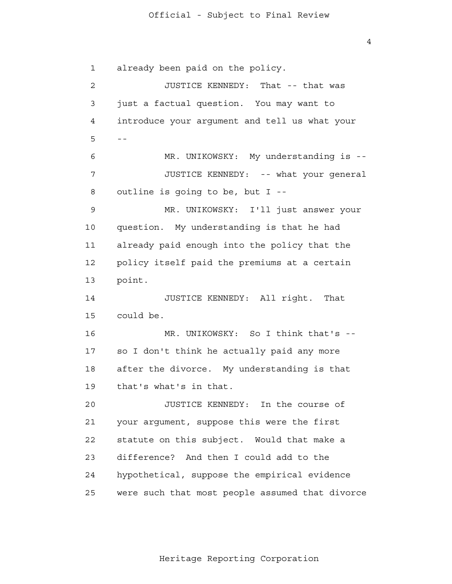4

 1 2 3 4  $5 - -$  6 7 8 9 10 11 12 13 14 15 16 17 18 19 20 21 22 23 24 25 already been paid on the policy. JUSTICE KENNEDY: That -- that was just a factual question. You may want to introduce your argument and tell us what your MR. UNIKOWSKY: My understanding is --JUSTICE KENNEDY: -- what your general outline is going to be, but I - MR. UNIKOWSKY: I'll just answer your question. My understanding is that he had already paid enough into the policy that the policy itself paid the premiums at a certain point. JUSTICE KENNEDY: All right. That could be. MR. UNIKOWSKY: So I think that's -so I don't think he actually paid any more after the divorce. My understanding is that that's what's in that. JUSTICE KENNEDY: In the course of your argument, suppose this were the first statute on this subject. Would that make a difference? And then I could add to the hypothetical, suppose the empirical evidence were such that most people assumed that divorce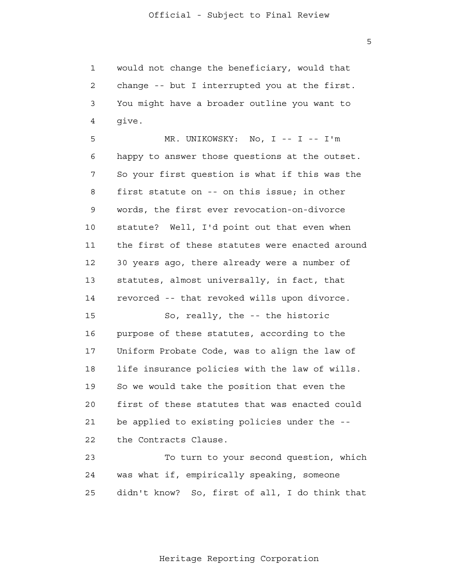1 2 3 4 would not change the beneficiary, would that change -- but I interrupted you at the first. You might have a broader outline you want to give.

**5**  6 7 8 9 10 11 12 13 14 15 MR. UNIKOWSKY: No, I -- I -- I'm happy to answer those questions at the outset. So your first question is what if this was the first statute on -- on this issue; in other words, the first ever revocation-on-divorce statute? Well, I'd point out that even when the first of these statutes were enacted around 30 years ago, there already were a number of statutes, almost universally, in fact, that revorced -- that revoked wills upon divorce. So, really, the -- the historic

 16 17 18 19 20 21 22 purpose of these statutes, according to the Uniform Probate Code, was to align the law of life insurance policies with the law of wills. So we would take the position that even the first of these statutes that was enacted could be applied to existing policies under the the Contracts Clause.

 23 24 25 To turn to your second question, which was what if, empirically speaking, someone didn't know? So, first of all, I do think that

 $\overline{5}$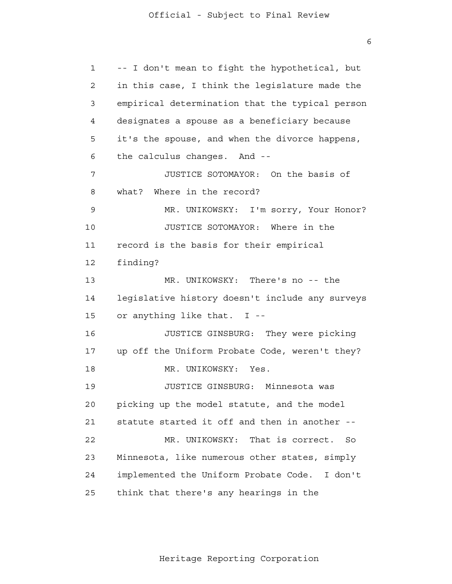1 2 3 4 **5**  6 7 8 9 10 11 12 13 14 15 16 17 18 19 20 21 22 23 24 25 -- I don't mean to fight the hypothetical, but in this case, I think the legislature made the empirical determination that the typical person designates a spouse as a beneficiary because it's the spouse, and when the divorce happens, the calculus changes. And - JUSTICE SOTOMAYOR: On the basis of what? Where in the record? MR. UNIKOWSKY: I'm sorry, Your Honor? JUSTICE SOTOMAYOR: Where in the record is the basis for their empirical finding? MR. UNIKOWSKY: There's no -- the legislative history doesn't include any surveys or anything like that. I - JUSTICE GINSBURG: They were picking up off the Uniform Probate Code, weren't they? MR. UNIKOWSKY: Yes. JUSTICE GINSBURG: Minnesota was picking up the model statute, and the model statute started it off and then in another - MR. UNIKOWSKY: That is correct. So Minnesota, like numerous other states, simply implemented the Uniform Probate Code. I don't think that there's any hearings in the

Heritage Reporting Corporation

 $\overline{6}$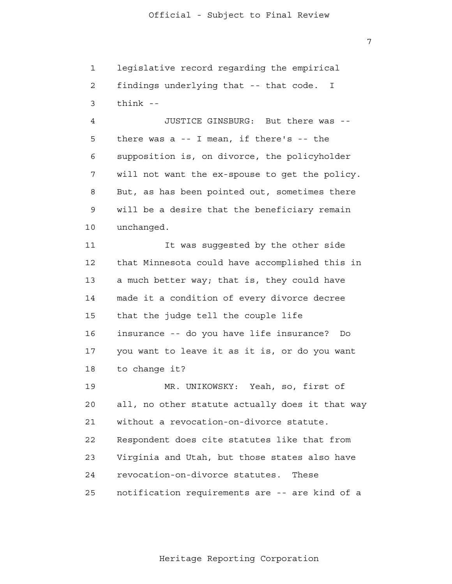7

 1 2 3 legislative record regarding the empirical findings underlying that -- that code. I think -

 4 **5**  6 7 8 9 10 JUSTICE GINSBURG: But there was there was a -- I mean, if there's -- the supposition is, on divorce, the policyholder will not want the ex-spouse to get the policy. But, as has been pointed out, sometimes there will be a desire that the beneficiary remain unchanged.

 11 12 13 14 15 16 17 18 It was suggested by the other side that Minnesota could have accomplished this in a much better way; that is, they could have made it a condition of every divorce decree that the judge tell the couple life insurance -- do you have life insurance? Do you want to leave it as it is, or do you want to change it?

> 19 20 21 22 23 24 25 MR. UNIKOWSKY: Yeah, so, first of all, no other statute actually does it that way without a revocation-on-divorce statute. Respondent does cite statutes like that from Virginia and Utah, but those states also have revocation-on-divorce statutes. These notification requirements are -- are kind of a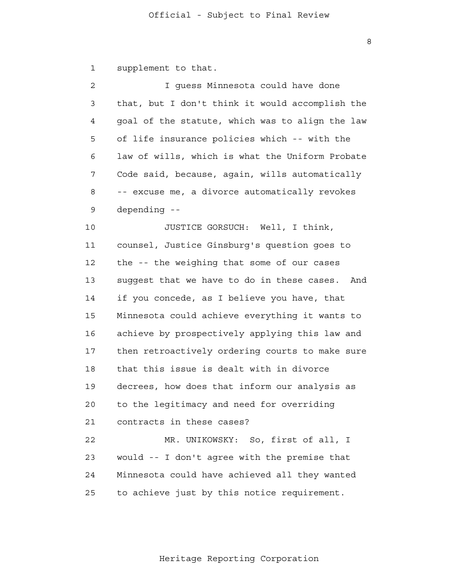1 supplement to that.

| $\overline{c}$ | I guess Minnesota could have done                 |
|----------------|---------------------------------------------------|
| 3              | that, but I don't think it would accomplish the   |
| 4              | goal of the statute, which was to align the law   |
| 5              | of life insurance policies which -- with the      |
| 6              | law of wills, which is what the Uniform Probate   |
| 7              | Code said, because, again, wills automatically    |
| 8              | -- excuse me, a divorce automatically revokes     |
| 9              | depending --                                      |
| 10             | JUSTICE GORSUCH: Well, I think,                   |
| 11             | counsel, Justice Ginsburg's question goes to      |
| 12             | the -- the weighing that some of our cases        |
| 13             | suggest that we have to do in these cases.<br>And |
| 14             | if you concede, as I believe you have, that       |
| 15             | Minnesota could achieve everything it wants to    |
| 16             | achieve by prospectively applying this law and    |
| 17             | then retroactively ordering courts to make sure   |
| 18             | that this issue is dealt with in divorce          |
| 19             | decrees, how does that inform our analysis as     |
| 20             | to the legitimacy and need for overriding         |
| 21             | contracts in these cases?                         |
| 22             | MR. UNIKOWSKY: So, first of all, I                |
| 23             | would -- I don't agree with the premise that      |
| 24             | Minnesota could have achieved all they wanted     |
| 25             | to achieve just by this notice requirement.       |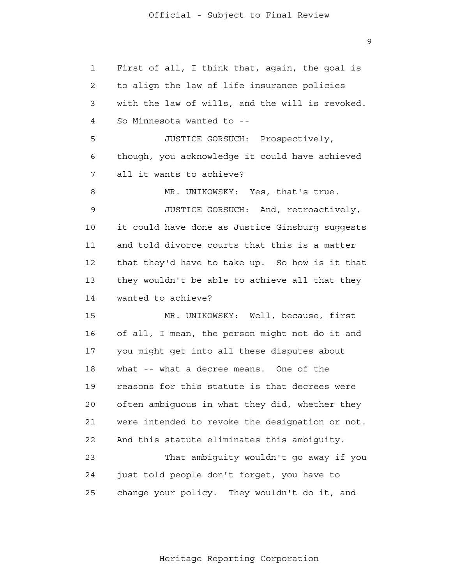1 2 3 4 **5**  6 7 8 9 10 11 12 13 14 15 16 17 18 19 20 21 **22**  23 24 First of all, I think that, again, the goal is to align the law of life insurance policies with the law of wills, and the will is revoked. So Minnesota wanted to - JUSTICE GORSUCH: Prospectively, though, you acknowledge it could have achieved all it wants to achieve? MR. UNIKOWSKY: Yes, that's true. JUSTICE GORSUCH: And, retroactively, it could have done as Justice Ginsburg suggests and told divorce courts that this is a matter that they'd have to take up. So how is it that they wouldn't be able to achieve all that they wanted to achieve? MR. UNIKOWSKY: Well, because, first of all, I mean, the person might not do it and you might get into all these disputes about what -- what a decree means. One of the reasons for this statute is that decrees were often ambiguous in what they did, whether they were intended to revoke the designation or not. And this statute eliminates this ambiguity. That ambiguity wouldn't go away if you just told people don't forget, you have to change your policy. They wouldn't do it, and

Heritage Reporting Corporation

25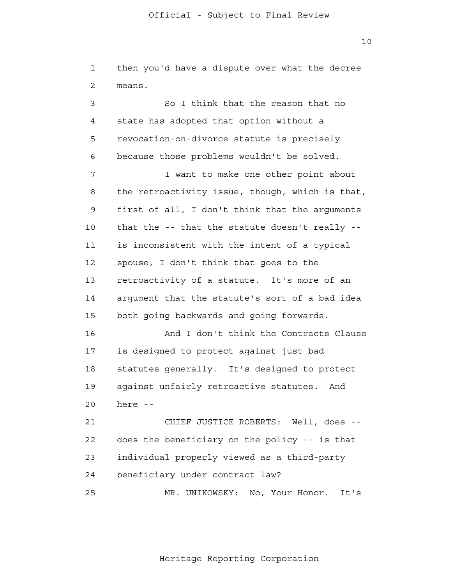1 2 then you'd have a dispute over what the decree means.

 3 4 **5**  6 So I think that the reason that no state has adopted that option without a revocation-on-divorce statute is precisely because those problems wouldn't be solved.

 7 8 9 10 11 12 13 14 15 I want to make one other point about the retroactivity issue, though, which is that, first of all, I don't think that the arguments that the -- that the statute doesn't really is inconsistent with the intent of a typical spouse, I don't think that goes to the retroactivity of a statute. It's more of an argument that the statute's sort of a bad idea both going backwards and going forwards.

> 16 17 18 19 20 And I don't think the Contracts Clause is designed to protect against just bad statutes generally. It's designed to protect against unfairly retroactive statutes. And here -

 21 22 23 24 CHIEF JUSTICE ROBERTS: Well, does does the beneficiary on the policy -- is that individual properly viewed as a third-party beneficiary under contract law?

 25 MR. UNIKOWSKY: No, Your Honor. It's

Heritage Reporting Corporation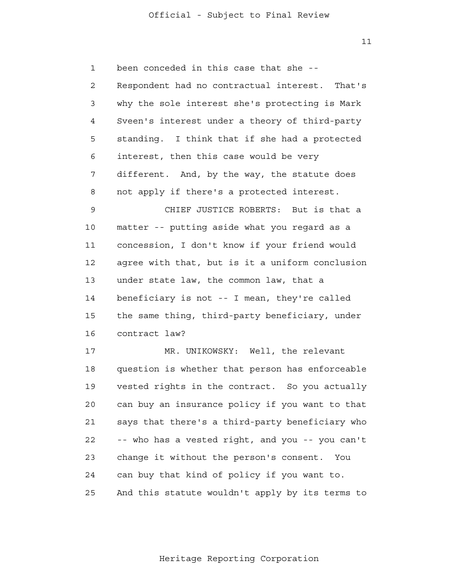$11$ 

 1 2 3 4 **5**  6 7 8 9 10 11 12 13 14 15 16 17 18 19 20 21 22 23 24 25 been conceded in this case that she - Respondent had no contractual interest. That's why the sole interest she's protecting is Mark Sveen's interest under a theory of third-party standing. I think that if she had a protected interest, then this case would be very different. And, by the way, the statute does not apply if there's a protected interest. CHIEF JUSTICE ROBERTS: But is that a matter -- putting aside what you regard as a concession, I don't know if your friend would agree with that, but is it a uniform conclusion under state law, the common law, that a beneficiary is not -- I mean, they're called the same thing, third-party beneficiary, under contract law? MR. UNIKOWSKY: Well, the relevant question is whether that person has enforceable vested rights in the contract. So you actually can buy an insurance policy if you want to that says that there's a third-party beneficiary who -- who has a vested right, and you -- you can't change it without the person's consent. You can buy that kind of policy if you want to. And this statute wouldn't apply by its terms to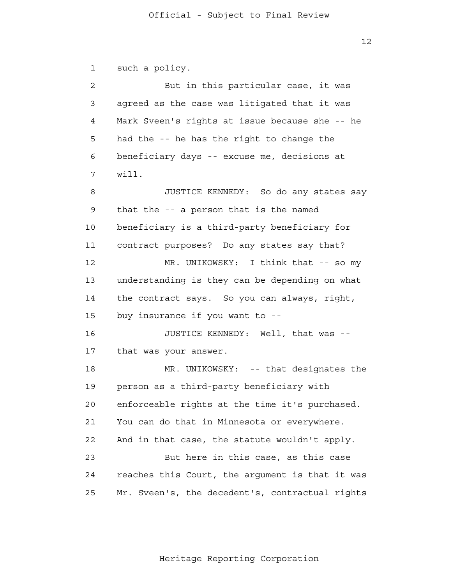$12$ 

 1 2 3 4 **5**  6 7 8 9 10 11 12 13 14 15 16 17 18 19 20 21 22 23 24 25 such a policy. But in this particular case, it was agreed as the case was litigated that it was Mark Sveen's rights at issue because she -- he had the -- he has the right to change the beneficiary days -- excuse me, decisions at will. JUSTICE KENNEDY: So do any states say that the -- a person that is the named beneficiary is a third-party beneficiary for contract purposes? Do any states say that? MR. UNIKOWSKY: I think that -- so my understanding is they can be depending on what the contract says. So you can always, right, buy insurance if you want to - JUSTICE KENNEDY: Well, that was that was your answer. MR. UNIKOWSKY: -- that designates the person as a third-party beneficiary with enforceable rights at the time it's purchased. You can do that in Minnesota or everywhere. And in that case, the statute wouldn't apply. But here in this case, as this case reaches this Court, the argument is that it was Mr. Sveen's, the decedent's, contractual rights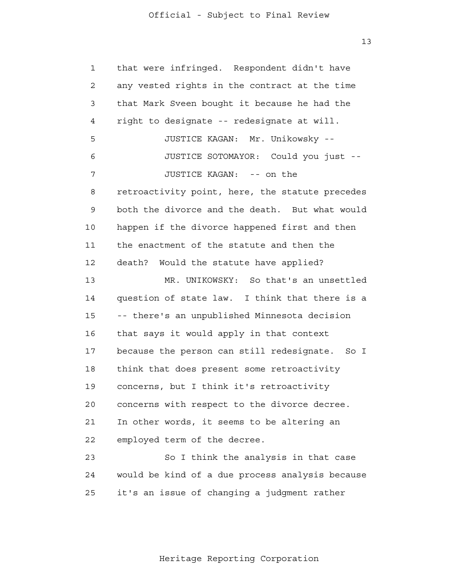13

 1 2 3 4 **5**  6 7 8 9 10 11 12 13 14 15 16 17 18 19 20 21 22 23 24 25 that were infringed. Respondent didn't have any vested rights in the contract at the time that Mark Sveen bought it because he had the right to designate -- redesignate at will. JUSTICE KAGAN: Mr. Unikowsky - JUSTICE SOTOMAYOR: Could you just - JUSTICE KAGAN: -- on the retroactivity point, here, the statute precedes both the divorce and the death. But what would happen if the divorce happened first and then the enactment of the statute and then the death? Would the statute have applied? MR. UNIKOWSKY: So that's an unsettled question of state law. I think that there is a -- there's an unpublished Minnesota decision that says it would apply in that context because the person can still redesignate. So I think that does present some retroactivity concerns, but I think it's retroactivity concerns with respect to the divorce decree. In other words, it seems to be altering an employed term of the decree. So I think the analysis in that case would be kind of a due process analysis because it's an issue of changing a judgment rather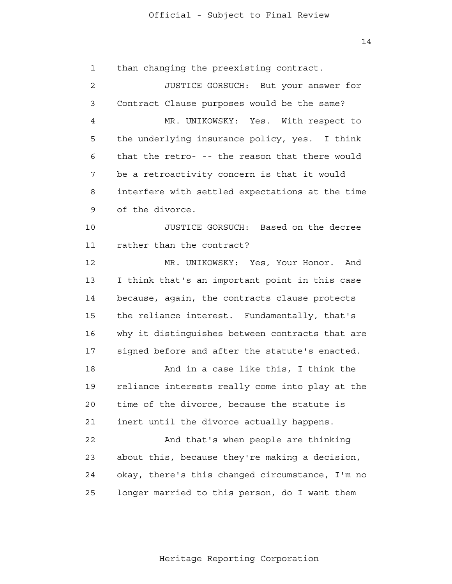14

 1 2 3 4 **5**  6 7 8 9 10 11 12 13 14 15 16 17 18 19 20 21 22 23 24 25 than changing the preexisting contract. JUSTICE GORSUCH: But your answer for Contract Clause purposes would be the same? MR. UNIKOWSKY: Yes. With respect to the underlying insurance policy, yes. I think that the retro- -- the reason that there would be a retroactivity concern is that it would interfere with settled expectations at the time of the divorce. JUSTICE GORSUCH: Based on the decree rather than the contract? MR. UNIKOWSKY: Yes, Your Honor. And I think that's an important point in this case because, again, the contracts clause protects the reliance interest. Fundamentally, that's why it distinguishes between contracts that are signed before and after the statute's enacted. And in a case like this, I think the reliance interests really come into play at the time of the divorce, because the statute is inert until the divorce actually happens. And that's when people are thinking about this, because they're making a decision, okay, there's this changed circumstance, I'm no longer married to this person, do I want them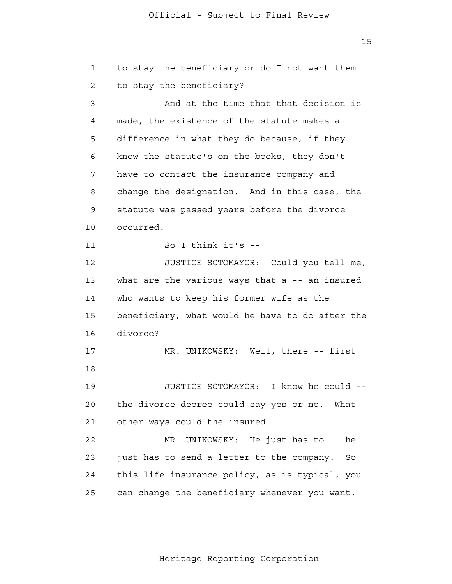15

| 1  | to stay the beneficiary or do I not want them   |  |
|----|-------------------------------------------------|--|
| 2  | to stay the beneficiary?                        |  |
| 3  | And at the time that that decision is           |  |
| 4  | made, the existence of the statute makes a      |  |
| 5  | difference in what they do because, if they     |  |
| 6  | know the statute's on the books, they don't     |  |
| 7  | have to contact the insurance company and       |  |
| 8  | change the designation. And in this case, the   |  |
| 9  | statute was passed years before the divorce     |  |
| 10 | occurred.                                       |  |
| 11 | So I think it's --                              |  |
| 12 | JUSTICE SOTOMAYOR: Could you tell me,           |  |
| 13 | what are the various ways that a -- an insured  |  |
| 14 | who wants to keep his former wife as the        |  |
| 15 | beneficiary, what would he have to do after the |  |
| 16 | divorce?                                        |  |
| 17 | MR. UNIKOWSKY: Well, there -- first             |  |
| 18 | - -                                             |  |
| 19 | I know he could --<br>JUSTICE SOTOMAYOR:        |  |
| 20 | the divorce decree could say yes or no. What    |  |
| 21 | other ways could the insured --                 |  |
| 22 | MR. UNIKOWSKY: He just has to -- he             |  |
| 23 | just has to send a letter to the company.<br>So |  |
| 24 | this life insurance policy, as is typical, you  |  |
| 25 | can change the beneficiary whenever you want.   |  |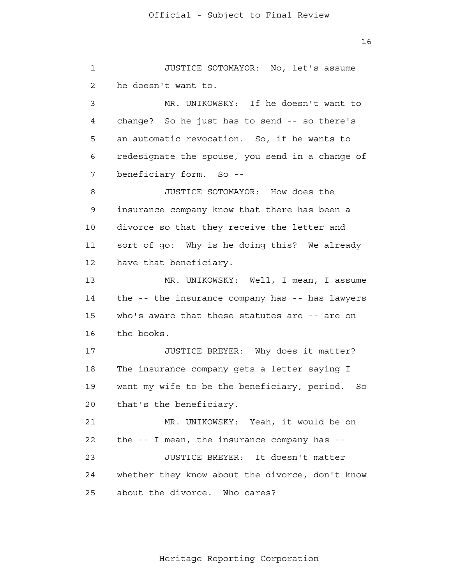1 2 3 4 **5**  6 7 8 9 10 11 12 13 14 15 16 17 18 19 20 21 **22**  23 24 25 JUSTICE SOTOMAYOR: No, let's assume he doesn't want to. MR. UNIKOWSKY: If he doesn't want to change? So he just has to send -- so there's an automatic revocation. So, if he wants to redesignate the spouse, you send in a change of beneficiary form. So - JUSTICE SOTOMAYOR: How does the insurance company know that there has been a divorce so that they receive the letter and sort of go: Why is he doing this? We already have that beneficiary. MR. UNIKOWSKY: Well, I mean, I assume the -- the insurance company has -- has lawyers who's aware that these statutes are -- are on the books. JUSTICE BREYER: Why does it matter? The insurance company gets a letter saying I want my wife to be the beneficiary, period. So that's the beneficiary. MR. UNIKOWSKY: Yeah, it would be on the -- I mean, the insurance company has - JUSTICE BREYER: It doesn't matter whether they know about the divorce, don't know about the divorce. Who cares?

Heritage Reporting Corporation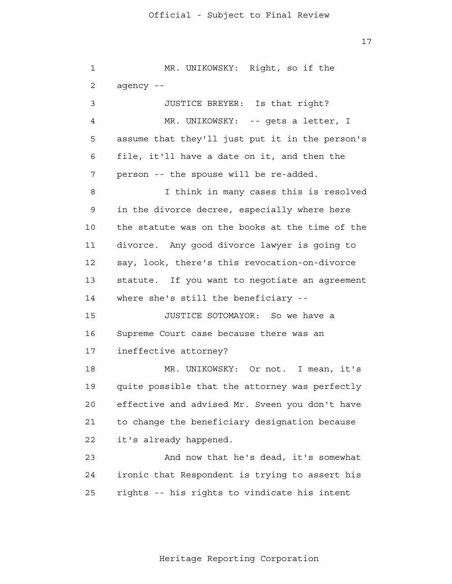17

 1 2 3 4 **5**  6 7 8 9 10 11 12 13 14 15 16 17 18 19 20 21 **22**  23 24 25 MR. UNIKOWSKY: Right, so if the agency - JUSTICE BREYER: Is that right? MR. UNIKOWSKY: -- gets a letter, I assume that they'll just put it in the person's file, it'll have a date on it, and then the person -- the spouse will be re-added. I think in many cases this is resolved in the divorce decree, especially where here the statute was on the books at the time of the divorce. Any good divorce lawyer is going to say, look, there's this revocation-on-divorce statute. If you want to negotiate an agreement where she's still the beneficiary --JUSTICE SOTOMAYOR: So we have a Supreme Court case because there was an ineffective attorney? MR. UNIKOWSKY: Or not. I mean, it's quite possible that the attorney was perfectly effective and advised Mr. Sveen you don't have to change the beneficiary designation because it's already happened. And now that he's dead, it's somewhat ironic that Respondent is trying to assert his rights -- his rights to vindicate his intent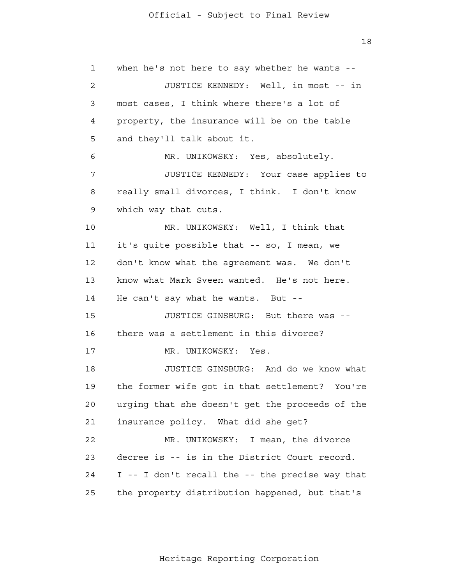1 2 3 4 **5**  6 7 8 9 10 11 12 13 14 15 16 17 18 19 20 21 22 23 24 25 when he's not here to say whether he wants --JUSTICE KENNEDY: Well, in most -- in most cases, I think where there's a lot of property, the insurance will be on the table and they'll talk about it. MR. UNIKOWSKY: Yes, absolutely. JUSTICE KENNEDY: Your case applies to really small divorces, I think. I don't know which way that cuts. MR. UNIKOWSKY: Well, I think that it's quite possible that -- so, I mean, we don't know what the agreement was. We don't know what Mark Sveen wanted. He's not here. He can't say what he wants. But - JUSTICE GINSBURG: But there was there was a settlement in this divorce? MR. UNIKOWSKY: Yes. JUSTICE GINSBURG: And do we know what the former wife got in that settlement? You're urging that she doesn't get the proceeds of the insurance policy. What did she get? MR. UNIKOWSKY: I mean, the divorce decree is -- is in the District Court record. I -- I don't recall the -- the precise way that the property distribution happened, but that's

18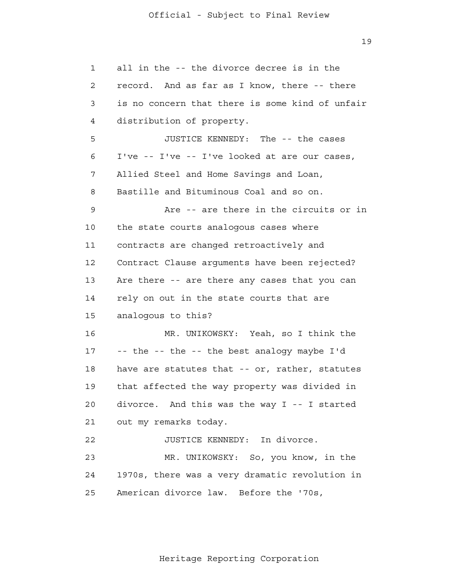19

 1 2 3 4 **5**  6 7 8 9 10 11 12 13 14 15 16 17 18 19 20 21 22 23 24 25 all in the -- the divorce decree is in the record. And as far as I know, there -- there is no concern that there is some kind of unfair distribution of property. JUSTICE KENNEDY: The -- the cases I've -- I've -- I've looked at are our cases, Allied Steel and Home Savings and Loan, Bastille and Bituminous Coal and so on. Are -- are there in the circuits or in the state courts analogous cases where contracts are changed retroactively and Contract Clause arguments have been rejected? Are there -- are there any cases that you can rely on out in the state courts that are analogous to this? MR. UNIKOWSKY: Yeah, so I think the -- the -- the -- the best analogy maybe I'd have are statutes that -- or, rather, statutes that affected the way property was divided in divorce. And this was the way I -- I started out my remarks today. JUSTICE KENNEDY: In divorce. MR. UNIKOWSKY: So, you know, in the 1970s, there was a very dramatic revolution in American divorce law. Before the '70s,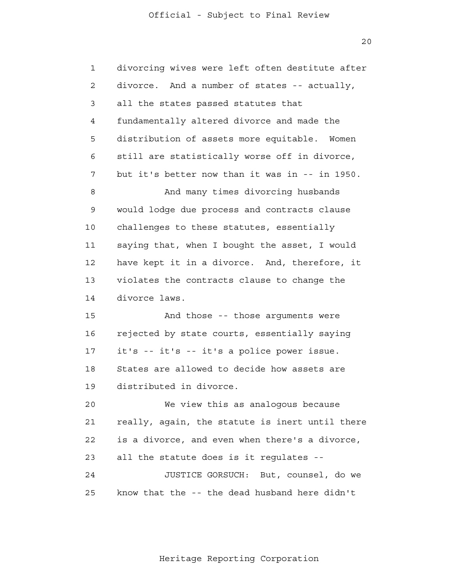20

| $\mathbf{1}$ | divorcing wives were left often destitute after |
|--------------|-------------------------------------------------|
| 2            | divorce. And a number of states -- actually,    |
| 3            | all the states passed statutes that             |
| 4            | fundamentally altered divorce and made the      |
| 5            | distribution of assets more equitable. Women    |
| 6            | still are statistically worse off in divorce,   |
| 7            | but it's better now than it was in -- in 1950.  |
| 8            | And many times divorcing husbands               |
| 9            | would lodge due process and contracts clause    |
| 10           | challenges to these statutes, essentially       |
| 11           | saying that, when I bought the asset, I would   |
| 12           | have kept it in a divorce. And, therefore, it   |
| 13           | violates the contracts clause to change the     |
| 14           | divorce laws.                                   |
| 15           | And those -- those arguments were               |
| 16           | rejected by state courts, essentially saying    |
| 17           | it's -- it's -- it's a police power issue.      |
| 18           | States are allowed to decide how assets are     |
| 19           | distributed in divorce.                         |
| 20           | We view this as analogous because               |
| 21           | really, again, the statute is inert until there |
| 22           | is a divorce, and even when there's a divorce,  |
| 23           | all the statute does is it regulates --         |
| 24           | JUSTICE GORSUCH: But, counsel, do we            |
| 25           | know that the -- the dead husband here didn't   |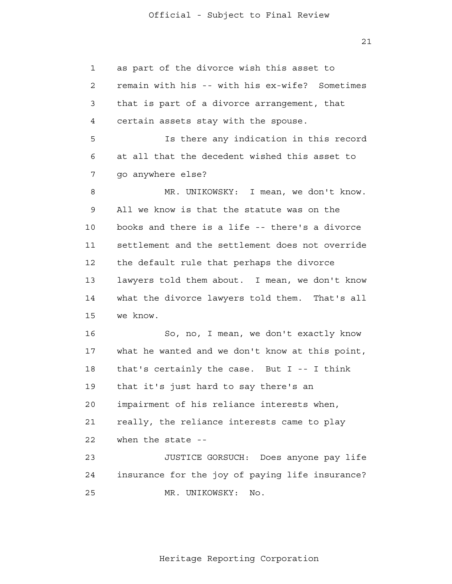21

 1 2 3 4 **5**  6 7 8 9 10 11 12 13 14 15 16 17 18 19 20 21 22 23 24 25 as part of the divorce wish this asset to remain with his -- with his ex-wife? Sometimes that is part of a divorce arrangement, that certain assets stay with the spouse. Is there any indication in this record at all that the decedent wished this asset to go anywhere else? MR. UNIKOWSKY: I mean, we don't know. All we know is that the statute was on the books and there is a life -- there's a divorce settlement and the settlement does not override the default rule that perhaps the divorce lawyers told them about. I mean, we don't know what the divorce lawyers told them. That's all we know. So, no, I mean, we don't exactly know what he wanted and we don't know at this point, that's certainly the case. But I -- I think that it's just hard to say there's an impairment of his reliance interests when, really, the reliance interests came to play when the state - JUSTICE GORSUCH: Does anyone pay life insurance for the joy of paying life insurance? MR. UNIKOWSKY: No.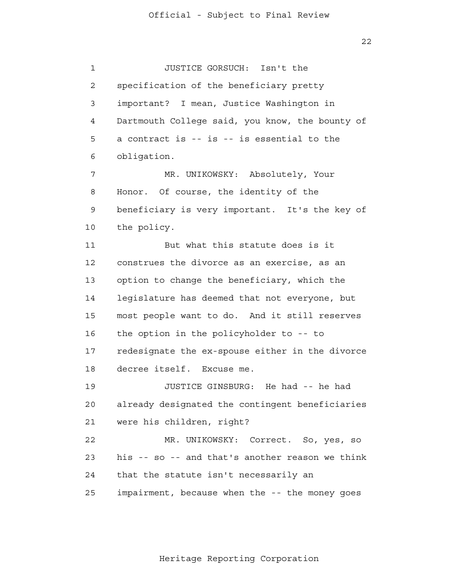1 2 3 4 **5**  6 JUSTICE GORSUCH: Isn't the specification of the beneficiary pretty important? I mean, Justice Washington in Dartmouth College said, you know, the bounty of a contract is -- is -- is essential to the obligation.

 7 8 9 10 MR. UNIKOWSKY: Absolutely, Your Honor. Of course, the identity of the beneficiary is very important. It's the key of the policy.

 11 12 13 14 15 16 17 18 But what this statute does is it construes the divorce as an exercise, as an option to change the beneficiary, which the legislature has deemed that not everyone, but most people want to do. And it still reserves the option in the policyholder to -- to redesignate the ex-spouse either in the divorce decree itself. Excuse me.

> 19 20 21 JUSTICE GINSBURG: He had -- he had already designated the contingent beneficiaries were his children, right?

> 22 23 24 25 MR. UNIKOWSKY: Correct. So, yes, so his -- so -- and that's another reason we think that the statute isn't necessarily an impairment, because when the -- the money goes

> > Heritage Reporting Corporation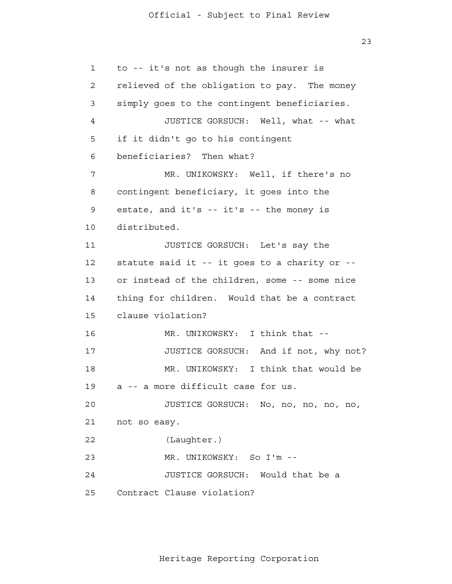```
 1 
 2 
 3 
 4 
5
 6 
 7 
 8 
 9 
            10 
            11 
            12 
            13 
            14 
            15 
            16 
            17 
            18 
            19 
            20 
            21 
            22 
            23 
            24 
            25 
                to -- it's not as though the insurer is
                relieved of the obligation to pay. The money
                simply goes to the contingent beneficiaries.
                         JUSTICE GORSUCH: Well, what -- what
                if it didn't go to his contingent
                beneficiaries? Then what?
                         MR. UNIKOWSKY: Well, if there's no
                contingent beneficiary, it goes into the
                estate, and it's -- it's -- the money is
                distributed.
                         JUSTICE GORSUCH: Let's say the
                statute said it -- it goes to a charity or -
                or instead of the children, some -- some nice
                thing for children. Would that be a contract
                clause violation?
                        MR. UNIKOWSKY: I think that --
                         JUSTICE GORSUCH: And if not, why not?
                         MR. UNIKOWSKY: I think that would be
                a -- a more difficult case for us.
                         JUSTICE GORSUCH: No, no, no, no, no,
                not so easy.
                         (Laughter.)
                         MR. UNIKOWSKY: So I'm --
                         JUSTICE GORSUCH: Would that be a
                Contract Clause violation?
```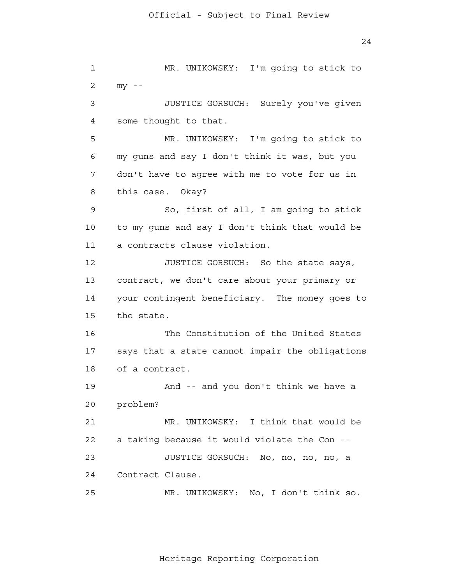1 2 3 4 **5**  6 7 8 9 10 11 12 13 14 15 16 17 18 19 20 21 22 23 24 25 MR. UNIKOWSKY: I'm going to stick to  $my - -$ JUSTICE GORSUCH: Surely you've given some thought to that. MR. UNIKOWSKY: I'm going to stick to my guns and say I don't think it was, but you don't have to agree with me to vote for us in this case. Okay? So, first of all, I am going to stick to my guns and say I don't think that would be a contracts clause violation. JUSTICE GORSUCH: So the state says, contract, we don't care about your primary or your contingent beneficiary. The money goes to the state. The Constitution of the United States says that a state cannot impair the obligations of a contract. And -- and you don't think we have a problem? MR. UNIKOWSKY: I think that would be a taking because it would violate the Con - JUSTICE GORSUCH: No, no, no, no, a Contract Clause. MR. UNIKOWSKY: No, I don't think so.

Heritage Reporting Corporation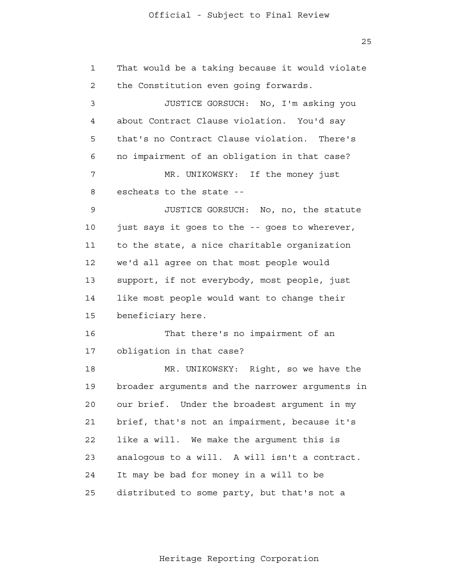1 2 3 4 **5**  6 7 8 9 10 11 12 13 14 15 16 17 18 19 20 21 22 23 24 25 That would be a taking because it would violate the Constitution even going forwards. JUSTICE GORSUCH: No, I'm asking you about Contract Clause violation. You'd say that's no Contract Clause violation. There's no impairment of an obligation in that case? MR. UNIKOWSKY: If the money just escheats to the state - JUSTICE GORSUCH: No, no, the statute just says it goes to the -- goes to wherever, to the state, a nice charitable organization we'd all agree on that most people would support, if not everybody, most people, just like most people would want to change their beneficiary here. That there's no impairment of an obligation in that case? MR. UNIKOWSKY: Right, so we have the broader arguments and the narrower arguments in our brief. Under the broadest argument in my brief, that's not an impairment, because it's like a will. We make the argument this is analogous to a will. A will isn't a contract. It may be bad for money in a will to be distributed to some party, but that's not a

25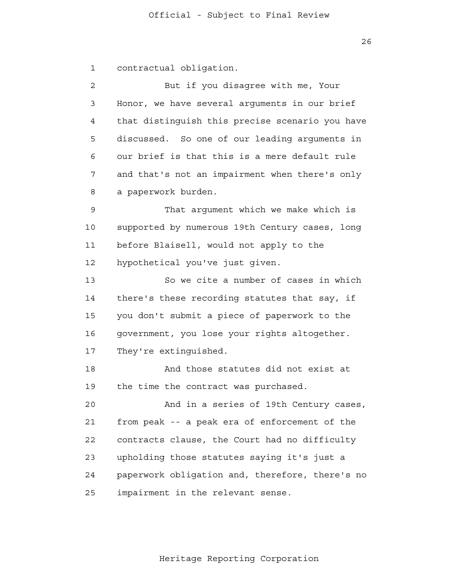26

 1 contractual obligation.

 2 3 4 **5**  6 7 8 But if you disagree with me, Your Honor, we have several arguments in our brief that distinguish this precise scenario you have discussed. So one of our leading arguments in our brief is that this is a mere default rule and that's not an impairment when there's only a paperwork burden.

 9 10 11 12 That argument which we make which is supported by numerous 19th Century cases, long before Blaisell, would not apply to the hypothetical you've just given.

 13 14 15 16 17 So we cite a number of cases in which there's these recording statutes that say, if you don't submit a piece of paperwork to the government, you lose your rights altogether. They're extinguished.

> 18 19 And those statutes did not exist at the time the contract was purchased.

 20 21 22 23 24 25 And in a series of 19th Century cases, from peak -- a peak era of enforcement of the contracts clause, the Court had no difficulty upholding those statutes saying it's just a paperwork obligation and, therefore, there's no impairment in the relevant sense.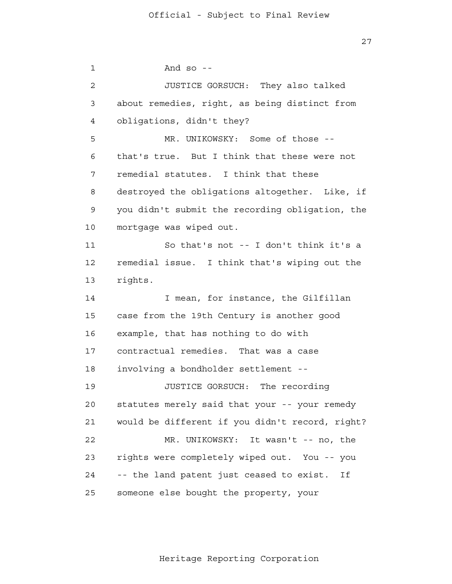27

 1 2 3 4 **5**  6 7 8 9 10 11 12 13 14 15 16 17 18 19 20 21 22 23 24 25 And so  $-$ JUSTICE GORSUCH: They also talked about remedies, right, as being distinct from obligations, didn't they? MR. UNIKOWSKY: Some of those -that's true. But I think that these were not remedial statutes. I think that these destroyed the obligations altogether. Like, if you didn't submit the recording obligation, the mortgage was wiped out. So that's not -- I don't think it's a remedial issue. I think that's wiping out the rights. I mean, for instance, the Gilfillan case from the 19th Century is another good example, that has nothing to do with contractual remedies. That was a case involving a bondholder settlement - JUSTICE GORSUCH: The recording statutes merely said that your -- your remedy would be different if you didn't record, right? MR. UNIKOWSKY: It wasn't -- no, the rights were completely wiped out. You -- you -- the land patent just ceased to exist. If someone else bought the property, your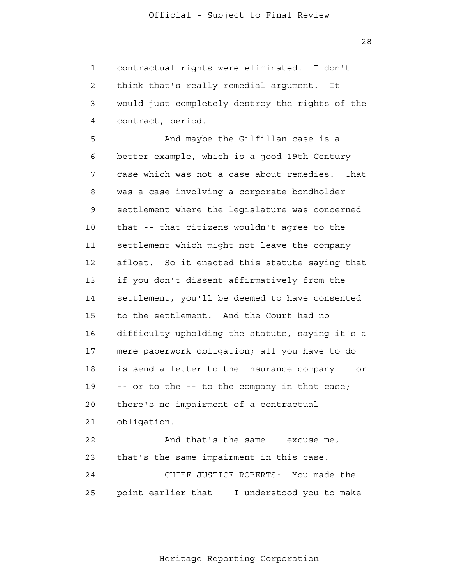28

 1 2 3 4 contractual rights were eliminated. I don't think that's really remedial argument. It would just completely destroy the rights of the contract, period.

**5**  6 7 8 9 10 11 12 13 14 15 16 17 18 19 20 21 22 23 And maybe the Gilfillan case is a better example, which is a good 19th Century case which was not a case about remedies. That was a case involving a corporate bondholder settlement where the legislature was concerned that -- that citizens wouldn't agree to the settlement which might not leave the company afloat. So it enacted this statute saying that if you don't dissent affirmatively from the settlement, you'll be deemed to have consented to the settlement. And the Court had no difficulty upholding the statute, saying it's a mere paperwork obligation; all you have to do is send a letter to the insurance company -- or -- or to the -- to the company in that case; there's no impairment of a contractual obligation. And that's the same -- excuse me, that's the same impairment in this case.

 24 25 CHIEF JUSTICE ROBERTS: You made the point earlier that -- I understood you to make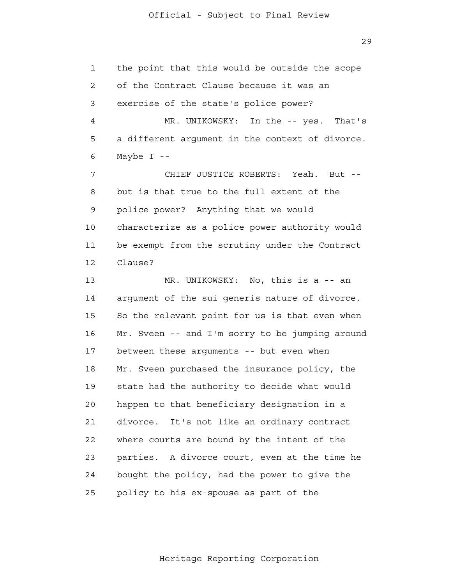the point that this would be outside the scope

 1 2 3 4 **5**  6 of the Contract Clause because it was an exercise of the state's police power? MR. UNIKOWSKY: In the -- yes. That's a different argument in the context of divorce. Maybe  $I$  --

 7 8 9 10 11 12 CHIEF JUSTICE ROBERTS: Yeah. But but is that true to the full extent of the police power? Anything that we would characterize as a police power authority would be exempt from the scrutiny under the Contract Clause?

 13 14 15 16 17 18 19 20 21 22 23 24 25 MR. UNIKOWSKY: No, this is a -- an argument of the sui generis nature of divorce. So the relevant point for us is that even when Mr. Sveen -- and I'm sorry to be jumping around between these arguments -- but even when Mr. Sveen purchased the insurance policy, the state had the authority to decide what would happen to that beneficiary designation in a divorce. It's not like an ordinary contract where courts are bound by the intent of the parties. A divorce court, even at the time he bought the policy, had the power to give the policy to his ex-spouse as part of the

Heritage Reporting Corporation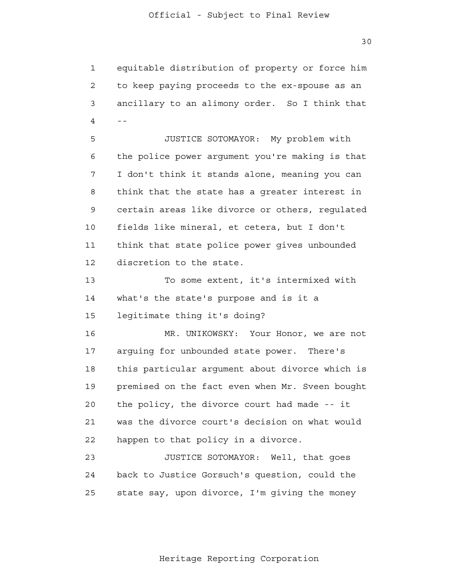30

 1 2 3  $4$  -equitable distribution of property or force him to keep paying proceeds to the ex-spouse as an ancillary to an alimony order. So I think that

**5**  6 7 8 9 10 11 12 JUSTICE SOTOMAYOR: My problem with the police power argument you're making is that I don't think it stands alone, meaning you can think that the state has a greater interest in certain areas like divorce or others, regulated fields like mineral, et cetera, but I don't think that state police power gives unbounded discretion to the state.

 13 14 15 To some extent, it's intermixed with what's the state's purpose and is it a legitimate thing it's doing?

 16 17 18 19 20 21 **22** MR. UNIKOWSKY: Your Honor, we are not arguing for unbounded state power. There's this particular argument about divorce which is premised on the fact even when Mr. Sveen bought the policy, the divorce court had made -- it was the divorce court's decision on what would happen to that policy in a divorce.

> 23 24 25 JUSTICE SOTOMAYOR: Well, that goes back to Justice Gorsuch's question, could the state say, upon divorce, I'm giving the money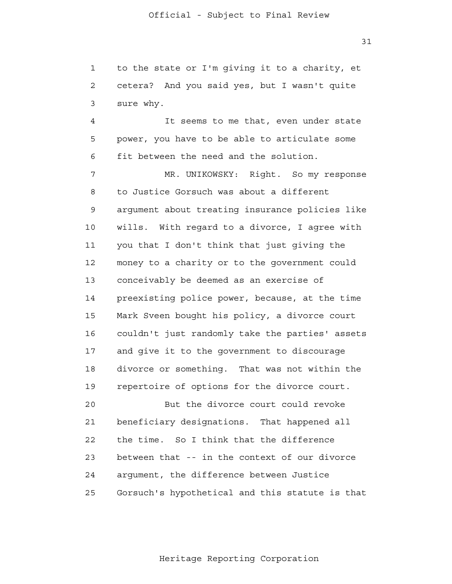1 2 3 to the state or I'm giving it to a charity, et cetera? And you said yes, but I wasn't quite sure why.

 4 **5**  6 It seems to me that, even under state power, you have to be able to articulate some fit between the need and the solution.

 7 8 9 10 11 12 13 14 15 16 17 18 19 20 MR. UNIKOWSKY: Right. So my response to Justice Gorsuch was about a different argument about treating insurance policies like wills. With regard to a divorce, I agree with you that I don't think that just giving the money to a charity or to the government could conceivably be deemed as an exercise of preexisting police power, because, at the time Mark Sveen bought his policy, a divorce court couldn't just randomly take the parties' assets and give it to the government to discourage divorce or something. That was not within the repertoire of options for the divorce court. But the divorce court could revoke

 21 22 23 24 25 beneficiary designations. That happened all the time. So I think that the difference between that -- in the context of our divorce argument, the difference between Justice Gorsuch's hypothetical and this statute is that

31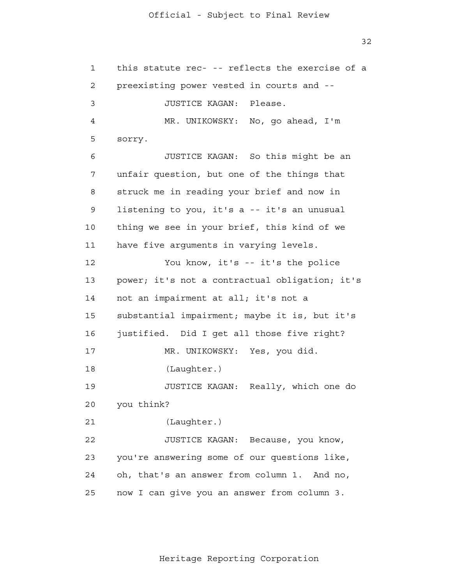1 2 3 4 **5**  6 7 8 9 10 11 12 13 14 15 16 17 18 19 20 21 22 23 24 25 this statute rec- -- reflects the exercise of a preexisting power vested in courts and - JUSTICE KAGAN: Please. MR. UNIKOWSKY: No, go ahead, I'm sorry. JUSTICE KAGAN: So this might be an unfair question, but one of the things that struck me in reading your brief and now in listening to you, it's a -- it's an unusual thing we see in your brief, this kind of we have five arguments in varying levels. You know, it's -- it's the police power; it's not a contractual obligation; it's not an impairment at all; it's not a substantial impairment; maybe it is, but it's justified. Did I get all those five right? MR. UNIKOWSKY: Yes, you did. (Laughter.) JUSTICE KAGAN: Really, which one do you think? (Laughter.) JUSTICE KAGAN: Because, you know, you're answering some of our questions like, oh, that's an answer from column 1. And no, now I can give you an answer from column 3.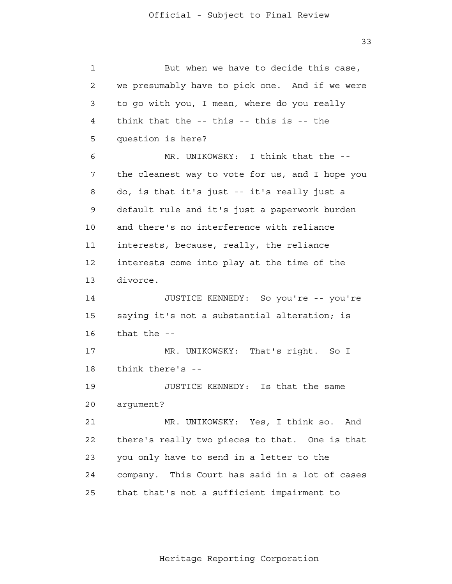33

| 1  | But when we have to decide this case,             |
|----|---------------------------------------------------|
| 2  | we presumably have to pick one. And if we were    |
| 3  | to go with you, I mean, where do you really       |
| 4  | think that the $-$ - this $-$ - this is $-$ - the |
| 5  | question is here?                                 |
| 6  | MR. UNIKOWSKY: I think that the --                |
| 7  | the cleanest way to vote for us, and I hope you   |
| 8  | do, is that it's just -- it's really just a       |
| 9  | default rule and it's just a paperwork burden     |
| 10 | and there's no interference with reliance         |
| 11 | interests, because, really, the reliance          |
| 12 | interests come into play at the time of the       |
| 13 | divorce.                                          |
| 14 | JUSTICE KENNEDY: So you're -- you're              |
| 15 | saying it's not a substantial alteration; is      |
| 16 | that the --                                       |
| 17 | MR. UNIKOWSKY: That's right. So I                 |
| 18 | think there's --                                  |
| 19 | JUSTICE KENNEDY: Is that the same                 |
| 20 | argument?                                         |
| 21 | MR. UNIKOWSKY: Yes, I think so.<br>And            |
| 22 | there's really two pieces to that. One is that    |
| 23 | you only have to send in a letter to the          |
| 24 | company. This Court has said in a lot of cases    |
| 25 | that that's not a sufficient impairment to        |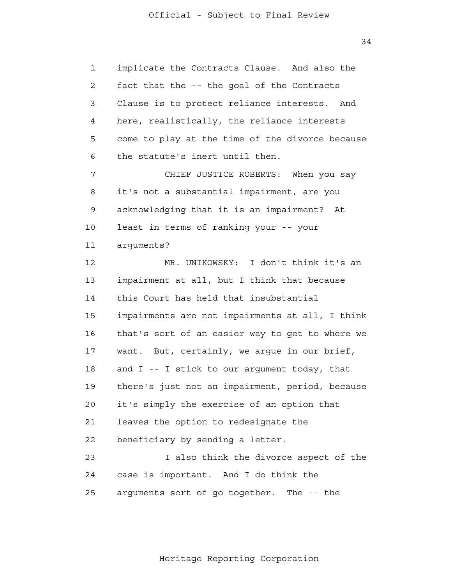1 2 3 4 **5**  6 7 8 9 10 11 12 13 14 15 16 17 18 19 20 21 22 23 24 25 implicate the Contracts Clause. And also the fact that the -- the goal of the Contracts Clause is to protect reliance interests. And here, realistically, the reliance interests come to play at the time of the divorce because the statute's inert until then. CHIEF JUSTICE ROBERTS: When you say it's not a substantial impairment, are you acknowledging that it is an impairment? At least in terms of ranking your -- your arguments? MR. UNIKOWSKY: I don't think it's an impairment at all, but I think that because this Court has held that insubstantial impairments are not impairments at all, I think that's sort of an easier way to get to where we want. But, certainly, we argue in our brief, and I -- I stick to our argument today, that there's just not an impairment, period, because it's simply the exercise of an option that leaves the option to redesignate the beneficiary by sending a letter. I also think the divorce aspect of the case is important. And I do think the arguments sort of go together. The -- the

34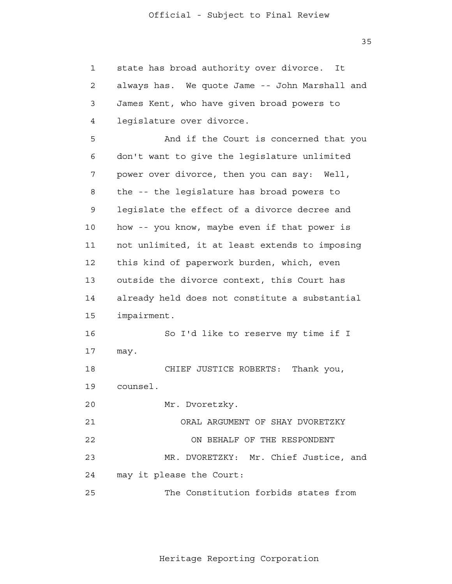35

 1 2 3 4 **5**  6 7 8 9 10 11 12 13 14 15 16 17 18 19 20 21 22 23 24 25 state has broad authority over divorce. It always has. We quote Jame -- John Marshall and James Kent, who have given broad powers to legislature over divorce. And if the Court is concerned that you don't want to give the legislature unlimited power over divorce, then you can say: Well, the -- the legislature has broad powers to legislate the effect of a divorce decree and how -- you know, maybe even if that power is not unlimited, it at least extends to imposing this kind of paperwork burden, which, even outside the divorce context, this Court has already held does not constitute a substantial impairment. So I'd like to reserve my time if I may. CHIEF JUSTICE ROBERTS: Thank you, counsel. Mr. Dvoretzky. ORAL ARGUMENT OF SHAY DVORETZKY ON BEHALF OF THE RESPONDENT MR. DVORETZKY: Mr. Chief Justice, and may it please the Court: The Constitution forbids states from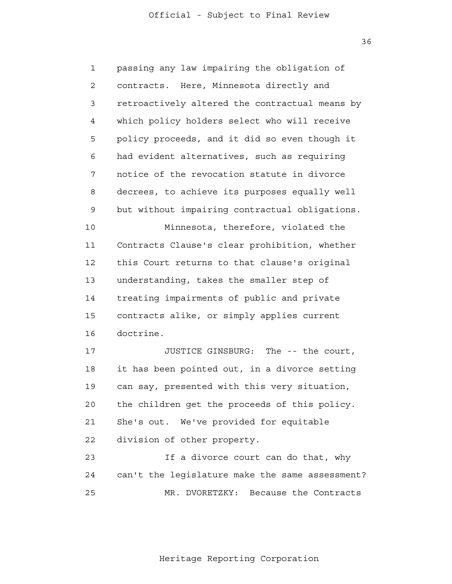36

 1 2 3 4 **5**  6 7 8 9 10 11 12 13 14 15 16 17 18 19 20 21 **22**  23 24 25 passing any law impairing the obligation of contracts. Here, Minnesota directly and retroactively altered the contractual means by which policy holders select who will receive policy proceeds, and it did so even though it had evident alternatives, such as requiring notice of the revocation statute in divorce decrees, to achieve its purposes equally well but without impairing contractual obligations. Minnesota, therefore, violated the Contracts Clause's clear prohibition, whether this Court returns to that clause's original understanding, takes the smaller step of treating impairments of public and private contracts alike, or simply applies current doctrine. JUSTICE GINSBURG: The -- the court, it has been pointed out, in a divorce setting can say, presented with this very situation, the children get the proceeds of this policy. She's out. We've provided for equitable division of other property. If a divorce court can do that, why can't the legislature make the same assessment? MR. DVORETZKY: Because the Contracts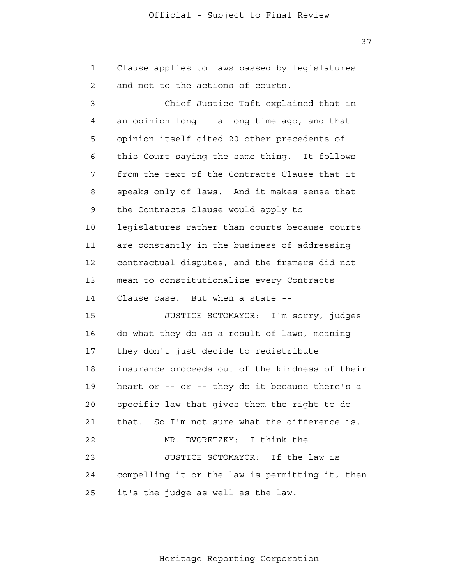1 2 Clause applies to laws passed by legislatures and not to the actions of courts.

 3 4 **5**  6 7 8 9 10 11 12 13 14 15 16 17 18 19 20 21 22 23 24 25 Chief Justice Taft explained that in an opinion long -- a long time ago, and that opinion itself cited 20 other precedents of this Court saying the same thing. It follows from the text of the Contracts Clause that it speaks only of laws. And it makes sense that the Contracts Clause would apply to legislatures rather than courts because courts are constantly in the business of addressing contractual disputes, and the framers did not mean to constitutionalize every Contracts Clause case. But when a state - JUSTICE SOTOMAYOR: I'm sorry, judges do what they do as a result of laws, meaning they don't just decide to redistribute insurance proceeds out of the kindness of their heart or -- or -- they do it because there's a specific law that gives them the right to do that. So I'm not sure what the difference is. MR. DVORETZKY: I think the --JUSTICE SOTOMAYOR: If the law is compelling it or the law is permitting it, then it's the judge as well as the law.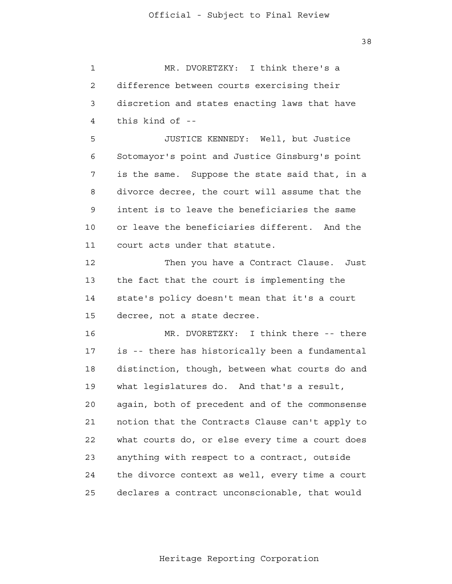38

 1 2 3 4 **5**  6 7 MR. DVORETZKY: I think there's a difference between courts exercising their discretion and states enacting laws that have this kind of - JUSTICE KENNEDY: Well, but Justice Sotomayor's point and Justice Ginsburg's point is the same. Suppose the state said that, in a

 8 9 10 11 divorce decree, the court will assume that the intent is to leave the beneficiaries the same or leave the beneficiaries different. And the court acts under that statute.

 12 13 14 15 Then you have a Contract Clause. Just the fact that the court is implementing the state's policy doesn't mean that it's a court decree, not a state decree.

 16 17 18 19 20 21 **22**  23 24 <u>25</u> MR. DVORETZKY: I think there -- there is -- there has historically been a fundamental distinction, though, between what courts do and what legislatures do. And that's a result, again, both of precedent and of the commonsense notion that the Contracts Clause can't apply to what courts do, or else every time a court does anything with respect to a contract, outside the divorce context as well, every time a court declares a contract unconscionable, that would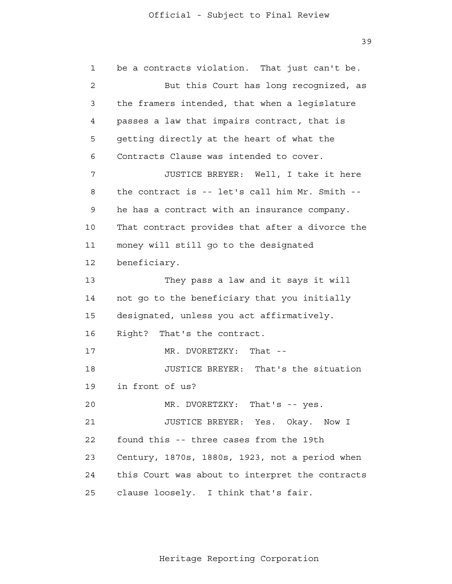1 2 3 4 **5**  6 7 8 9 10 11 12 13 14 15 16 17 18 19 20 21 **22**  23 24 25 be a contracts violation. That just can't be. But this Court has long recognized, as the framers intended, that when a legislature passes a law that impairs contract, that is getting directly at the heart of what the Contracts Clause was intended to cover. JUSTICE BREYER: Well, I take it here the contract is -- let's call him Mr. Smith he has a contract with an insurance company. That contract provides that after a divorce the money will still go to the designated beneficiary. They pass a law and it says it will not go to the beneficiary that you initially designated, unless you act affirmatively. Right? That's the contract. MR. DVORETZKY: That --JUSTICE BREYER: That's the situation in front of us? MR. DVORETZKY: That's -- yes. JUSTICE BREYER: Yes. Okay. Now I found this -- three cases from the 19th Century, 1870s, 1880s, 1923, not a period when this Court was about to interpret the contracts clause loosely. I think that's fair.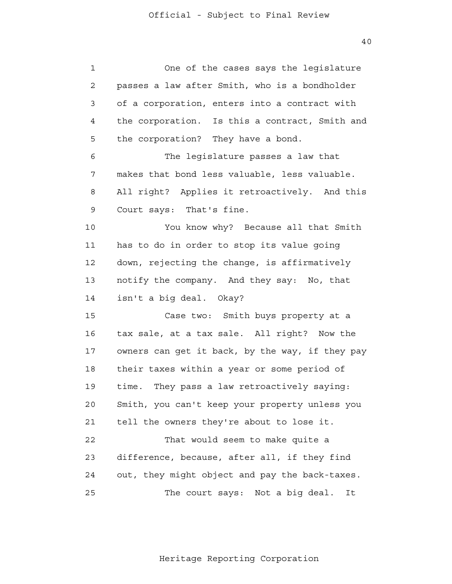40

| $\mathbf 1$ | One of the cases says the legislature           |
|-------------|-------------------------------------------------|
| 2           | passes a law after Smith, who is a bondholder   |
| 3           | of a corporation, enters into a contract with   |
| 4           | the corporation. Is this a contract, Smith and  |
| 5           | the corporation? They have a bond.              |
| 6           | The legislature passes a law that               |
| 7           | makes that bond less valuable, less valuable.   |
| 8           | All right? Applies it retroactively. And this   |
| 9           | Court says: That's fine.                        |
| 10          | You know why? Because all that Smith            |
| 11          | has to do in order to stop its value going      |
| 12          | down, rejecting the change, is affirmatively    |
| 13          | notify the company. And they say: No, that      |
| 14          | isn't a big deal. Okay?                         |
| 15          | Case two: Smith buys property at a              |
| 16          | tax sale, at a tax sale. All right? Now the     |
| 17          | owners can get it back, by the way, if they pay |
| 18          | their taxes within a year or some period of     |
| 19          | time.<br>They pass a law retroactively saying:  |
| 20          | Smith, you can't keep your property unless you  |
| 21          | tell the owners they're about to lose it.       |
| 22          | That would seem to make quite a                 |
| 23          | difference, because, after all, if they find    |
| 24          | out, they might object and pay the back-taxes.  |
| 25          | The court says: Not a big deal.<br>It           |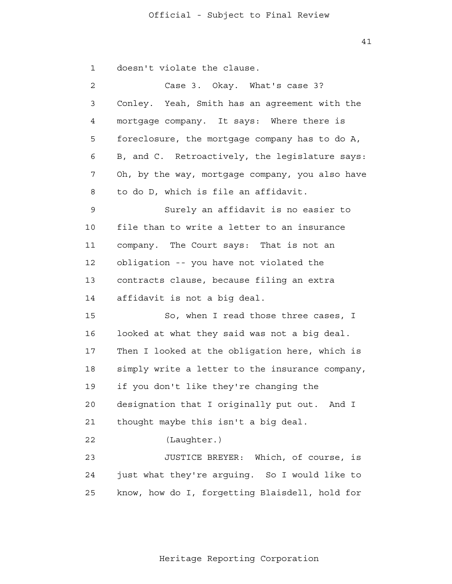41

1 doesn't violate the clause.

| $\overline{a}$ | Case 3. Okay. What's case 3?                    |
|----------------|-------------------------------------------------|
| 3              | Conley. Yeah, Smith has an agreement with the   |
| 4              | mortgage company. It says: Where there is       |
| 5              | foreclosure, the mortgage company has to do A,  |
| 6              | B, and C. Retroactively, the legislature says:  |
| 7              | Oh, by the way, mortgage company, you also have |
| 8              | to do D, which is file an affidavit.            |
| 9              | Surely an affidavit is no easier to             |
| 10             | file than to write a letter to an insurance     |
| 11             | company. The Court says: That is not an         |
| 12             | obligation -- you have not violated the         |
| 13             | contracts clause, because filing an extra       |
| 14             | affidavit is not a big deal.                    |
| 15             | So, when I read those three cases, I            |
| 16             | looked at what they said was not a big deal.    |
| 17             | Then I looked at the obligation here, which is  |
| 18             | simply write a letter to the insurance company, |
| 19             | if you don't like they're changing the          |
| 20             | designation that I originally put out.<br>And I |
| 21             | thought maybe this isn't a big deal.            |
| 22             | (Laughter.)                                     |
| 23             | JUSTICE BREYER: Which, of course, is            |
| 24             | just what they're arguing. So I would like to   |
| 25             | know, how do I, forgetting Blaisdell, hold for  |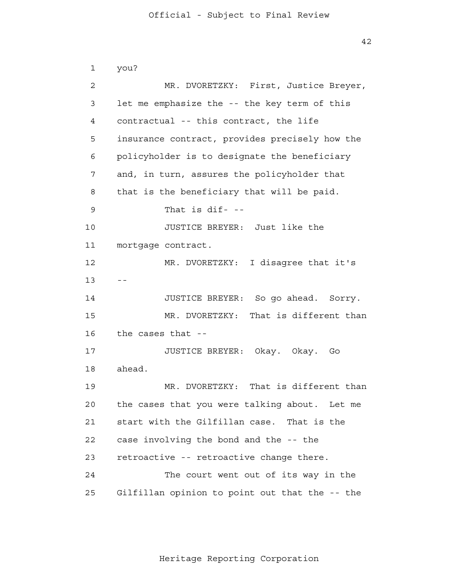42

```
 1 
 2 
 3 
 4 
5
 6 
 7 
 8 
 9 
            10 
           11 
           12 
13 --
            14 
           15 
           16 
           17 
           18 
           19 
           20 
           21 
           22 
           23 
           24 
           25 
                you?
                        MR. DVORETZKY: First, Justice Breyer,
                let me emphasize the -- the key term of this
                contractual -- this contract, the life
                insurance contract, provides precisely how the
                policyholder is to designate the beneficiary
                and, in turn, assures the policyholder that
                that is the beneficiary that will be paid.
                        That is \text{dif}- --
                        JUSTICE BREYER: Just like the
                mortgage contract.
                        MR. DVORETZKY: I disagree that it's
                        JUSTICE BREYER: So go ahead. Sorry.
                        MR. DVORETZKY: That is different than
                the cases that -
                        JUSTICE BREYER: Okay. Okay. Go
                ahead.
                        MR. DVORETZKY: That is different than
                the cases that you were talking about. Let me
                start with the Gilfillan case. That is the
                case involving the bond and the -- the
                retroactive -- retroactive change there.
                        The court went out of its way in the
                Gilfillan opinion to point out that the -- the
```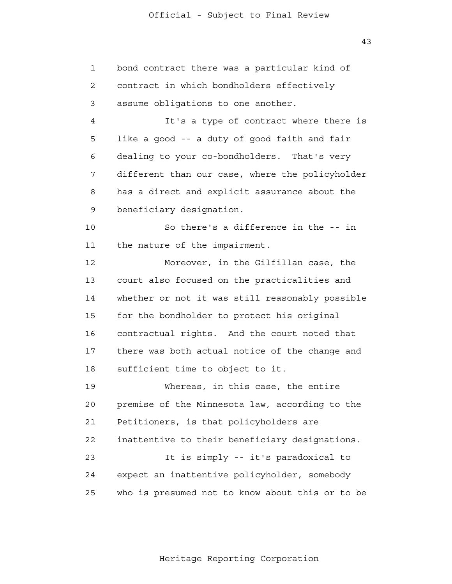1

2

3

4

**5** 

6

7

8

9

14

10

11

12

13

15

16

17

18

19

bond contract there was a particular kind of contract in which bondholders effectively assume obligations to one another. It's a type of contract where there is like a good -- a duty of good faith and fair dealing to your co-bondholders. That's very different than our case, where the policyholder has a direct and explicit assurance about the beneficiary designation. So there's a difference in the -- in the nature of the impairment. Moreover, in the Gilfillan case, the court also focused on the practicalities and whether or not it was still reasonably possible for the bondholder to protect his original contractual rights. And the court noted that there was both actual notice of the change and sufficient time to object to it. Whereas, in this case, the entire premise of the Minnesota law, according to the

 20 21 **22**  23 24 25 Petitioners, is that policyholders are inattentive to their beneficiary designations. It is simply -- it's paradoxical to expect an inattentive policyholder, somebody who is presumed not to know about this or to be

Heritage Reporting Corporation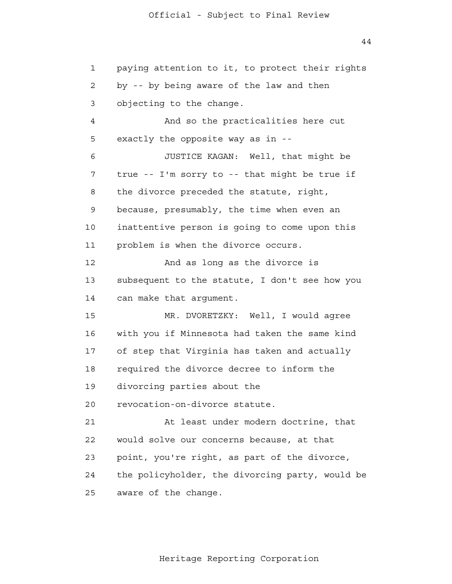44

 1 2 3 4 **5**  6 7 8 9 10 11 12 13 14 15 16 17 18 19 20 21 **22**  23 24 25 paying attention to it, to protect their rights by -- by being aware of the law and then objecting to the change. And so the practicalities here cut exactly the opposite way as in - JUSTICE KAGAN: Well, that might be true -- I'm sorry to -- that might be true if the divorce preceded the statute, right, because, presumably, the time when even an inattentive person is going to come upon this problem is when the divorce occurs. And as long as the divorce is subsequent to the statute, I don't see how you can make that argument. MR. DVORETZKY: Well, I would agree with you if Minnesota had taken the same kind of step that Virginia has taken and actually required the divorce decree to inform the divorcing parties about the revocation-on-divorce statute. At least under modern doctrine, that would solve our concerns because, at that point, you're right, as part of the divorce, the policyholder, the divorcing party, would be aware of the change.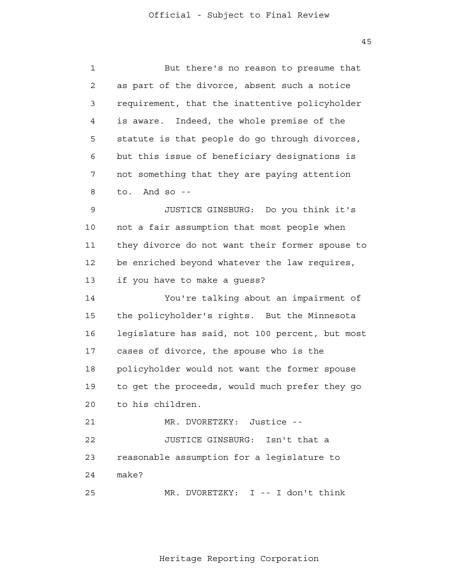45

| $\mathbf 1$    | But there's no reason to presume that           |
|----------------|-------------------------------------------------|
| $\overline{2}$ | as part of the divorce, absent such a notice    |
| 3              | requirement, that the inattentive policyholder  |
| 4              | Indeed, the whole premise of the<br>is aware.   |
| 5              | statute is that people do go through divorces,  |
| 6              | but this issue of beneficiary designations is   |
| 7              | not something that they are paying attention    |
| 8              | And so $-$<br>to.                               |
| 9              | JUSTICE GINSBURG: Do you think it's             |
| 10             | not a fair assumption that most people when     |
| 11             | they divorce do not want their former spouse to |
| 12             | be enriched beyond whatever the law requires,   |
| 13             | if you have to make a guess?                    |
| 14             | You're talking about an impairment of           |
| 15             | the policyholder's rights. But the Minnesota    |
| 16             | legislature has said, not 100 percent, but most |
| $17$           | cases of divorce, the spouse who is the         |
| 18             | policyholder would not want the former spouse   |
| 19             | to get the proceeds, would much prefer they go  |
| 20             | to his children.                                |
| 21             | MR. DVORETZKY: Justice --                       |
| 22             | JUSTICE GINSBURG: Isn't that a                  |
| 23             | reasonable assumption for a legislature to      |
| 24             | make?                                           |
| 25             | MR. DVORETZKY: I -- I don't think               |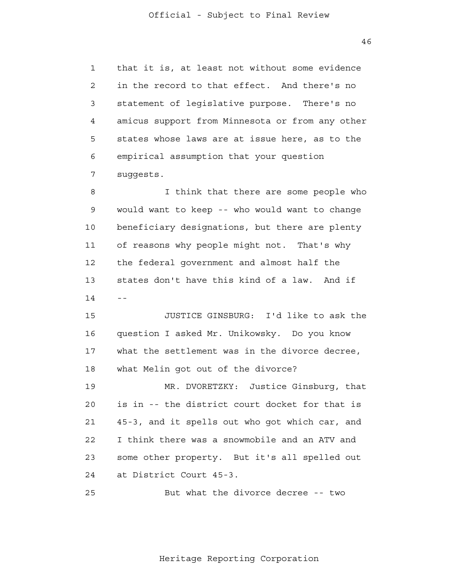1 2 3 4 **5**  6 7 that it is, at least not without some evidence in the record to that effect. And there's no statement of legislative purpose. There's no amicus support from Minnesota or from any other states whose laws are at issue here, as to the empirical assumption that your question suggests.

 8 9 10 11 12 13  $14$  --I think that there are some people who would want to keep -- who would want to change beneficiary designations, but there are plenty of reasons why people might not. That's why the federal government and almost half the states don't have this kind of a law. And if

> 15 16 17 18 JUSTICE GINSBURG: I'd like to ask the question I asked Mr. Unikowsky. Do you know what the settlement was in the divorce decree, what Melin got out of the divorce?

> 19 20 21 22 23 24 MR. DVORETZKY: Justice Ginsburg, that is in -- the district court docket for that is 45-3, and it spells out who got which car, and I think there was a snowmobile and an ATV and some other property. But it's all spelled out at District Court 45-3.

 25 But what the divorce decree -- two

Heritage Reporting Corporation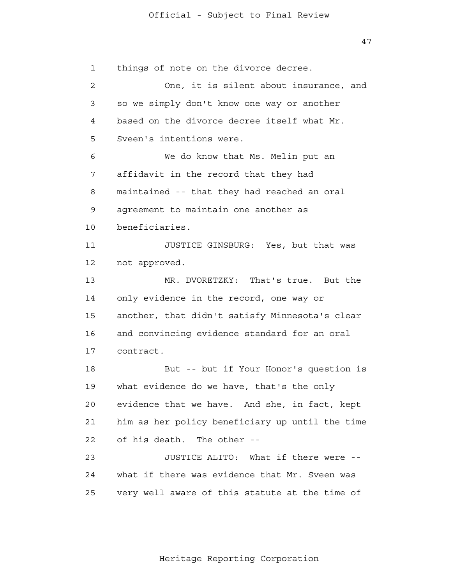47

 1 2 3 4 **5**  6 7 8 9 10 11 12 13 14 15 16 17 18 19 20 21 22 23 24 25 things of note on the divorce decree. One, it is silent about insurance, and so we simply don't know one way or another based on the divorce decree itself what Mr. Sveen's intentions were. We do know that Ms. Melin put an affidavit in the record that they had maintained -- that they had reached an oral agreement to maintain one another as beneficiaries. JUSTICE GINSBURG: Yes, but that was not approved. MR. DVORETZKY: That's true. But the only evidence in the record, one way or another, that didn't satisfy Minnesota's clear and convincing evidence standard for an oral contract. But -- but if Your Honor's question is what evidence do we have, that's the only evidence that we have. And she, in fact, kept him as her policy beneficiary up until the time of his death. The other - JUSTICE ALITO: What if there were what if there was evidence that Mr. Sveen was very well aware of this statute at the time of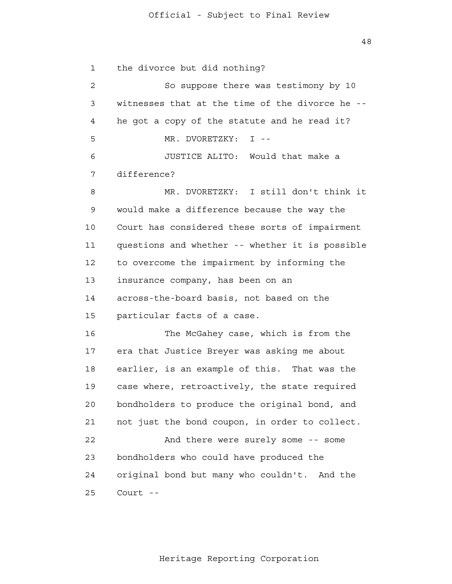48

 1 2 3 4 **5**  6 7 8 9 10 11 12 13 14 15 16 17 18 19 20 21 22 23 24 25 the divorce but did nothing? So suppose there was testimony by 10 witnesses that at the time of the divorce he he got a copy of the statute and he read it? MR. DVORETZKY: I --JUSTICE ALITO: Would that make a difference? MR. DVORETZKY: I still don't think it would make a difference because the way the Court has considered these sorts of impairment questions and whether -- whether it is possible to overcome the impairment by informing the insurance company, has been on an across-the-board basis, not based on the particular facts of a case. The McGahey case, which is from the era that Justice Breyer was asking me about earlier, is an example of this. That was the case where, retroactively, the state required bondholders to produce the original bond, and not just the bond coupon, in order to collect. And there were surely some -- some bondholders who could have produced the original bond but many who couldn't. And the Court -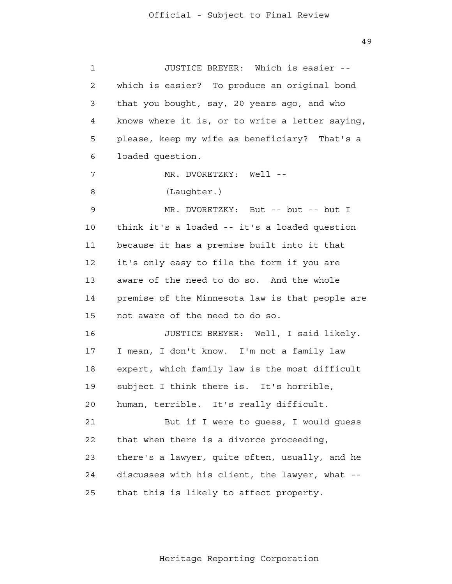49

 1 2 3 4 **5**  6 7 8 9 10 11 12 13 14 15 16 17 18 19 20 21 22 23 24 25 JUSTICE BREYER: Which is easier which is easier? To produce an original bond that you bought, say, 20 years ago, and who knows where it is, or to write a letter saying, please, keep my wife as beneficiary? That's a loaded question. MR. DVORETZKY: Well --(Laughter.) MR. DVORETZKY: But -- but -- but I think it's a loaded -- it's a loaded question because it has a premise built into it that it's only easy to file the form if you are aware of the need to do so. And the whole premise of the Minnesota law is that people are not aware of the need to do so. JUSTICE BREYER: Well, I said likely. I mean, I don't know. I'm not a family law expert, which family law is the most difficult subject I think there is. It's horrible, human, terrible. It's really difficult. But if I were to guess, I would guess that when there is a divorce proceeding, there's a lawyer, quite often, usually, and he discusses with his client, the lawyer, what that this is likely to affect property.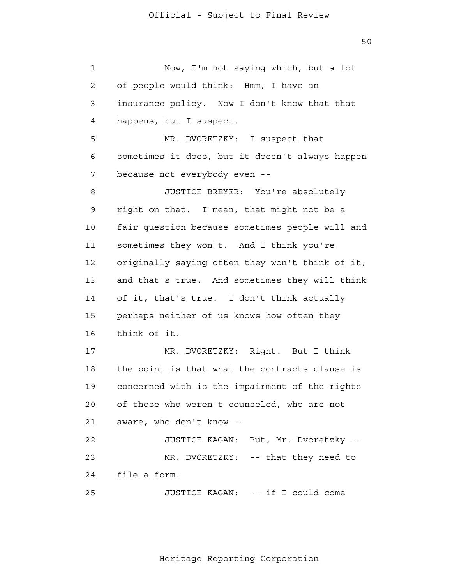50

| $\mathbf 1$ | Now, I'm not saying which, but a lot            |
|-------------|-------------------------------------------------|
| 2           | of people would think: Hmm, I have an           |
| 3           | insurance policy. Now I don't know that that    |
| 4           | happens, but I suspect.                         |
| 5           | MR. DVORETZKY: I suspect that                   |
| 6           | sometimes it does, but it doesn't always happen |
| 7           | because not everybody even --                   |
| 8           | JUSTICE BREYER: You're absolutely               |
| 9           | right on that. I mean, that might not be a      |
| 10          | fair question because sometimes people will and |
| 11          | sometimes they won't. And I think you're        |
| 12          | originally saying often they won't think of it, |
| 13          | and that's true. And sometimes they will think  |
| 14          | of it, that's true. I don't think actually      |
| 15          | perhaps neither of us knows how often they      |
| 16          | think of it.                                    |
| 17          | MR. DVORETZKY: Right. But I think               |
| 18          | the point is that what the contracts clause is  |
| 19          | concerned with is the impairment of the rights  |
| 20          | of those who weren't counseled, who are not     |
| 21          | aware, who don't know --                        |
| 22          | JUSTICE KAGAN: But, Mr. Dvoretzky --            |
| 23          | MR. DVORETZKY: -- that they need to             |
| 24          | file a form.                                    |
| 25          | JUSTICE KAGAN: -- if I could come               |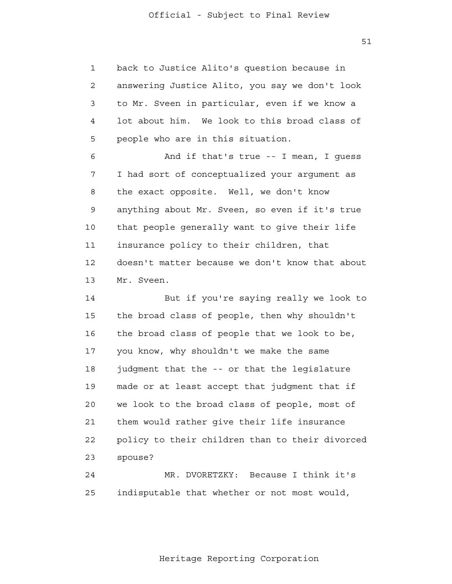1 2 3 4 **5** back to Justice Alito's question because in answering Justice Alito, you say we don't look to Mr. Sveen in particular, even if we know a lot about him. We look to this broad class of people who are in this situation.

 6 7 8 9 10 11 12 13 And if that's true -- I mean, I guess I had sort of conceptualized your argument as the exact opposite. Well, we don't know anything about Mr. Sveen, so even if it's true that people generally want to give their life insurance policy to their children, that doesn't matter because we don't know that about Mr. Sveen.

> 14 15 16 17 18 19 20 21 22 23 But if you're saying really we look to the broad class of people, then why shouldn't the broad class of people that we look to be, you know, why shouldn't we make the same judgment that the -- or that the legislature made or at least accept that judgment that if we look to the broad class of people, most of them would rather give their life insurance policy to their children than to their divorced spouse?

 24 25 MR. DVORETZKY: Because I think it's indisputable that whether or not most would,

Heritage Reporting Corporation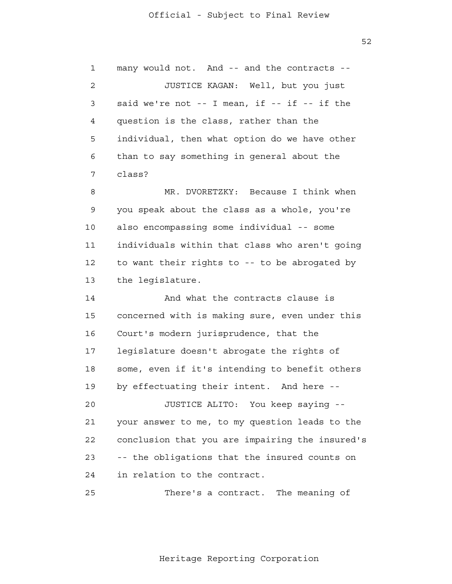1 2 3 4 **5**  6 7 many would not. And -- and the contracts - JUSTICE KAGAN: Well, but you just said we're not -- I mean, if -- if -- if the question is the class, rather than the individual, then what option do we have other than to say something in general about the class?

 8 9 10 11 12 13 MR. DVORETZKY: Because I think when you speak about the class as a whole, you're also encompassing some individual -- some individuals within that class who aren't going to want their rights to -- to be abrogated by the legislature.

 14 15 16 17 18 19 20 21 **22** And what the contracts clause is concerned with is making sure, even under this Court's modern jurisprudence, that the legislature doesn't abrogate the rights of some, even if it's intending to benefit others by effectuating their intent. And here - JUSTICE ALITO: You keep saying your answer to me, to my question leads to the conclusion that you are impairing the insured's

> 23 24 -- the obligations that the insured counts on in relation to the contract.

 25 There's a contract. The meaning of

Heritage Reporting Corporation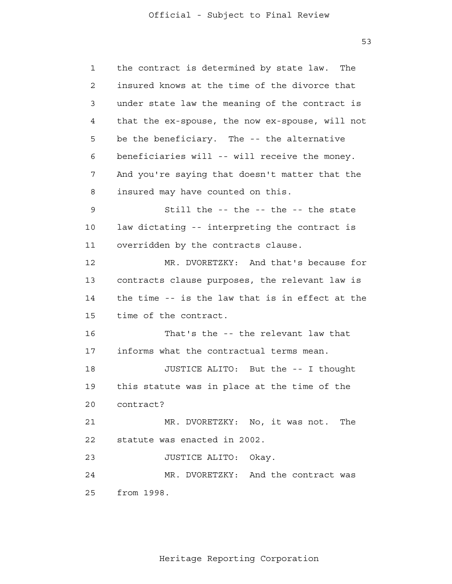1

2

3

4

**5** 

6

7

8

9

14

10

11

12

13

15

16

17

18

19

20

the contract is determined by state law. The insured knows at the time of the divorce that under state law the meaning of the contract is that the ex-spouse, the now ex-spouse, will not be the beneficiary. The -- the alternative beneficiaries will -- will receive the money. And you're saying that doesn't matter that the insured may have counted on this. Still the -- the -- the -- the state law dictating -- interpreting the contract is overridden by the contracts clause. MR. DVORETZKY: And that's because for contracts clause purposes, the relevant law is the time -- is the law that is in effect at the time of the contract. That's the -- the relevant law that informs what the contractual terms mean. JUSTICE ALITO: But the -- I thought this statute was in place at the time of the

 21 **22** MR. DVORETZKY: No, it was not. The statute was enacted in 2002.

> 23 JUSTICE ALITO: Okay.

contract?

 24 25 MR. DVORETZKY: And the contract was from 1998.

Heritage Reporting Corporation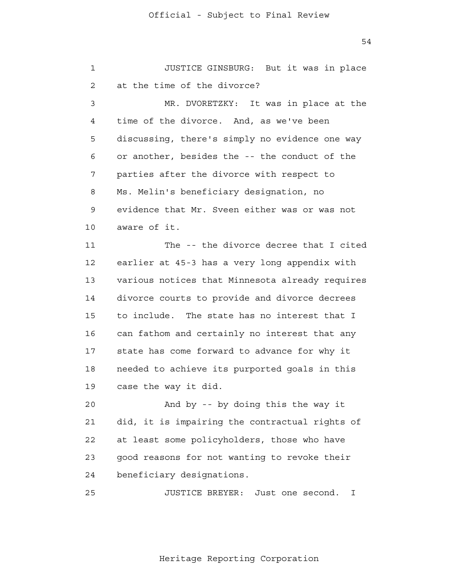54

 1 2 3 4 **5**  6 7 8 9 10 11 12 13 14 15 16 17 18 19 20 21 22 23 24 <u>25</u> JUSTICE GINSBURG: But it was in place at the time of the divorce? MR. DVORETZKY: It was in place at the time of the divorce. And, as we've been discussing, there's simply no evidence one way or another, besides the -- the conduct of the parties after the divorce with respect to Ms. Melin's beneficiary designation, no evidence that Mr. Sveen either was or was not aware of it. The -- the divorce decree that I cited earlier at 45-3 has a very long appendix with various notices that Minnesota already requires divorce courts to provide and divorce decrees to include. The state has no interest that I can fathom and certainly no interest that any state has come forward to advance for why it needed to achieve its purported goals in this case the way it did. And by -- by doing this the way it did, it is impairing the contractual rights of at least some policyholders, those who have good reasons for not wanting to revoke their beneficiary designations. JUSTICE BREYER: Just one second. I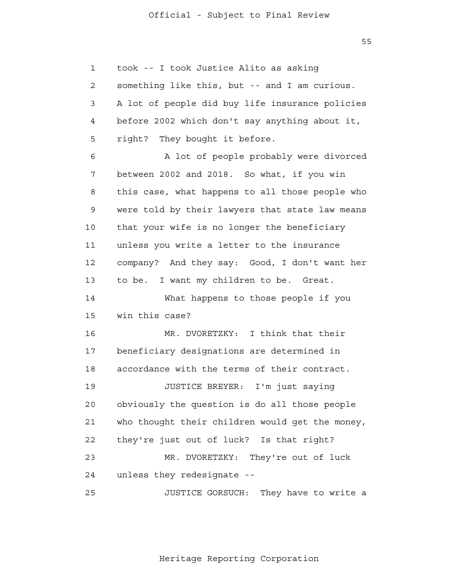$55$ 

 1 2 3 4 **5**  6 7 8 9 10 11 12 13 14 15 16 17 18 19 20 21 **22**  23 24 25 took -- I took Justice Alito as asking something like this, but -- and I am curious. A lot of people did buy life insurance policies before 2002 which don't say anything about it, right? They bought it before. A lot of people probably were divorced between 2002 and 2018. So what, if you win this case, what happens to all those people who were told by their lawyers that state law means that your wife is no longer the beneficiary unless you write a letter to the insurance company? And they say: Good, I don't want her to be. I want my children to be. Great. What happens to those people if you win this case? MR. DVORETZKY: I think that their beneficiary designations are determined in accordance with the terms of their contract. JUSTICE BREYER: I'm just saying obviously the question is do all those people who thought their children would get the money, they're just out of luck? Is that right? MR. DVORETZKY: They're out of luck unless they redesignate - JUSTICE GORSUCH: They have to write a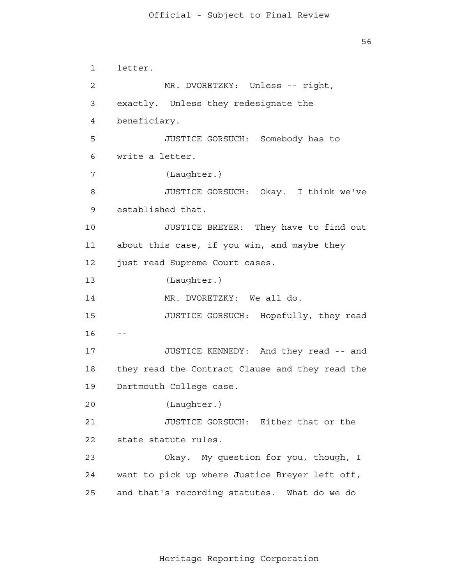56

 1 2 3 4 **5**  6 7 8 9 10 11 12 13 14 15  $16 - -$  17 18 19 20 21 22 23 24 25 letter. MR. DVORETZKY: Unless -- right, exactly. Unless they redesignate the beneficiary. JUSTICE GORSUCH: Somebody has to write a letter. (Laughter.) JUSTICE GORSUCH: Okay. I think we've established that. JUSTICE BREYER: They have to find out about this case, if you win, and maybe they just read Supreme Court cases. (Laughter.) MR. DVORETZKY: We all do. JUSTICE GORSUCH: Hopefully, they read JUSTICE KENNEDY: And they read -- and they read the Contract Clause and they read the Dartmouth College case. (Laughter.) JUSTICE GORSUCH: Either that or the state statute rules. Okay. My question for you, though, I want to pick up where Justice Breyer left off, and that's recording statutes. What do we do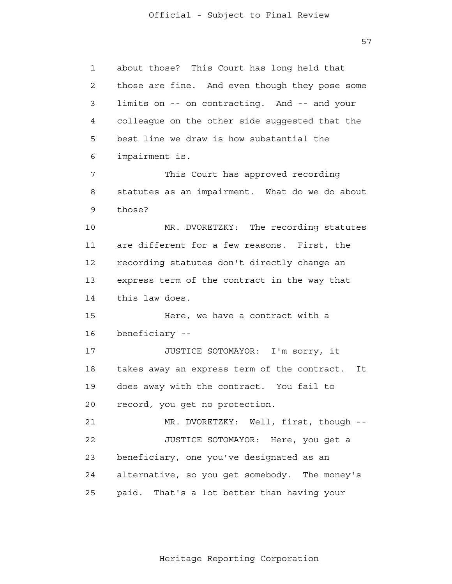57

 1 2 3 4 **5**  6 7 8 9 10 11 12 13 14 15 16 17 18 19 20 21 22 23 24 25 about those? This Court has long held that those are fine. And even though they pose some limits on -- on contracting. And -- and your colleague on the other side suggested that the best line we draw is how substantial the impairment is. This Court has approved recording statutes as an impairment. What do we do about those? MR. DVORETZKY: The recording statutes are different for a few reasons. First, the recording statutes don't directly change an express term of the contract in the way that this law does. Here, we have a contract with a beneficiary - JUSTICE SOTOMAYOR: I'm sorry, it takes away an express term of the contract. It does away with the contract. You fail to record, you get no protection. MR. DVORETZKY: Well, first, though - JUSTICE SOTOMAYOR: Here, you get a beneficiary, one you've designated as an alternative, so you get somebody. The money's paid. That's a lot better than having your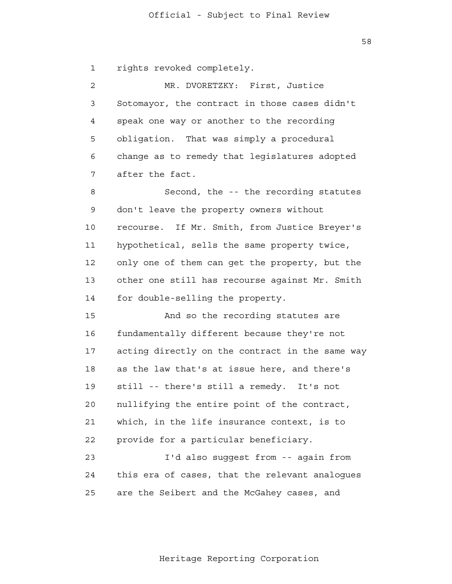58

 1 rights revoked completely.

 2 3 4 **5**  6 7 MR. DVORETZKY: First, Justice Sotomayor, the contract in those cases didn't speak one way or another to the recording obligation. That was simply a procedural change as to remedy that legislatures adopted after the fact.

 8 9 10 11 12 13 14 Second, the -- the recording statutes don't leave the property owners without recourse. If Mr. Smith, from Justice Breyer's hypothetical, sells the same property twice, only one of them can get the property, but the other one still has recourse against Mr. Smith for double-selling the property.

 15 16 17 18 19 20 21 **22** And so the recording statutes are fundamentally different because they're not acting directly on the contract in the same way as the law that's at issue here, and there's still -- there's still a remedy. It's not nullifying the entire point of the contract, which, in the life insurance context, is to provide for a particular beneficiary.

 23 24 <u>25</u> I'd also suggest from -- again from this era of cases, that the relevant analogues are the Seibert and the McGahey cases, and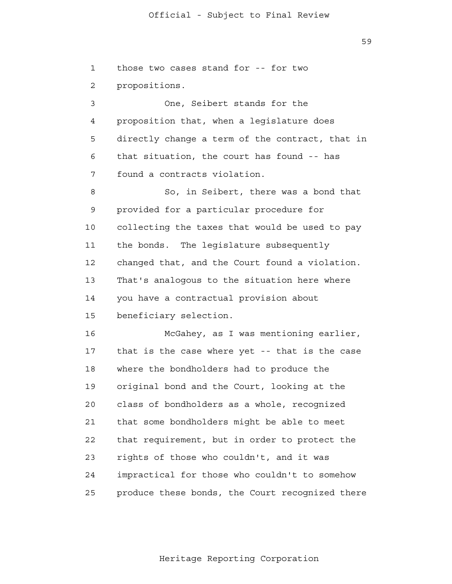59

 1 2 3 4 **5**  6 7 8 9 10 11 12 13 14 15 16 17 18 19 20 21 22 23 24 25 those two cases stand for -- for two propositions. One, Seibert stands for the proposition that, when a legislature does directly change a term of the contract, that in that situation, the court has found -- has found a contracts violation. So, in Seibert, there was a bond that provided for a particular procedure for collecting the taxes that would be used to pay the bonds. The legislature subsequently changed that, and the Court found a violation. That's analogous to the situation here where you have a contractual provision about beneficiary selection. McGahey, as I was mentioning earlier, that is the case where yet -- that is the case where the bondholders had to produce the original bond and the Court, looking at the class of bondholders as a whole, recognized that some bondholders might be able to meet that requirement, but in order to protect the rights of those who couldn't, and it was impractical for those who couldn't to somehow produce these bonds, the Court recognized there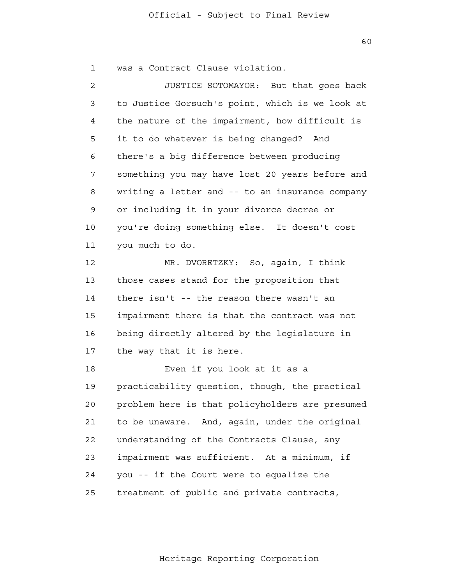60

 1 was a Contract Clause violation.

 2 3 4 **5**  6 7 8 9 10 11 12 13 14 15 16 17 18 19 20 21 22 23 24 25 JUSTICE SOTOMAYOR: But that goes back to Justice Gorsuch's point, which is we look at the nature of the impairment, how difficult is it to do whatever is being changed? And there's a big difference between producing something you may have lost 20 years before and writing a letter and -- to an insurance company or including it in your divorce decree or you're doing something else. It doesn't cost you much to do. MR. DVORETZKY: So, again, I think those cases stand for the proposition that there isn't -- the reason there wasn't an impairment there is that the contract was not being directly altered by the legislature in the way that it is here. Even if you look at it as a practicability question, though, the practical problem here is that policyholders are presumed to be unaware. And, again, under the original understanding of the Contracts Clause, any impairment was sufficient. At a minimum, if you -- if the Court were to equalize the treatment of public and private contracts,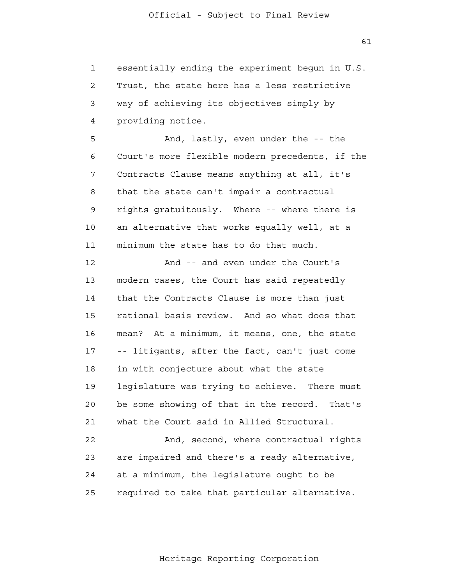61

 1 2 3 4 **5**  6 7 8 9 10 11 12 13 14 15 16 17 18 19 20 21 22 23 24 25 essentially ending the experiment begun in U.S. Trust, the state here has a less restrictive way of achieving its objectives simply by providing notice. And, lastly, even under the -- the Court's more flexible modern precedents, if the Contracts Clause means anything at all, it's that the state can't impair a contractual rights gratuitously. Where -- where there is an alternative that works equally well, at a minimum the state has to do that much. And -- and even under the Court's modern cases, the Court has said repeatedly that the Contracts Clause is more than just rational basis review. And so what does that mean? At a minimum, it means, one, the state -- litigants, after the fact, can't just come in with conjecture about what the state legislature was trying to achieve. There must be some showing of that in the record. That's what the Court said in Allied Structural. And, second, where contractual rights are impaired and there's a ready alternative, at a minimum, the legislature ought to be required to take that particular alternative.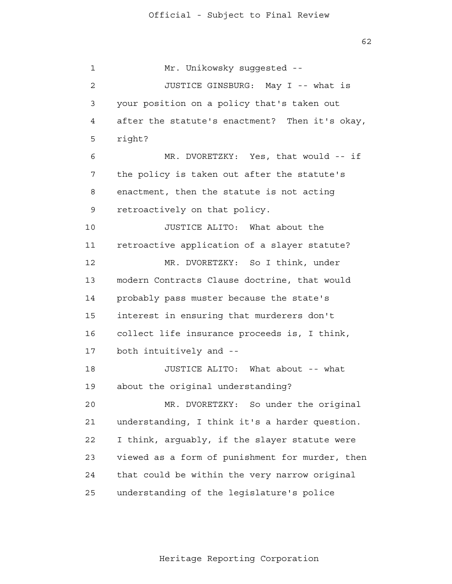$62$ 

 1 2 3 4 **5**  6 7 8 9 10 11 12 13 14 15 16 17 18 19 20 21 22 23 24 25 Mr. Unikowsky suggested --JUSTICE GINSBURG: May I -- what is your position on a policy that's taken out after the statute's enactment? Then it's okay, right? MR. DVORETZKY: Yes, that would -- if the policy is taken out after the statute's enactment, then the statute is not acting retroactively on that policy. JUSTICE ALITO: What about the retroactive application of a slayer statute? MR. DVORETZKY: So I think, under modern Contracts Clause doctrine, that would probably pass muster because the state's interest in ensuring that murderers don't collect life insurance proceeds is, I think, both intuitively and - JUSTICE ALITO: What about -- what about the original understanding? MR. DVORETZKY: So under the original understanding, I think it's a harder question. I think, arguably, if the slayer statute were viewed as a form of punishment for murder, then that could be within the very narrow original understanding of the legislature's police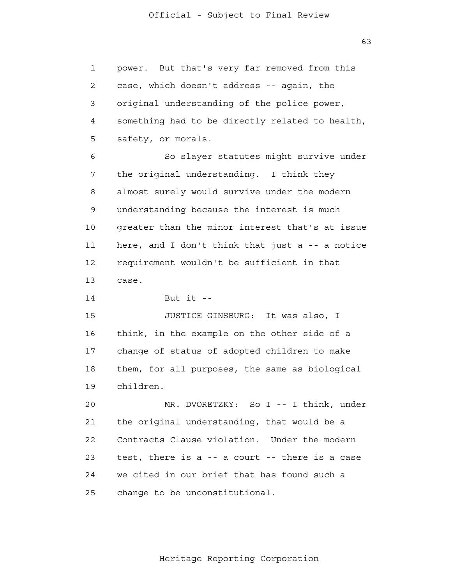1 2 3 4 **5** power. But that's very far removed from this case, which doesn't address -- again, the original understanding of the police power, something had to be directly related to health, safety, or morals.

 6 7 8 9 10 11 12 13 So slayer statutes might survive under the original understanding. I think they almost surely would survive under the modern understanding because the interest is much greater than the minor interest that's at issue here, and I don't think that just a -- a notice requirement wouldn't be sufficient in that case.

> 14 But it  $-$

 15 16 17 18 19 JUSTICE GINSBURG: It was also, I think, in the example on the other side of a change of status of adopted children to make them, for all purposes, the same as biological children.

 20 21 22 23 24 25 MR. DVORETZKY: So I -- I think, under the original understanding, that would be a Contracts Clause violation. Under the modern test, there is a -- a court -- there is a case we cited in our brief that has found such a change to be unconstitutional.

Heritage Reporting Corporation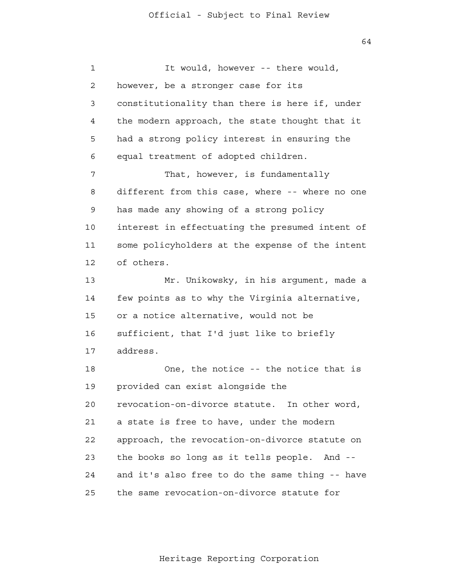64

 1 2 3 4 **5**  6 7 8 9 10 11 12 13 14 15 16 17 18 19 20 21 **22**  23 24 <u>25</u> It would, however -- there would, however, be a stronger case for its constitutionality than there is here if, under the modern approach, the state thought that it had a strong policy interest in ensuring the equal treatment of adopted children. That, however, is fundamentally different from this case, where -- where no one has made any showing of a strong policy interest in effectuating the presumed intent of some policyholders at the expense of the intent of others. Mr. Unikowsky, in his argument, made a few points as to why the Virginia alternative, or a notice alternative, would not be sufficient, that I'd just like to briefly address. One, the notice -- the notice that is provided can exist alongside the revocation-on-divorce statute. In other word, a state is free to have, under the modern approach, the revocation-on-divorce statute on the books so long as it tells people. And and it's also free to do the same thing -- have the same revocation-on-divorce statute for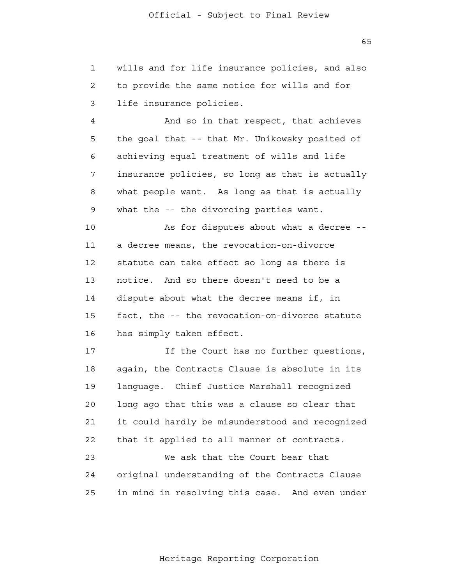1 2 3 wills and for life insurance policies, and also to provide the same notice for wills and for life insurance policies.

 4 **5**  6 7 8 9 And so in that respect, that achieves the goal that -- that Mr. Unikowsky posited of achieving equal treatment of wills and life insurance policies, so long as that is actually what people want. As long as that is actually what the -- the divorcing parties want.

 10 11 12 13 14 15 16 As for disputes about what a decree a decree means, the revocation-on-divorce statute can take effect so long as there is notice. And so there doesn't need to be a dispute about what the decree means if, in fact, the -- the revocation-on-divorce statute has simply taken effect.

 17 18 19 20 21 22 23 24 <u>25</u> If the Court has no further questions, again, the Contracts Clause is absolute in its language. Chief Justice Marshall recognized long ago that this was a clause so clear that it could hardly be misunderstood and recognized that it applied to all manner of contracts. We ask that the Court bear that original understanding of the Contracts Clause in mind in resolving this case. And even under

Heritage Reporting Corporation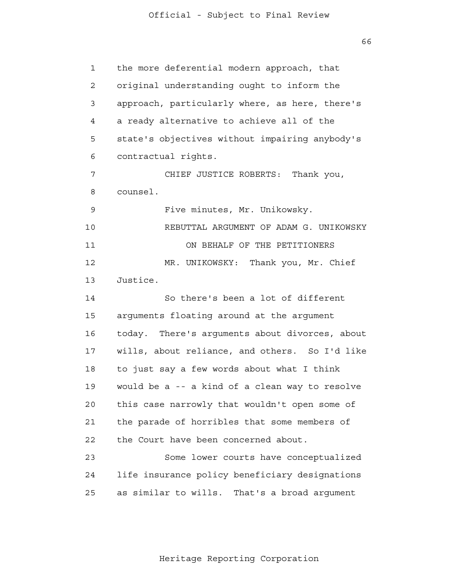$66$ 

 1 2 3 4 **5**  6 7 8 9 10 11 12 13 14 15 16 17 18 19 20 21 22 23 24 25 the more deferential modern approach, that original understanding ought to inform the approach, particularly where, as here, there's a ready alternative to achieve all of the state's objectives without impairing anybody's contractual rights. CHIEF JUSTICE ROBERTS: Thank you, counsel. Five minutes, Mr. Unikowsky. REBUTTAL ARGUMENT OF ADAM G. UNIKOWSKY ON BEHALF OF THE PETITIONERS MR. UNIKOWSKY: Thank you, Mr. Chief Justice. So there's been a lot of different arguments floating around at the argument today. There's arguments about divorces, about wills, about reliance, and others. So I'd like to just say a few words about what I think would be a -- a kind of a clean way to resolve this case narrowly that wouldn't open some of the parade of horribles that some members of the Court have been concerned about. Some lower courts have conceptualized life insurance policy beneficiary designations as similar to wills. That's a broad argument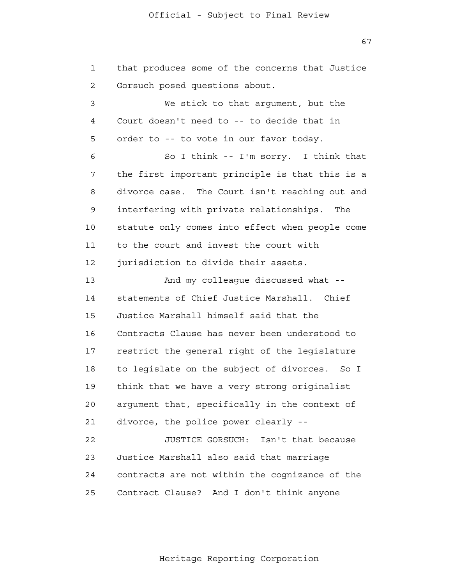67

 1 2 3 4 **5**  6 7 8 9 10 11 12 13 14 15 16 17 18 19 20 21 22 23 24 <u>25</u> that produces some of the concerns that Justice Gorsuch posed questions about. We stick to that argument, but the Court doesn't need to -- to decide that in order to -- to vote in our favor today. So I think -- I'm sorry. I think that the first important principle is that this is a divorce case. The Court isn't reaching out and interfering with private relationships. The statute only comes into effect when people come to the court and invest the court with jurisdiction to divide their assets. And my colleague discussed what statements of Chief Justice Marshall. Chief Justice Marshall himself said that the Contracts Clause has never been understood to restrict the general right of the legislature to legislate on the subject of divorces. So I think that we have a very strong originalist argument that, specifically in the context of divorce, the police power clearly - JUSTICE GORSUCH: Isn't that because Justice Marshall also said that marriage contracts are not within the cognizance of the Contract Clause? And I don't think anyone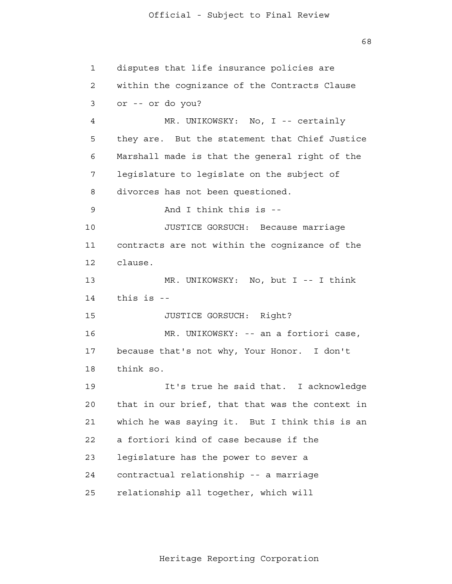$68$ 

 1 2 3 4 **5**  6 7 8 9 10 11 12 13 14 15 16 17 18 19 20 21 22 23 24 25 disputes that life insurance policies are within the cognizance of the Contracts Clause or -- or do you? MR. UNIKOWSKY: No, I -- certainly they are. But the statement that Chief Justice Marshall made is that the general right of the legislature to legislate on the subject of divorces has not been questioned. And I think this is - JUSTICE GORSUCH: Because marriage contracts are not within the cognizance of the clause. MR. UNIKOWSKY: No, but I -- I think this is - JUSTICE GORSUCH: Right? MR. UNIKOWSKY: -- an a fortiori case, because that's not why, Your Honor. I don't think so. It's true he said that. I acknowledge that in our brief, that that was the context in which he was saying it. But I think this is an a fortiori kind of case because if the legislature has the power to sever a contractual relationship -- a marriage relationship all together, which will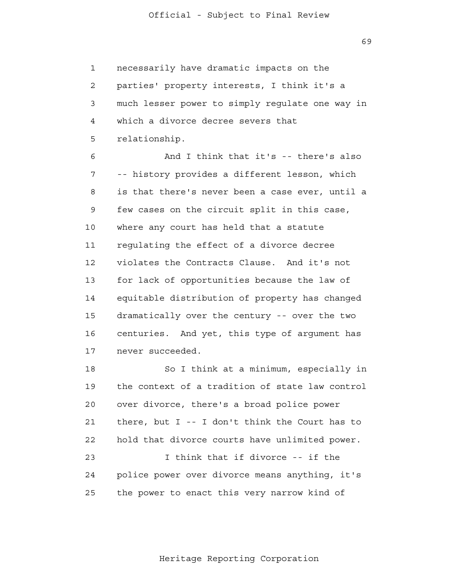necessarily have dramatic impacts on the parties' property interests, I think it's a much lesser power to simply regulate one way in which a divorce decree severs that relationship.

1

2

3

4

**5** 

 6 7 8 9 10 11 12 13 14 15 16 17 And I think that it's -- there's also -- history provides a different lesson, which is that there's never been a case ever, until a few cases on the circuit split in this case, where any court has held that a statute regulating the effect of a divorce decree violates the Contracts Clause. And it's not for lack of opportunities because the law of equitable distribution of property has changed dramatically over the century -- over the two centuries. And yet, this type of argument has never succeeded.

> 18 19 20 21 22 23 24 25 So I think at a minimum, especially in the context of a tradition of state law control over divorce, there's a broad police power there, but I -- I don't think the Court has to hold that divorce courts have unlimited power. I think that if divorce -- if the police power over divorce means anything, it's the power to enact this very narrow kind of

 $69$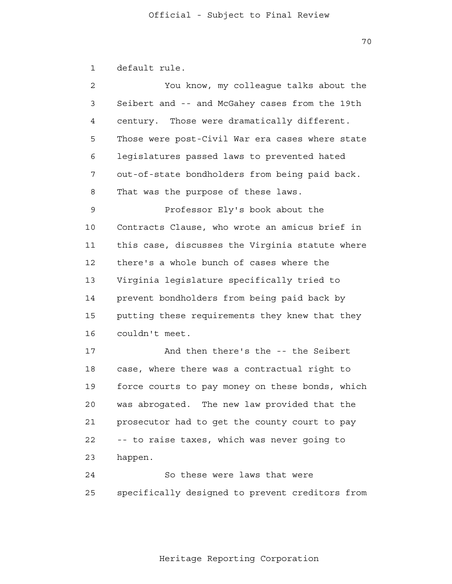1 default rule.

| You know, my colleague talks about the          |
|-------------------------------------------------|
| Seibert and -- and McGahey cases from the 19th  |
| century. Those were dramatically different.     |
| Those were post-Civil War era cases where state |
| legislatures passed laws to prevented hated     |
| out-of-state bondholders from being paid back.  |
| That was the purpose of these laws.             |
| Professor Ely's book about the                  |
| Contracts Clause, who wrote an amicus brief in  |
| this case, discusses the Virginia statute where |
| there's a whole bunch of cases where the        |
| Virginia legislature specifically tried to      |
| prevent bondholders from being paid back by     |
| putting these requirements they knew that they  |
| couldn't meet.                                  |
| And then there's the -- the Seibert             |
| case, where there was a contractual right to    |
| force courts to pay money on these bonds, which |
| was abrogated. The new law provided that the    |
| prosecutor had to get the county court to pay   |
| -- to raise taxes, which was never going to     |
| happen.                                         |
| So these were laws that were                    |
|                                                 |

 specifically designed to prevent creditors from 25

Heritage Reporting Corporation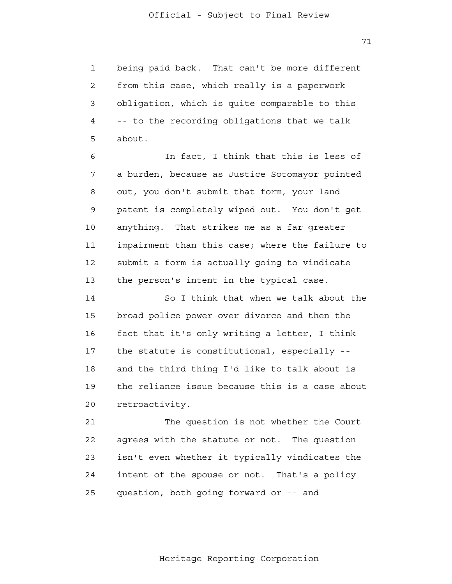1 2 3 4 **5** being paid back. That can't be more different from this case, which really is a paperwork obligation, which is quite comparable to this -- to the recording obligations that we talk about.

 6 7 8 9 10 11 12 13 In fact, I think that this is less of a burden, because as Justice Sotomayor pointed out, you don't submit that form, your land patent is completely wiped out. You don't get anything. That strikes me as a far greater impairment than this case; where the failure to submit a form is actually going to vindicate the person's intent in the typical case.

> 14 15 16 17 18 19 20 So I think that when we talk about the broad police power over divorce and then the fact that it's only writing a letter, I think the statute is constitutional, especially and the third thing I'd like to talk about is the reliance issue because this is a case about retroactivity.

 21 22 23 24 25 The question is not whether the Court agrees with the statute or not. The question isn't even whether it typically vindicates the intent of the spouse or not. That's a policy question, both going forward or -- and

Heritage Reporting Corporation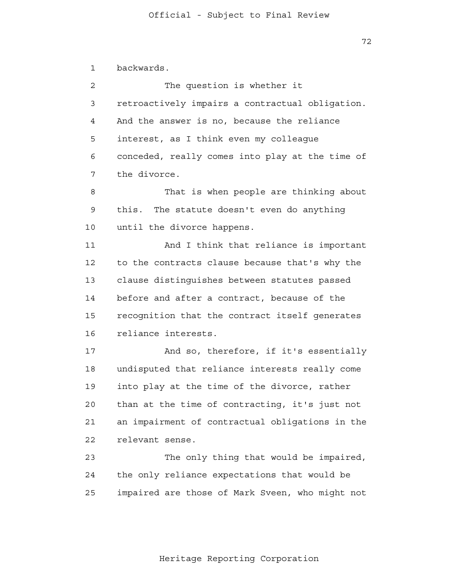## Official - Subject to Final Review

72

 1 backwards.

 2 3 4 **5**  6 7 The question is whether it retroactively impairs a contractual obligation. And the answer is no, because the reliance interest, as I think even my colleague conceded, really comes into play at the time of the divorce.

 8 9 10 That is when people are thinking about this. The statute doesn't even do anything until the divorce happens.

 11 12 13 14 15 16 And I think that reliance is important to the contracts clause because that's why the clause distinguishes between statutes passed before and after a contract, because of the recognition that the contract itself generates reliance interests.

> 17 18 19 20 21 22 And so, therefore, if it's essentially undisputed that reliance interests really come into play at the time of the divorce, rather than at the time of contracting, it's just not an impairment of contractual obligations in the relevant sense.

> 23 24 25 The only thing that would be impaired, the only reliance expectations that would be impaired are those of Mark Sveen, who might not

> > Heritage Reporting Corporation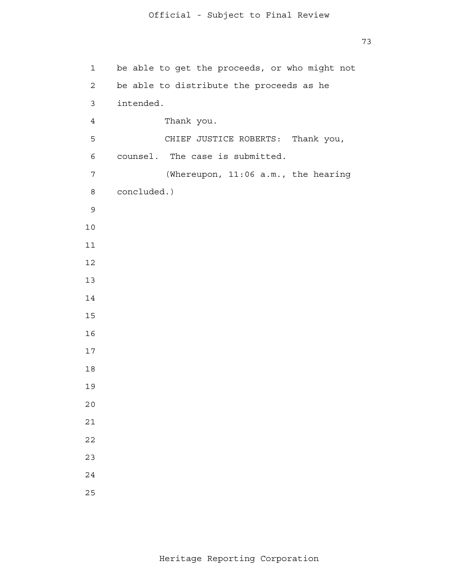```
 1 
            2 
 3 
 4 
5
            6 
 7 
            8 
 9
           10
           11
           12
           13
           14
           15
           16
           17
           18
           19
           20
           21
           22
           23
           24
           25
               be able to get the proceeds, or who might not
               be able to distribute the proceeds as he
               intended.
                       Thank you.
                       CHIEF JUSTICE ROBERTS: Thank you,
               counsel. The case is submitted.
                        (Whereupon, 11:06 a.m., the hearing
               concluded.)
```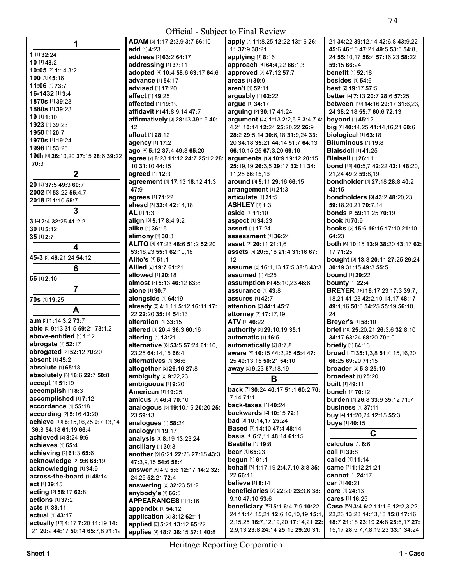**All Contracts** 

| 1                                  | ADAM [5] 1:17 2:3,9 3:7 66:10              | apply [7] 11:8,25 12:22 13:16 26:          | 21 34:22 39:12,14 42:6,8 43:9,22              |
|------------------------------------|--------------------------------------------|--------------------------------------------|-----------------------------------------------|
|                                    | add [1] 4:23                               | 11 37:9 38:21                              | 45:6 46:10 47:21 49:5 53:5 54:8.              |
| 1 [1] 32:24                        | address [2] 63:2 64:17                     | applying [1] 8:16                          | 24 55:10,17 56:4 57:16,23 58:22               |
| 10 [1] 48:2                        | addressing [1] 37:11                       | approach [4] 64:4,22 66:1,3                | 59:15 66:24                                   |
| 10:05 [2] 1:14 3:2                 | adopted [4] 10:4 58:6 63:17 64:6           | approved [2] 47:12 57:7                    | <b>benefit</b> [1] 52:18                      |
| 100 [1] 45:16                      | advance [1] 54:17                          | areas [1] 30:9                             | <b>besides</b> [1] 54:6                       |
| 11:06 [1] 73:7                     | advised [1] 17:20                          | aren't [1] 52:11                           | best [2] 19:17 57:5                           |
| 16-1432 [1] 3:4                    | affect [1] 49:25                           | arguably [1] 62:22                         | better [4] 7:13 20:7 28:6 57:25               |
| 1870s [1] 39:23                    | affected [1] 19:19                         | argue [1] 34:17                            | between [10] 14:16 29:17 31:6,23,             |
| 1880s [1] 39:23                    | affidavit [4] 41:8,9,14 47:7               | arguing [2] 30:17 41:24                    | 24 38:2,18 55:7 60:6 72:13                    |
| 19 [1] 1:10                        |                                            |                                            |                                               |
| 1923 [1] 39:23                     | affirmatively [3] 28:13 39:15 40:          | argument [32] 1:13 2:2,5,8 3:4,7 4:        | beyond [1] 45:12                              |
| 1950 [1] 20:7                      | 12                                         | 4,21 10:14 12:24 25:20,22 26:9             | big [6] 40:14,25 41:14,16,21 60:6             |
| 1970s [1] 19:24                    | afloat [1] 28:12                           | 28:2 29:5,14 30:6,18 31:9,24 33:           | biological [1] 63:18                          |
| 1998 [1] 53:25                     | agency [1] 17:2                            | 20 34:18 35:21 44:14 51:7 64:13            | Bituminous [1] 19:8                           |
|                                    | ago [4] 5:12 37:4 49:3 65:20               | 66:10,15,25 67:3,20 69:16                  | <b>Blaisdell [1] 41:25</b>                    |
| 19th [6] 26:10,20 27:15 28:6 39:22 | agree [7] 8:23 11:12 24:7 25:12 28:        | arguments [13] 10:9 19:12 20:15            | <b>Blaisell</b> [1] 26:11                     |
| 70:3                               | 10 31:10 44:15                             | 25:19,19 26:3,5 29:17 32:11 34:            | bond [10] 40:5,7 42:22 43:1 48:20,            |
| $\mathbf 2$                        | agreed [1] 12:3                            | 11,25 66:15,16                             | 21,24 49:2 59:8,19                            |
|                                    | agreement [4] 17:13 18:12 41:3             | around [3] 5:11 29:16 66:15                | bondholder [4] 27:18 28:8 40:2                |
| 20 [3] 37:5 49:3 60:7              | 47:9                                       | arrangement [1] 21:3                       | 43:15                                         |
| 2002 [3] 53:22 55:4,7              | agrees [1] 71:22                           | articulate [1] 31:5                        | bondholders [8] 43:2 48:20,23                 |
| 2018 [2] 1:10 55:7                 | ahead [3] 32:4 42:14,18                    | <b>ASHLEY [1] 1:3</b>                      | 59:18,20,21 70:7,14                           |
| 3                                  | AL [1] 1:3                                 | aside [1] 11:10                            | bonds [3] 59:11,25 70:19                      |
|                                    |                                            |                                            | book [1] 70:9                                 |
| 3 [4] 2:4 32:25 41:2,2             | align [3] 5:17 8:4 9:2                     | aspect [1] 34:23                           |                                               |
| 30 [1] 5:12                        | alike [1] 36:15                            | assert [1] 17:24                           | books [5] 15:6 16:16 17:10 21:10              |
| 35 [1] 2:7                         | alimony [1] 30:3                           | <b>assessment</b> [1] 36:24                | 64:23                                         |
| $\overline{\mathbf{4}}$            | ALITO [9] 47:23 48:6 51:2 52:20            | asset [3] 20:11 21:1.6                     | both [6] 10:15 13:9 38:20 43:17 62:           |
| 45-3 [3] 46:21,24 54:12            | 53:18,23 55:1 62:10,18<br>Alito's [1] 51:1 | assets [5] 20:5,18 21:4 31:16 67:<br>12    | 17 71:25<br>bought [8] 13:3 20:11 27:25 29:24 |
| 6                                  | Allied [2] 19:7 61:21                      | assume [5] 16:1,13 17:5 38:8 43:3          | 30:19 31:15 49:3 55:5                         |
|                                    | allowed [1] 20:18                          | assumed [1] 4:25                           | <b>bound</b> [1] 29:22                        |
| 66 [1] 2:10                        | almost [3] 5:13 46:12 63:8                 | assumption [3] 45:10,23 46:6               | <b>bounty</b> [1] 22:4                        |
| $\overline{7}$                     | alone [1] 30:7                             | assurance [1] 43:8                         | BREYER [19] 16:17,23 17:3 39:7,               |
| 70s [1] 19:25                      | alongside [1] 64:19                        | <b>assures</b> [1] 42:7                    | 18,21 41:23 42:2,10,14,17 48:17               |
| A                                  | already [8] 4:1,11 5:12 16:11 17:          | attention [2] 44:1 45:7                    | 49:1,16 50:8 54:25 55:19 56:10,               |
|                                    | 22 22:20 35:14 54:13                       | attorney [2] 17:17,19                      | 24                                            |
| a.m [3] 1:14 3:2 73:7              | alteration [1] 33:15                       | ATV [1] 46:22                              | Breyer's [1] 58:10                            |
| able [5] 9:13 31:5 59:21 73:1.2    | altered [3] 20:4 36:3 60:16                | authority [3] 29:10,19 35:1                | brief [10] 25:20,21 26:3,6 32:8,10            |
| above-entitled [1] 1:12            | altering [1] 13:21                         | automatic [1] 16:5                         | 34:17 63:24 68:20 70:10                       |
| abrogate [1] 52:17                 | alternative [8] 53:5 57:24 61:10,          | automatically [2] 8:7,8                    | briefly [1] 64:16                             |
| abrogated [2] 52:12 70:20          | 23,25 64:14,15 66:4                        | aware [9] 16:15 44:2,25 45:4 47:           | broad [10] 35:1,3,8 51:4,15,16,20             |
| absent [1] 45:2                    | alternatives [1] 36:6                      | 25 49:13,15 50:21 54:10                    | 66:25 69:20 71:15                             |
| absolute [1] 65:18                 | altogether [2] 26:16 27:8                  | away [3] 9:23 57:18,19                     | <b>broader</b> [2] <b>5:3 25:19</b>           |
| absolutely [3] 18:6 22:7 50:8      | ambiguity [2] 9:22,23                      |                                            | <b>broadest</b> [1] 25:20                     |
| accept [1] 51:19                   | ambiguous [1] 9:20                         | B                                          | built [1] 49:11                               |
| accomplish [1] 8:3                 | <b>American [1] 19:25</b>                  | back [7] 30:24 40:17 51:1 60:2 70:         | bunch [1] 70:12                               |
| accomplished [1] 7:12              | amicus [2] 46:4 70:10                      | 7,14 71:1                                  | burden [4] 26:8 33:9 35:12 71:7               |
| accordance [1] 55:18               | analogous [5] 19:10,15 20:20 25:           | back-taxes [1] 40:24                       | <b>business</b> [1] 37:11                     |
| according [2] 5:16 43:20           |                                            | backwards [2] 10:15 72:1                   |                                               |
| achieve [10] 8:15,16,25 9:7,13,14  | 23 59:13                                   | bad [3] 10:14,17 25:24                     | buy [4] 11:20,24 12:15 55:3                   |
| 36:8 54:18 61:19 66:4              | analogues [1] 58:24                        | Based [3] 14:10 47:4 48:14                 | <b>buys</b> [1] 40:15                         |
| achieved [2] 8:24 9:6              | analogy [1] 19:17                          | <b>basis</b> [4] <b>6:7,11 48:14 61:15</b> | C                                             |
|                                    | analysis [3] 8:19 13:23,24                 | <b>Bastille [1] 19:8</b>                   | calculus [1] 6:6                              |
| achieves [1] 65:4                  | ancillary [1] 30:3                         | <b>bear</b> [1] <b>65:23</b>               | <b>call</b> [1] 39:8                          |
| achieving [2] 61:3 65:6            | another [9] 6:21 22:23 27:15 43:3          | begun [1] 61:1                             | called [1] 11:14                              |
| acknowledge [2] 9:6 68:19          | 47:3,9,15 54:6 58:4                        | behalf [8] 1:17,19 2:4,7,10 3:8 35:        | came [2] 1:12 21:21                           |
| acknowledging [1] 34:9             | answer [8] 4:9 5:6 12:17 14:2 32:          | 22 66:11                                   | cannot [1] 24:17                              |
| across-the-board [1] 48:14         | 24, 25 52: 21 72: 4                        | <b>believe</b> [1] 8:14                    | car [1] 46:21                                 |
| act [1] 39:15                      | answering [2] 32:23 51:2                   | beneficiaries [7] 22:20 23:3,6 38:         |                                               |
| acting [2] 58:17 62:8              | anybody's [1] 66:5                         |                                            | care [1] 24:13                                |
| actions [1] 37:2                   | <b>APPEARANCES [1] 1:16</b>                | 9,10 47:10 53:6                            | cares [1] 16:25                               |
| acts [1] 38:11                     | appendix [1] 54:12                         | beneficiary [52] 5:1 6:4 7:9 10:22,        | Case [68] 3:4 6:2 11:1,6 12:2,3,22,           |
| <b>actual</b> [1] <b>43:17</b>     | application [2] 3:12 62:11                 | 24 11:14, 15, 21 12:6, 10, 10, 19 15:1,    | 23,23 13:23 14:13,18 15:8 17:16               |
| actually [10] 4:17 7:20 11:19 14:  | applied [3] 5:21 13:12 65:22               | 2, 15, 25 16: 7, 12, 19, 20 17: 14, 21 22: | 18:7 21:18 23:19 24:8 25:6,17 27:             |
| 21 20:2 44:17 50:14 65:7,8 71:12   | applies [4] 18:7 36:15 37:1 40:8           | 2,9,13 23:8 24:14 25:15 29:20 31:          | 15, 17 28: 5, 7, 7, 8, 19, 23 33: 1 34: 24    |
|                                    |                                            |                                            |                                               |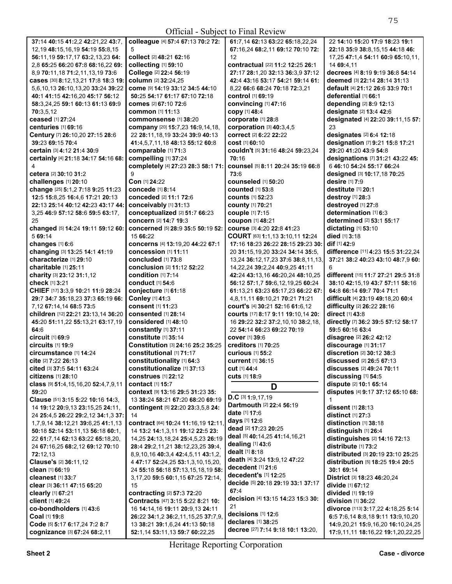**All Contracts** 

| 37:14 40:15 41:2,2 42:21,22 43:7,           | colleague [4] 57:4 67:13 70:2 72:                                | 61:7,14 62:13 63:22 65:18,22,24    | 22 14:10 15:20 17:9 18:23 19:1                                         |
|---------------------------------------------|------------------------------------------------------------------|------------------------------------|------------------------------------------------------------------------|
| 12, 19 48: 15, 16, 19 54: 19 55: 8, 15      | 5                                                                | 67:16,24 68:2,11 69:12 70:10 72:   | 22:18 35:9 38:8,15,15 44:18 46:                                        |
| 56:11,19 59:17,17 63:2,13,23 64:            | collect [2] 48:21 62:16                                          | 12                                 | 17,25 47:1,4 54:11 60:9 65:10,11,                                      |
| 2.8 65:25 66:20 67:8 68:16.22 69:           | collecting [1] 59:10                                             | contractual [22] 11:2 12:25 26:1   | 14 69:4.11                                                             |
| 8,9 70:11,18 71:2,11,13,19 73:6             | College [2] 22:4 56:19                                           | 27:17 28:1,20 32:13 36:3,9 37:12   | decrees [4] 8:19 9:19 36:8 54:14                                       |
| cases [30] 8:12,13,21 17:8 18:3 19:         | column [2] 32:24,25                                              | 42:4 43:16 53:17 54:21 59:14 61:   | deemed [3] 22:14 28:14 31:13                                           |
| 5.6.10.13 26:10.13.20 33:24 39:22           | Come [9] 14:19 33:12 34:5 44:10                                  | 8,22 66:6 68:24 70:18 72:3,21      | default [4] 21:12 26:6 33:9 70:1                                       |
| 40:1 41:15 42:16,20 45:17 56:12             | 50:25 54:17 61:17 67:10 72:18                                    | control [1] 69:19                  | deferential [1] 66:1                                                   |
| 58:3,24,25 59:1 60:13 61:13 69:9            | <b>comes</b> [2] <b>67:10 72:6</b>                               | convincing [1] 47:16               | depending [2] 8:9 12:13                                                |
| 70:3,5,12                                   | <b>common</b> [1] 11:13                                          | copy [1] 48:4                      | designate [2] 13:4 42:6                                                |
| ceased [1] 27:24                            | commonsense [1] 38:20                                            | corporate [1] 28:8                 | designated [4] 22:20 39:11,15 57:                                      |
| centuries [1] 69:16                         | company [20] 15:7,23 16:9,14,18,                                 | corporation [3] 40:3,4,5           | 23                                                                     |
| Century [7] 26:10,20 27:15 28:6             | 22 28:11, 18, 19 33: 24 39: 9 40: 13                             | correct [2] 6:22 22:22             | designates [2] 6:4 12:18                                               |
| 39:23 69:15 70:4                            | 41:4,5,7,11,18 48:13 55:12 60:8                                  | <b>cost</b> [1] 60:10              | designation [7] 9:21 15:8 17:21                                        |
| certain [3] 4:12 21:4 30:9                  | comparable [1] 71:3                                              | couldn't [5] 31:16 48:24 59:23,24  | 29:20 41:20 43:9 54:8                                                  |
| certainly [4] 21:18 34:17 54:16 68:         | compelling [1] 37:24                                             | 70:16                              | designations [7] 31:21 43:22 45:                                       |
|                                             | completely [4] 27:23 28:3 58:1 71:                               | counsel [5] 8:11 20:24 35:19 66:8  | 6 46:10 54:24 55:17 66:24                                              |
| cetera [2] 30:10 31:2                       | 9                                                                | 73:6                               | designed [3] 10:17,18 70:25                                            |
| challenges [1] 20:10                        | Con [1] 24:22                                                    | <b>counseled</b> [1] 50:20         | desire [1] 7:9                                                         |
| change [25] 5:1,2 7:18 9:25 11:23           | concede [1] 8:14                                                 | <b>counted</b> [1] 53:8            | destitute [1] 20:1                                                     |
| 12:5 15:8,25 16:4,6 17:21 20:13             | conceded [2] 11:1 72:6                                           | <b>counts</b> [1] 52:23            | destroy [1] 28:3                                                       |
| 22:13 25:14 40:12 42:23 43:17 44:           | conceivably [1] 31:13                                            | <b>county [1] 70:21</b>            | destroyed [1] 27:8                                                     |
| 3,25 46:9 57:12 58:6 59:5 63:17,            | conceptualized [2] 51:7 66:23                                    | couple [1] 7:15                    | determination [1] 6:3                                                  |
| 25                                          | concern [2] 14:7 19:3                                            | coupon [1] 48:21                   | determined [2] 53:1 55:17                                              |
| changed [5] 14:24 19:11 59:12 60:           | concerned [5] 28:9 35:5 50:19 52:                                | course [3] 4:20 22:8 41:23         | dictating [1] 53:10                                                    |
| 5 69:14                                     | 15 66:22                                                         | COURT [63] 1:1,13 3:10,11 12:24    | died [1] 3:18                                                          |
| changes [1] 6:6                             | concerns [4] 13:19,20 44:22 67:1                                 | 17:16 18:23 26:22 28:15 29:23 30:  | dif [1] 42:9                                                           |
| changing [3] 13:25 14:1 41:19               | concession [1] 11:11                                             | 20 31:15,19,20 33:24 34:14 35:5,   | difference [11] 4:23 15:5 31:22,24                                     |
| characterize [1] 29:10                      | concluded [1] 73:8                                               | 13,24 36:12,17,23 37:6 38:8,11,13, | 37:21 38:2 40:23 43:10 48:7,9 60:                                      |
| charitable [1] 25:11                        | conclusion [2] 11:12 52:22                                       | 14,22,24 39:2,24 40:9,25 41:11     | 6                                                                      |
| charity [3] 23:12 31:1,12                   | condition [1] 7:14                                               | 42:24 43:13,16 46:20,24 48:10,25   | different [15] 11:7 27:21 29:5 31:8                                    |
| check [1] 3:21                              | conduct [1] 54:6                                                 | 56:12 57:1,7 59:6,12,19,25 60:24   | 38:10 42:15,19 43:7 57:11 58:16                                        |
| CHIEF [17] 3:3,9 10:21 11:9 28:24           | conjecture [1] 61:18                                             | 61:13,21 63:23 65:17,23 66:22 67:  | 64:8 66:14 69:7 70:4 71:1                                              |
| 29:7 34:7 35:18,23 37:3 65:19 66:           | Conley [1] 41:3                                                  | 4,8,11,11 69:10,21 70:21 71:21     | difficult [4] 23:19 49:18,20 60:4                                      |
| 7,12 67:14,14 68:5 73:5                     | consent [1] 11:23                                                | court's [4] 30:21 52:16 61:6,12    | difficulty [2] 26:22 28:16                                             |
| children [12] 22:21 23:13,14 36:20          | consented [1] 28:14                                              | courts [17] 8:17 9:11 19:10,14 20: | direct [1] 43:8                                                        |
| 45:20 51:11,22 55:13,21 63:17,19            | considered [1] 48:10                                             | 16 29:22 32:2 37:2,10,10 38:2,18,  | directly [7] 36:2 39:5 57:12 58:17                                     |
| 64:6                                        | constantly [1] 37:11                                             | 22 54:14 66:23 69:22 70:19         | 59:5 60:16 63:4                                                        |
| circuit [1] 69:9                            | constitute [1] 35:14                                             | <b>cover</b> [1] 39:6              | disagree [2] 26:2 42:12                                                |
| <b>circuits</b> [1] 19:9                    | Constitution [3] 24:16 25:2 35:25                                | <b>creditors</b> [1] 70:25         | discourage [1] 31:17                                                   |
| circumstance [1] 14:24                      | constitutional [1] 71:17                                         | <b>curious</b> [1] 55:2            | discretion [2] 30:12 38:3                                              |
| cite [2] 7:22 26:13                         | constitutionality [1] 64:3                                       | <b>current</b> [1] 36:15           | discussed [2] 26:5 67:13                                               |
| cited [3] 37:5 54:11 63:24                  | constitutionalize [1] 37:13                                      | Cut [1] 44:4                       | discusses [2] 49:24 70:11                                              |
| <b>citizens</b> [1] 28:10                   | <b>construes</b> [1] 22:12                                       | <b>cuts</b> [1] 18:9               | discussing [1] 54:5                                                    |
| class [9] 51:4, 15, 16, 20 52:4, 7, 9, 11   | <b>contact</b> [1] 15:7                                          | D                                  | dispute [2] 10:1 65:14                                                 |
| 59:20                                       | context [9] 13:16 29:5 31:23 35:                                 | D.C [3] $1:9,17,19$                | disputes [4] 9:17 37:12 65:10 68:                                      |
| Clause [51] 3:15 5:22 10:16 14:3,           | 13 38:24 58:21 67:20 68:20 69:19                                 | Dartmouth [2] 22:4 56:19           | $\mathbf{1}$                                                           |
| 14 19:12 20:9,13 23:15,25 24:11,            | contingent [5] 22:20 23:3,5,8 24:                                | <b>date</b> [1] <b>17:</b> 6       | dissent [1] 28:13                                                      |
| 24 25:4.5 26:22 29:2.12 34:1.3 37:          | 14                                                               | days [1] 12:6                      | distinct $[1]$ 27:3<br>distinction [1] 38:18                           |
| 1,7,9,14 38:12,21 39:6,25 41:1,13           | contract [64] 10:24 11:16,19 12:11,                              | dead [2] 17:23 20:25               | distinguish [1] 26:4                                                   |
| 50:18 52:14 53:11,13 56:18 60:1,            | 14 13:2 14:1,3,11 19:12 22:5 23:                                 | deal [5] 40:14,25 41:14,16,21      | distinguishes [2] 14:16 72:13                                          |
| 22 61:7,14 62:13 63:22 65:18,20,            | 14,25 24:13,18,24 25:4,5,23 26:19                                | dealing [1] 43:6                   | distribute [1] 73:2                                                    |
| 24 67:16,25 68:2,12 69:12 70:10<br>72:12.13 | 28:4 29:2,11,21 38:12,23,25 39:4,                                | dealt [1] 8:18                     | distributed [3] 20:19 23:10 25:25                                      |
|                                             | 8,9,10,16 40:3,4 42:4,5,11 43:1,2,                               | death [4] 3:24 13:9,12 47:22       |                                                                        |
| Clause's [2] 36:11,12<br>clean [1] 66:19    | 4 47:17 52:24,25 53:1,3,10,15,20,                                | decedent [1] 21:6                  | distribution [5] 18:25 19:4 20:5<br>30:1 69:14                         |
| cleanest [1] 33:7                           | 24 55:18 56:18 57:13,15,18,19 58:                                | decedent's [1] 12:25               | <b>District</b> [3] <b>18:23 46:20,24</b>                              |
| clear [3] 36:11 47:15 65:20                 | 3,17,20 59:5 60:1,15 67:25 72:14,<br>15                          | decide [5] 20:18 29:19 33:1 37:17  | divide [1] 67:12                                                       |
|                                             |                                                                  | 67:4                               | divided [1] 19:19                                                      |
| clearly [1] 67:21<br>client [1] 49:24       | contracting [2] 57:3 72:20<br>Contracts [47] 3:15 5:22 8:21 10:  | decision [4] 13:15 14:23 15:3 30:  | division [1] 36:22                                                     |
| co-bondholders [1] 43:6                     | 16 14:14,16 19:11 20:9,13 24:11                                  | 21                                 | divorce [113] 3:17,22 4:18,25 5:14                                     |
| Coal [1] 19:8                               | 26:22 34:1,2 36:2,11,15,25 37:7,9,                               | decisions [1] 12:6                 | 6:5 7:6,14 8:8,18 9:11 13:9,10,20                                      |
| Code [5] 5:17 6:17,24 7:2 8:7               |                                                                  | declares [1] 38:25                 |                                                                        |
|                                             |                                                                  |                                    |                                                                        |
| cognizance [3] 67:24 68:2,11                | 13 38:21 39:1,6,24 41:13 50:18<br>52:1,14 53:11,13 59:7 60:22,25 | decree [27] 7:14 9:18 10:1 13:20,  | 14:9,20,21 15:9,16,20 16:10,24,25<br>17:9,11,11 18:16,22 19:1,20,22,25 |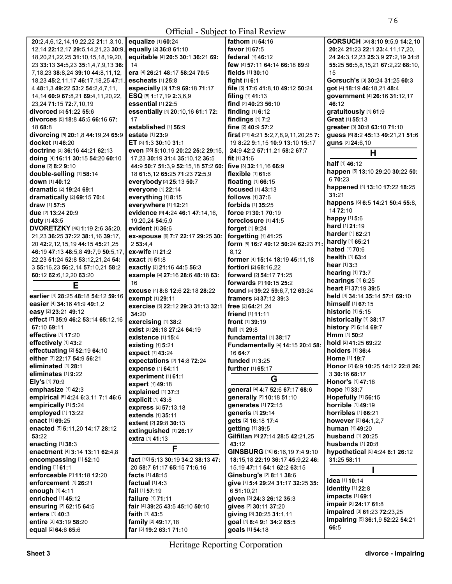| Official - Subject to Final Review            |                                                          |                                               |                                          |  |
|-----------------------------------------------|----------------------------------------------------------|-----------------------------------------------|------------------------------------------|--|
| 20:2,4,6,12,14,19,22,22 21:1,3,10,            | equalize [1] 60:24                                       | fathom [1] 54:16                              | GORSUCH [30] 8:10 9:5,9 14:2,10          |  |
| 12, 14 22: 12, 17 29: 5, 14, 21, 23 30: 9,    | equally [2] 36:8 61:10                                   | favor [1] 67:5                                | 20:24 21:23 22:1 23:4,11,17,20,          |  |
| 18, 20, 21, 22, 25 31: 10, 15, 18, 19, 20,    | equitable [4] 20:5 30:1 36:21 69:                        | federal [1] 46:12                             | 24 24:3,12,23 25:3,9 27:2,19 31:8        |  |
| 23 33:13 34:5,23 35:1,4,7,9,13 36:            | 14                                                       | few [4] 57:11 64:14 66:18 69:9                | 55:25 56:5,8,15,21 67:2,22 68:10,        |  |
| 7, 18, 23 38: 8, 24 39: 10 44: 8, 11, 12,     | era [4] 26:21 48:17 58:24 70:5                           | fields [1] 30:10                              | 15                                       |  |
| 18,23 45:2,11,17 46:17,18,25 47:1,            | escheats $[1]$ 25:8                                      | fight $[1]$ 6:1                               | Gorsuch's [3] 30:24 31:25 60:3           |  |
| 4 48:1,3 49:22 53:2 54:2,4,7,11,              | especially [3] 17:9 69:18 71:17                          | file [5] 17:6 41:8,10 49:12 50:24             | got [4] 18:19 46:18,21 48:4              |  |
| 14, 14 60: 9 67: 8, 21 69: 4, 11, 20, 22,     | ESQ [5] 1:17,19 2:3,6,9                                  | filing [1] 41:13                              | government [4] 26:16 31:12,17            |  |
| 23,24 71:15 72:7,10,19                        | essential [1] 22:5                                       | find [2] 40:23 56:10                          | 46:12                                    |  |
| <b>divorced</b> [2] <b>51:22 55:</b> 6        | essentially [4] 20:10,16 61:1 72:                        | <b>finding</b> $[1]$ 6:12                     | gratuitously [1] 61:9                    |  |
| divorces [5] 18:8 45:5 66:16 67:              | 17                                                       | findings [1] 7:2                              | Great [1] 55:13                          |  |
| 18 68:8                                       | established [1] 56:9                                     | fine [2] 40:9 57:2                            | greater [3] 30:8 63:10 71:10             |  |
| divorcing [5] 20:1,8 44:19,24 65:9            | <b>estate</b> [1] 23:9                                   | first [21] 4:21 5:2,7,8,9,11,20,25 7:         | guess [5] 8:2 45:13 49:21,21 51:6        |  |
| <b>docket</b> [1] 46:20                       | ET [3] 1:3 30:10 31:1                                    | 19 8:22 9:1,15 10:9 13:10 15:17               | <b>guns</b> [2] <b>24:</b> 6,10          |  |
| <b>doctrine</b> [3] <b>36:16 44:21 62:13</b>  | even [26] 5:10,19 20:22 25:2 29:15,                      | 24:9 42:2 57:11,21 58:2 67:7                  | Н                                        |  |
| doing [4] 16:11 30:15 54:20 60:10             | 17,23 30:19 31:4 35:10,12 36:5                           | fit $[1]$ 31:6                                |                                          |  |
| done [2] 8:2 9:10                             | 44:9 50:7 51:3,9 52:15,18 57:2 60:                       | five [3] 32:11,16 66:9                        | half [1] 46:12                           |  |
| double-selling [1] 58:14                      | 18 61:5,12 65:25 71:23 72:5,9                            | flexible [1] 61:6                             | happen [5] 13:10 29:20 30:22 50:         |  |
| down [1] 40:12                                | everybody [2] 25:13 50:7                                 | floating [1] 66:15                            | 6 70:23                                  |  |
| <b>dramatic</b> [2] 19:24 69:1                | everyone [1] 22:14                                       | <b>focused</b> [1] 43:13                      | happened [4] 13:10 17:22 18:25           |  |
| dramatically [2] 69:15 70:4                   | everything [1] 8:15                                      | follows [1] 37:6                              | 31:21                                    |  |
| <b>draw</b> [1] <b>57:</b> 5                  | everywhere [1] 12:21                                     | forbids [1] 35:25                             | happens [6] 6:5 14:21 50:4 55:8,         |  |
| due [2] 13:24 20:9                            | evidence [9] 4:24 46:1 47:14,16,                         | <b>force</b> [2] <b>30:1 70:19</b>            | 14 72:10                                 |  |
| duty [1] 43:5                                 | 19,20,24 54:5,9                                          | foreclosure [1] 41:5                          | happy $[1]$ 5:6                          |  |
| <b>DVORETZKY</b> [46] <b>1:19 2:6 35:20,</b>  | evident $[1]$ 36:6                                       | forget [1] 9:24                               | hard [1] 21:19                           |  |
| 21,23 36:25 37:22 38:1,16 39:17,              | ex-spouse [6] 7:7 22:17 29:25 30:                        | forgetting [1] 41:25                          | <b>harder</b> [1] <b>62:21</b>           |  |
| 20 42:2,12,15,19 44:15 45:21,25               | 253:4.4                                                  | form [6] 16:7 49:12 50:24 62:23 71:           | hardly [1] 65:21                         |  |
| 46:19 47:13 48:5,8 49:7,9 50:5,17,            | ex-wife [1] 21:2                                         | 8,12                                          | hated [1] 70:6                           |  |
| 22,23 51:24 52:8 53:12,21,24 54:              | <b>exact</b> [1] 51:8                                    | former [4] 15:14 18:19 45:11,18               | <b>health</b> $[1]$ 63:4                 |  |
| 3 55:16,23 56:2,14 57:10,21 58:2              | exactly [3] 21:16 44:5 56:3                              | fortiori [2] 68:16,22                         | <b>hear</b> $[1]$ 3:3                    |  |
| 60:12 62:6,12,20 63:20                        | example [4] 27:16 28:6 48:18 63:                         | forward [2] 54:17 71:25                       | hearing [1] 73:7                         |  |
|                                               |                                                          |                                               | hearings [1] 6:25                        |  |
|                                               | 16                                                       |                                               |                                          |  |
| Е                                             |                                                          | <b>forwards</b> [2] <b>10:15 25:2</b>         | heart [2] 37:19 39:5                     |  |
| earlier [4] 28:25 48:18 54:12 59:16           | excuse [4] 8:8 12:6 22:18 28:22                          | found [5] 39:22 59:6,7,12 63:24               | held [4] 34:14 35:14 57:1 69:10          |  |
| easier [4] 34:16 41:9 49:1,2                  | exempt [1] 29:11                                         | <b>framers</b> $[2]$ 37:12 39:3               | himself [1] 67:15                        |  |
| easy [2] 23:21 49:12                          | exercise [5] 22:12 29:3 31:13 32:1                       | free [2] 64:21,24                             | historic [1] 5:15                        |  |
| effect [7] 35:9 46:2 53:14 65:12,16           | 34:20                                                    | friend [1] 11:11                              | historically [1] 38:17                   |  |
| 67:10 69:11                                   | exercising [1] 38:2                                      | <b>front</b> $[1]$ 39:19<br>full [1] 29:8     | history [2] 6:14 69:7                    |  |
| effective [1] 17:20                           | exist [3] 26:18 27:24 64:19<br><b>existence</b> [1] 15:4 | fundamental [1] 38:17                         | Hmm [1] 50:2                             |  |
| effectively [1] 43:2                          |                                                          |                                               | hold [2] 41:25 69:22                     |  |
| effectuating [2] 52:19 64:10                  | existing $[1]$ 5:21<br>expect [1] 43:24                  | Fundamentally [4] 14:15 20:4 58:<br>16 64:7   | <b>holders</b> [1] 36:4                  |  |
| either [3] 22:17 54:9 56:21                   |                                                          | funded $[1]$ 3:25                             | Home [1] 19:7                            |  |
| eliminated [1] 28:1                           | expectations [2] 14:8 72:24<br>expense [1] 64:11         | further [1] 65:17                             | Honor [7] 6:9 10:25 14:12 22:8 26:       |  |
| eliminates [1] 9:22                           | experiment [1] 61:1                                      |                                               | 3 30:16 68:17                            |  |
| Ely's [1] 70:9                                | expert [1] 49:18                                         | G                                             | Honor's [1] 47:18                        |  |
| emphasize [1] 42:3                            | explained [1] 37:3                                       | general [4] 4:7 52:6 67:17 68:6               | hope [1] 33:7                            |  |
| empirical [5] 4:24 6:3,11 7:1 46:6            | explicit [1] 43:8                                        | generally [2] 10:18 51:10                     | Hopefully [1] 56:15                      |  |
| empirically [1] 5:24                          | express [2] 57:13,18                                     | generates [1] 72:15                           | horrible [1] 49:19                       |  |
| employed [1] 13:22                            | extends [1] 35:11                                        | generis [1] 29:14                             | horribles [1] 66:21                      |  |
| enact [1] 69:25                               | extent [2] 29:8 30:13                                    | gets [2] 16:18 17:4                           | however [3] 64:1,2,7                     |  |
| enacted [5] 5:11,20 14:17 28:12               | extinguished [1] 26:17                                   | getting [1] 39:5                              | human [1] 49:20                          |  |
| 53:22                                         | extra [1] 41:13                                          | Gilfillan [5] 27:14 28:5 42:21,25             | husband [1] 20:25                        |  |
| enacting [1] 38:3                             |                                                          | 43:12                                         | husbands [1] 20:8                        |  |
| enactment [4] 3:14 13:11 62:4,8               | F                                                        | GINSBURG [16] 6:16,19 7:4 9:10                | hypothetical [5] 4:24 6:1 26:12          |  |
| encompassing [1] 52:10                        | fact [10] 5:13 30:19 34:2 38:13 47:                      | 18:15,18 22:19 36:17 45:9,22 46:              | 31:25 58:11                              |  |
| ending [1] 61:1                               | 20 58:7 61:17 65:15 71:6,16                              | 15, 19 47: 11 54: 1 62: 2 63: 15              |                                          |  |
| enforceable [2] 11:18 12:20                   | facts [1] 48:15                                          | Ginsburg's [2] 8:11 38:6                      |                                          |  |
| enforcement [1] 26:21                         | factual $[1]$ 4:3                                        | give [7] 5:4 29:24 31:17 32:25 35:            | idea [1] 10:14                           |  |
| enough [1] 4:11                               | fail [1] 57:19                                           | 6 51:10,21                                    | identity [1] 22:8                        |  |
| enriched [1] 45:12                            | failure [1] 71:11                                        | given [3] 24:3 26:12 35:3                     | impacts [1] 69:1                         |  |
| ensuring [2] 62:15 64:5                       | fair [4] 39:25 43:5 45:10 50:10                          | gives [2] 30:11 37:20                         | impair [2] 24:17 61:8                    |  |
| enters [1] 40:3                               | faith [1] 43:5                                           | giving [3] 30:25 31:1,11                      | impaired [3] 61:23 72:23,25              |  |
| entire [2] 43:19 58:20<br>equal [2] 64:6 65:6 | family [2] 49:17,18<br>far [3] 19:2 63:1 71:10           | goal [4] 8:4 9:1 34:2 65:5<br>goals [1] 54:18 | impairing [5] 36:1,9 52:22 54:21<br>66:5 |  |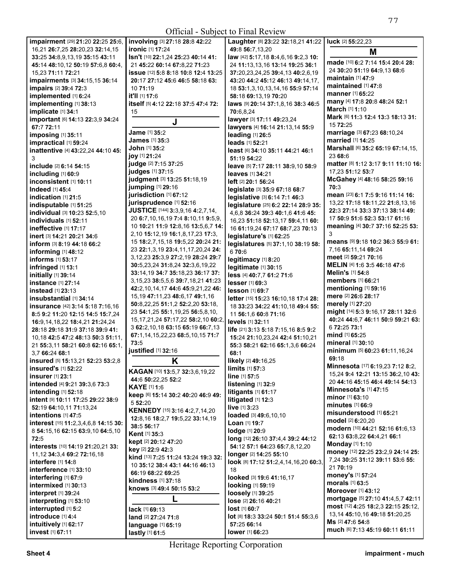| Official - Subject to Final Review                           |                                                                       |                                                              |                                                                      |  |
|--------------------------------------------------------------|-----------------------------------------------------------------------|--------------------------------------------------------------|----------------------------------------------------------------------|--|
| impairment [29] 21:20 22:25 25:6,                            | involving [3] 27:18 28:8 42:22                                        | Laughter [8] 23:22 32:18,21 41:22                            | luck [2] 55:22,23                                                    |  |
| 16,21 26:7,25 28:20,23 32:14,15                              | ironic [1] 17:24                                                      | 49:8 56:7,13,20                                              | M                                                                    |  |
| 33:25 34:8,9,13,19 35:15 43:11                               | Isn't [10] 22:1,24 25:23 40:14 41:                                    | law [42] 5:17,18 8:4,6,16 9:2,3 10:                          |                                                                      |  |
| 45:14 48:10,12 50:19 57:6,8 60:4,                            | 21 45:22 60:14 67:8,22 71:23                                          | 24 11:13,13,16 13:14 19:25 36:1                              | made [10] 6:2 7:14 15:4 20:4 28:                                     |  |
| 15,23 71:11 72:21                                            | issue [12] 5:8 8:18 10:8 12:4 13:25                                   | 37:20,23,24,25 39:4,13 40:2,6,19                             | 24 30:20 51:19 64:9,13 68:6<br>maintain [1] 47:9                     |  |
| impairments [3] 34:15,15 36:14                               | 20:17 27:12 45:6 46:5 58:18 63:                                       | 43:20 44:2 45:12 46:13 49:14,17,                             | maintained [1] 47:8                                                  |  |
| <b>impairs</b> [2] 39:4 72:3                                 | 10 71:19                                                              | 18 53:1,3,10,13,14,16 55:9 57:14                             | <b>manner</b> [1] 65:22                                              |  |
| implemented [1] 6:24                                         | it'll [1] 17:6                                                        | 58:18 69:13,19 70:20                                         | many [4] 17:8 20:8 48:24 52:1                                        |  |
| implementing [1] 38:13                                       | itself [5] 4:12 22:18 37:5 47:4 72:                                   | laws [9] 20:14 37:1,8,16 38:3 46:5                           | March [1] 1:10                                                       |  |
| implicate [1] 34:1                                           | 15                                                                    | 70:6,8,24                                                    | Mark [6] 11:3 12:4 13:3 18:13 31:                                    |  |
| important [6] 14:13 22:3,9 34:24<br>67:7 72:11               | J                                                                     | lawyer [3] 17:11 49:23,24<br>lawyers [4] 16:14 21:13,14 55:9 | 15 72:25                                                             |  |
| imposing [1] 35:11                                           | Jame [1] 35:2                                                         | leading [1] 26:5                                             | marriage [3] 67:23 68:10,24                                          |  |
| impractical [1] 59:24                                        | <b>James</b> [1] 35:3                                                 | leads [1] 52:21                                              | married [1] 14:25                                                    |  |
| inattentive [4] 43:22,24 44:10 45:                           | John [1] 35:2                                                         | least [6] 34:10 35:11 44:21 46:1                             | Marshall [6] 35:2 65:19 67:14,15,                                    |  |
| 3                                                            | joy [1] 21:24                                                         | 51:19 54:22                                                  | 23 68:6                                                              |  |
| include [2] 6:14 54:15                                       | judge [2] 7:15 37:25                                                  | leave [5] 7:17 28:11 38:9,10 58:9                            | matter [8] 1:12 3:17 9:11 11:10 16:                                  |  |
| including [1] 60:9                                           | judges [1] 37:15                                                      | <b>leaves</b> [1] 34:21                                      | 17,23 51:12 53:7                                                     |  |
| inconsistent [1] 10:11                                       | judgment [3] 13:25 51:18,19                                           | <b>left</b> [2] <b>20:1 56:24</b>                            | McGahey [4] 48:16 58:25 59:16                                        |  |
| <b>Indeed</b> [1] 45:4                                       | jumping [1] 29:16                                                     | legislate [3] 35:9 67:18 68:7                                | 70:3                                                                 |  |
| indication [1] 21:5                                          | jurisdiction [1] 67:12                                                | legislative [3] 6:14 7:1 46:3                                | mean [23] 6:1 7:5 9:16 11:14 16:                                     |  |
| indisputable [1] 51:25                                       | jurisprudence [1] 52:16                                               | legislature [25] 6:2 22:14 28:9 35:                          | 13,22 17:18 18:11,22 21:8,13,16                                      |  |
| individual [3] 10:23 52:5,10                                 | JUSTICE [144] 3:3,9,16 4:2,7,14,                                      | 4,6,8 36:24 39:3 40:1,6 41:6 45:                             | 22:3 27:14 33:3 37:13 38:14 49:                                      |  |
| individuals [1] 52:11                                        | 20 6:7,10,16,19 7:4 8:10,11 9:5,9,                                    | 16,23 51:18 52:13,17 59:4,11 60:                             | 17 50:9 51:6 52:3 53:17 61:16                                        |  |
| ineffective [1] 17:17                                        | 10 10:21 11:9 12:8,16 13:5,6,7 14:                                    | 16 61:19,24 67:17 68:7,23 70:13                              | meaning [4] 30:7 37:16 52:25 53:<br>3                                |  |
| inert [3] 14:21 20:21 34:6                                   | 2,10 15:12,19 16:1,8,17,23 17:3,<br>15 18:2,7,15,18 19:5,22 20:24 21: | legislature's [1] 62:25                                      | means [9] 9:18 10:2 36:3 55:9 61:                                    |  |
| inform [3] 8:19 44:18 66:2                                   | 23 22:1,3,19 23:4,11,17,20,24 24:                                     | legislatures [5] 37:1,10 38:19 58:                           | 7,16 65:11,14 69:24                                                  |  |
| informing $[1]$ 48:12                                        | 3, 12, 23 25: 3, 9 27: 2, 19 28: 24 29: 7                             | 670:6                                                        | meet [2] 59:21 70:16                                                 |  |
| informs [1] 53:17                                            | 30:5,23,24 31:8,24 32:3,6,19,22                                       | legitimacy [1] 8:20                                          | MELIN [4] 1:6 3:5 46:18 47:6                                         |  |
| infringed [1] 13:1                                           | 33:14,19 34:7 35:18,23 36:17 37:                                      | legitimate [1] 30:15                                         | Melin's [1] 54:8                                                     |  |
| initially [1] 39:14<br>instance [1] 27:14                    | 3, 15, 23 38: 5, 5, 6 39: 7, 18, 21 41: 23                            | less [4] 40:7,7 61:2 71:6<br>lesser [1] 69:3                 | members [1] 66:21                                                    |  |
| instead [1] 23:13                                            | 42:2,10,14,17 44:6 45:9,21,22 46:                                     | lesson [1] 69:7                                              | mentioning [1] 59:16                                                 |  |
| insubstantial [1] 34:14                                      | 15, 19 47: 11, 23 48: 6, 17 49: 1, 16                                 | letter [15] 15:23 16:10,18 17:4 28:                          | mere [2] 26:6 28:17                                                  |  |
| insurance [42] 3:14 5:18 7:16,16                             | 50:8,22,25 51:1,2 52:2,20 53:18,                                      | 18 33:23 34:22 41:10,18 49:4 55:                             | merely [1] 27:20                                                     |  |
| 8:5 9:2 11:20 12:15 14:5 15:7.24                             | 23 54:1,25 55:1,19,25 56:5,8,10,                                      | 11 56:1,6 60:8 71:16                                         | might [14] 5:3 9:16,17 28:11 32:6                                    |  |
| 16:9,14,18,22 18:4,21 21:24,24                               | 15, 17, 21, 24 57: 17, 22 58: 2, 10 60: 2,                            | levels [1] 32:11                                             | 40:24 44:6,7 46:11 50:9 59:21 63:                                    |  |
| 28:18 29:18 31:9 37:18 39:9 41:                              | 3 62:2, 10, 18 63: 15 65: 19 66: 7, 13                                | life [21] 3:13 5:18 7:15,16 8:5 9:2                          | 6 72:25 73:1                                                         |  |
| 10,18 42:5 47:2 48:13 50:3 51:11,                            | 67:1,14,15,22,23 68:5,10,15 71:7                                      | 15:24 21:10,23,24 42:4 51:10,21                              | mind [1] 65:25                                                       |  |
| 21 55:3,11 58:21 60:8 62:16 65:1,                            | 73:5                                                                  | 55:3 58:21 62:16 65:1,3,6 66:24                              | mineral [1] 30:10                                                    |  |
| 3,7 66:24 68:1                                               | justified [1] 32:16                                                   | 68:1                                                         | minimum [5] 60:23 61:11,16,24                                        |  |
| insured $[5]$ 15:13,21 52:23 53:2,8                          | K                                                                     | likely $[2]$ 49:16,25                                        | 69:18                                                                |  |
| insured's [1] 52:22                                          | KAGAN [10] 13:5,7 32:3,6,19,22                                        | $limits$ [1] $57:3$                                          | Minnesota [17] 6:19,23 7:12 8:2,                                     |  |
| insurer [1] 23:1                                             | 44:6 50:22,25 52:2                                                    | line [1] 57:5                                                | 15,24 9:4 12:21 13:15 36:2,10 43:<br>20 44:16 45:15 46:4 49:14 54:13 |  |
| intended [4] 9:21 39:3,6 73:3                                | <b>KAYE</b> [1] 1:6                                                   | listening $[1]$ 32:9                                         | <b>Minnesota's <math>[1]</math> 47:15</b>                            |  |
| intending $[1]$ 52:18                                        | keep [6] 15:14 30:2 40:20 46:9 49:                                    | litigants $[1]$ 61:17                                        | <b>minor</b> [1] <b>63:10</b>                                        |  |
| intent [9] 10:11 17:25 29:22 38:9<br>52:19 64:10.11 71:13.24 | 5 52:20                                                               | litigated $[1]$ 12:3<br>live [1] 3:23                        | minutes $[1]$ 66:9                                                   |  |
| intentions [1] 47:5                                          | KENNEDY [15] 3:16 4:2,7,14,20                                         | loaded [3] 49:6,10,10                                        | misunderstood [1] 65:21                                              |  |
| interest [15] 11:2,3,4,6,8 14:15 30:                         | 12:8,16 18:2,7 19:5,22 33:14,19                                       | <b>Loan</b> [1] <b>19:7</b>                                  | model [2] 6:20.20                                                    |  |
| 8 54:15,16 62:15 63:9,10 64:5,10                             | 38:5 56:17                                                            | lodge [1] 20:9                                               | modern [10] 44:21 52:16 61:6,13                                      |  |
| 72:5                                                         | Kent [1] 35:3                                                         | long [12] 26:10 37:4,4 39:2 44:12                            | 62:13 63:8,22 64:4,21 66:1                                           |  |
| interests [10] 14:19 21:20,21 33:                            | kept [2] 20:12 47:20                                                  | 54:12 57:1 64:23 65:7,8,12,20                                | Monday [1] 1:10                                                      |  |
| 11, 12 34: 3, 4 69: 2 72: 16, 18                             | key [2] 22:9 42:3                                                     | longer [2] 14:25 55:10                                       | money [12] 22:25 23:2,9 24:14 25:                                    |  |
| interfere [1] 14:8                                           | kind [13] 7:25 11:24 13:24 19:3 32:<br>10 35:12 38:4 43:1 44:16 46:13 | look [8] 17:12 51:2,4,14,16,20 60:3,                         | 7,24 30:25 31:12 39:11 53:6 55:                                      |  |
| interference [1] 33:10                                       | 66:19 68:22 69:25                                                     | 18                                                           | 21 70:19                                                             |  |
| interfering [1] 67:9                                         | kindness [1] 37:18                                                    | looked [3] 19:6 41:16,17                                     | money's [1] 57:24                                                    |  |
| intermixed [1] 30:13                                         | knows [3] 49:4 50:15 53:2                                             | looking [1] 59:19                                            | morals $[1]$ 63:5                                                    |  |
| interpret [1] 39:24                                          |                                                                       | loosely [1] 39:25                                            | <b>Moreover</b> [1] 43:12                                            |  |
| interpreting [1] 53:10                                       |                                                                       | lose [2] 26:16 40:21                                         | mortgage [5] 27:10 41:4,5,7 42:11                                    |  |
| interrupted [1] 5:2                                          | lack [1] 69:13                                                        | $lost$ [1] 60:7                                              | most [12] 4:25 18:2,3 22:15 25:12,                                   |  |
| introduce [1] 4:4                                            | land [2] 27:24 71:8                                                   | lot [8] 18:3 33:24 50:1 51:4 55:3,6                          | 13, 14 45: 10, 16 49: 18 51: 20, 25<br>Ms [2] 47:6 54:8              |  |
| intuitively [1] 62:17                                        | language [1] 65:19                                                    | 57:25 66:14                                                  | much [6] 7:13 45:19 60:11 61:11                                      |  |
| invest [1] 67:11                                             | lastly [1] 61:5                                                       | lower [1] 66:23                                              |                                                                      |  |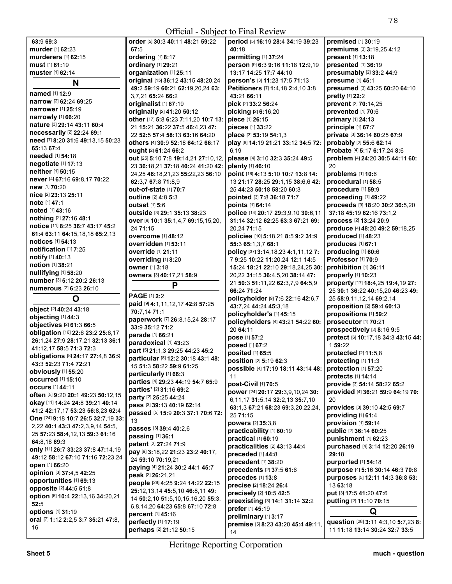| Official - Subject to Final Review              |                                                                |                                                        |                                                                       |  |
|-------------------------------------------------|----------------------------------------------------------------|--------------------------------------------------------|-----------------------------------------------------------------------|--|
| 63:9 69:3                                       | order [5] 30:3 40:11 48:21 59:22                               | period [5] 16:19 28:4 34:19 39:23                      | premised [1] 30:19                                                    |  |
| murder [1] 62:23                                | 67:5                                                           | 40:18                                                  | premiums [3] 3:19,25 4:12                                             |  |
| murderers [1] 62:15                             | ordering [1] 8:17                                              | permitting [1] 37:24                                   | present [1] 13:18                                                     |  |
| must [1] 61:19                                  | ordinary [1] 29:21                                             | person [9] 6:3 9:16 11:18 12:9,19                      | presented [1] 36:19                                                   |  |
| muster [1] 62:14                                | organization [1] 25:11                                         | 13:17 14:25 17:7 44:10                                 | presumably [2] 33:2 44:9                                              |  |
| N                                               | original [15] 36:12 43:15 48:20,24                             | person's [3] 11:23 17:5 71:13                          | presume [1] 45:1                                                      |  |
|                                                 | 49:2 59:19 60:21 62:19,20,24 63:                               | Petitioners [7] 1:4,18 2:4,10 3:8                      | presumed [3] 43:25 60:20 64:10                                        |  |
| named [1] 12:9                                  | 3.7.21 65:24 66:2                                              | 43:21 66:11                                            | <b>pretty</b> [1] 22:2                                                |  |
| narrow [2] 62:24 69:25                          | originalist [1] 67:19                                          | pick [2] 33:2 56:24                                    | prevent [2] 70:14,25                                                  |  |
| <b>narrower</b> [1] 25:19                       | originally [2] 41:20 50:12                                     | picking [2] 6:16,20                                    | prevented [1] 70:6                                                    |  |
| narrowly [1] 66:20                              | other [17] 5:8 6:23 7:11,20 10:7 13:                           | piece [1] 26:15                                        | primary [1] 24:13                                                     |  |
| nature [3] 29:14 43:11 60:4                     | 21 15:21 36:22 37:5 46:4,23 47:                                | <b>pieces</b> [1] 33:22                                | principle [1] 67:7                                                    |  |
| necessarily [2] 22:24 69:1                      | 22 52:5 57:4 58:13 63:16 64:20                                 | place [3] 53:19 54:1,3                                 | private [3] 36:14 60:25 67:9                                          |  |
| need [7] 8:20 31:6 49:13,15 50:23<br>65:13 67:4 | others [4] 30:9 52:18 64:12 66:17                              | play [6] 14:19 21:21 33:12 34:5 72:                    | probably [2] 55:6 62:14                                               |  |
| needed [1] 54:18                                | ought [2] 61:24 66:2                                           | 6,19                                                   | Probate [4] 5:17 6:17,24 8:6                                          |  |
| negotiate [1] 17:13                             | out [25] 5:10 7:8 19:14,21 27:10,12,                           | please [4] 3:10 32:3 35:24 49:5                        | problem [4] 24:20 30:5 44:11 60:                                      |  |
| neither [1] 50:15                               | 23 36:18,21 37:18 40:24 41:20 42:                              | plenty [1] 46:10                                       | 20                                                                    |  |
|                                                 | 24,25 46:18,21,23 55:22,23 56:10                               | point [16] 4:13 5:10 10:7 13:8 14:                     | problems [1] 10:6                                                     |  |
| never [4] 67:16 69:8,17 70:22<br>new [1] 70:20  | 62:3,7 67:8 71:8,9                                             | 13 21:17 28:25 29:1.15 38:6.6 42:                      | procedural [1] 58:5                                                   |  |
| nice [2] 23:13 25:11                            | out-of-state [1] 70:7                                          | 25 44:23 50:18 58:20 60:3                              | procedure [1] 59:9                                                    |  |
| note [1] 47:1                                   | outline [2] 4:8 5:3                                            | pointed [3] 7:8 36:18 71:7                             | proceeding [1] 49:22                                                  |  |
| <b>noted</b> [1] 43:16                          | <b>outset</b> [1] 5:6                                          | points [1] 64:14                                       | proceeds [9] 18:20 30:2 36:5,20                                       |  |
| <b>nothing</b> [2] 27:16 48:1                   | outside [3] 29:1 35:13 38:23                                   | police [14] 20:17 29:3,9,10 30:6,11                    | 37:18 45:19 62:16 73:1,2                                              |  |
| notice [11] 8:25 36:7 43:17 45:2                | OVer [9] 10:1 35:1,4,7 69:15,15,20,                            | 31:14 32:12 62:25 63:3 67:21 69:                       | process [2] 13:24 20:9                                                |  |
| 61:4 63:11 64:15,18,18 65:2,13                  | 24 71:15                                                       | 20,24 71:15                                            | produce [4] 48:20 49:2 59:18,25                                       |  |
| notices [1] 54:13                               | <b>overcome</b> [1] 48:12                                      | policies [10] 5:18,21 8:5 9:2 31:9                     | produced [1] 48:23                                                    |  |
| notification [1] 7:25                           | <b>overridden</b> [1] 53:11                                    | 55:3 65:1,3,7 68:1                                     | produces [1] 67:1                                                     |  |
| notify [1] 40:13                                | override [1] 21:11                                             | policy [37] 3:14, 18, 23 4:1, 11, 12 7:                | producing [1] 60:6                                                    |  |
| notion [1] 38:21                                | overriding [1] 8:20                                            | 7 9:25 10:22 11:20,24 12:1 14:5                        | Professor [1] 70:9                                                    |  |
| nullifying [1] 58:20                            | owner [1] 3:18                                                 | 15:24 18:21 22:10 29:18,24,25 30:                      | prohibition [1] 36:11                                                 |  |
| number [3] 5:12 20:2 26:13                      | <b>owners</b> [3] 40:17,21 58:9                                | 20,22 31:15 36:4,5,20 38:14 47:                        | properly [1] 10:23                                                    |  |
|                                                 |                                                                |                                                        |                                                                       |  |
|                                                 | P                                                              | 21 50:3 51:11,22 62:3,7,9 64:5,9                       | property [17] 18:4,25 19:4,19 27:                                     |  |
| numerous [2] 6:23 26:10                         |                                                                | 66:24 71:24                                            | 25 30:1 36:22 40:15,20 46:23 49:                                      |  |
| O                                               | PAGE [1] 2:2                                                   | policyholder [9] 7:6 22:16 42:6,7                      | 25 58:9,11,12,14 69:2,14                                              |  |
| object [2] 40:24 43:18                          | paid [9] 4:1,11,12,17 42:8 57:25                               | 43:7,24 44:24 45:3,18                                  | proposition [2] 59:4 60:13                                            |  |
| objecting [1] 44:3                              | 70:7,14 71:1                                                   | policyholder's [1] 45:15                               | propositions [1] 59:2                                                 |  |
| objectives [2] 61:3 66:5                        | paperwork [7] 26:8,15,24 28:17<br>33:9 35:12 71:2              | policyholders [4] 43:21 54:22 60:                      | prosecutor [1] 70:21                                                  |  |
| obligation [16] 22:6 23:2 25:6,17               | parade [1] 66:21                                               | 20 64:11                                               | prospectively [2] 8:16 9:5                                            |  |
| 26:1,24 27:9 28:17,21 32:13 36:1                | paradoxical [1] 43:23                                          | pose [1] 57:2                                          | protect [6] 10:17,18 34:3 43:15 44:                                   |  |
| 41:12,17 58:5 71:3 72:3                         | part [5] 21:1,3 29:25 44:23 45:2                               | posed [1] 67:2                                         | 1 59:22                                                               |  |
| obligations [8] 24:17 27:4,8 36:9               |                                                                | posited [1] 65:5                                       | protected [2] 11:5,8                                                  |  |
| 43:3 52:23 71:4 72:21                           | particular [8] 12:2 30:18 43:1 48:<br>15 51:3 58:22 59:9 61:25 | <b>position</b> $[2]$ 5:19 62:3                        | protecting $[1]$ 11:3                                                 |  |
| obviously [1] 55:20                             | particularly [1] 66:3                                          | possible [4] 17:19 18:11 43:14 48:                     | protection [1] 57:20                                                  |  |
| <b>occurred</b> [1] 15:10                       | parties [4] 29:23 44:19 54:7 65:9                              | 11                                                     | protects [1] 14:14                                                    |  |
| <b>occurs</b> [1] 44:11                         | parties' [2] 31:16 69:2                                        | post-Civil [1] 70:5                                    | provide [3] 54:14 58:22 65:2                                          |  |
| often [5] 9:20 20:1 49:23 50:12,15              | party [2] 25:25 44:24                                          | power [24] 20:17 29:3,9,10,24 30:                      | provided [4] 36:21 59:9 64:19 70:                                     |  |
| okay [11] 14:24 24:8 39:21 40:14                | pass [3] 39:13 40:19 62:14                                     | 6, 11, 17 31: 5, 14 32: 2, 13 35: 7, 10                | 20                                                                    |  |
| 41:2 42:17.17 53:23 56:8.23 62:4                | passed [5] 15:9 20:3 37:1 70:6 72:                             | 63:1,3 67:21 68:23 69:3,20,22,24,                      | provides [3] 39:10 42:5 69:7                                          |  |
| One [24] 9:18 10:7 26:5 32:7,19 33:             | 13                                                             | 25 71:15                                               | providing [1] 61:4                                                    |  |
| 2,22 40:1 43:3 47:2,3,9,14 54:5,                | passes [3] 39:4 40:2,6                                         | powers [2] 35:3,8                                      | provision [1] 59:14                                                   |  |
| 25 57:23 58:4,12,13 59:3 61:16                  | passing [1] 36:1                                               | practicability [1] 60:19<br><b>practical</b> [1] 60:19 | public [2] 36:14 60:25                                                |  |
| 64:8,18 69:3                                    | patent [2] 27:24 71:9                                          |                                                        | punishment [1] 62:23                                                  |  |
| only [11] 26:7 33:23 37:8 47:14,19              | pay [9] 3:18,22 21:23 23:2 40:17,                              | practicalities [2] 43:13 44:4<br>preceded [1] 44:8     | purchased [4] 3:14 12:20 26:19<br>29:18                               |  |
| 49:12 58:12 67:10 71:16 72:23,24                | 24 59:10 70:19,21                                              | precedent [1] 38:20                                    | purported [1] 54:18                                                   |  |
| open [1] 66:20                                  | paying [4] 21:24 30:2 44:1 45:7                                | precedents [2] 37:5 61:6                               | purpose [4] 5:16 30:14 46:3 70:8                                      |  |
| opinion [3] 37:4,5 42:25                        | peak [2] 26:21,21                                              | precedes [1] 13:8                                      | purposes [5] 12:11 14:3 36:8 53:                                      |  |
| opportunities [1] 69:13                         | people [28] 4:25 9:24 14:22 22:15                              | precise [2] 18:24 26:4                                 | 13 63:18                                                              |  |
| opposite [2] 44:5 51:8                          | 25:12,13,14 45:5,10 46:8,11 49:                                | precisely [2] 10:5 42:5                                | put [3] 17:5 41:20 47:6                                               |  |
| option [6] 10:4 22:13,16 34:20,21               | 14 50:2,10 51:5,10,15,16,20 55:3,                              | preexisting [3] 14:1 31:14 32:2                        | putting [2] 11:10 70:15                                               |  |
| 52:5                                            | 6,8,14,20 64:23 65:8 67:10 72:8                                | prefer [1] 45:19                                       |                                                                       |  |
| options [1] 31:19                               | percent [1] 45:16                                              | preliminary [1] 3:17                                   | Q                                                                     |  |
| oral [7] 1:12 2:2,5 3:7 35:21 47:8,<br>16       | perfectly [1] 17:19<br>perhaps [2] 21:12 50:15                 | premise [5] 8:23 43:20 45:4 49:11,<br>14               | question [28] 3:11 4:3,10 5:7,23 8:<br>11 11:18 13:14 30:24 32:7 33:5 |  |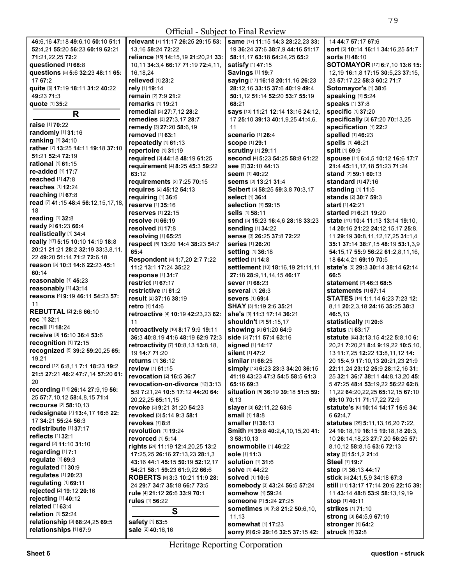**All Contracts** 

| 46:6,16 47:18 49:6,10 50:10 51:1    | relevant [7] 11:17 26:25 29:15 53:    | same [17] 11:15 14:3 28:22,23 33:                        | 14 44:7 57:17 67:6                     |
|-------------------------------------|---------------------------------------|----------------------------------------------------------|----------------------------------------|
| 52:4,21 55:20 56:23 60:19 62:21     | 13,16 58:24 72:22                     | 19 36:24 37:6 38:7,9 44:16 51:17                         | sort [5] 10:14 16:11 34:16,25 51:7     |
| 71:21,22,25 72:2                    | reliance [15] 14:15,19 21:20,21 33:   | 58:11,17 63:18 64:24,25 65:2                             | <b>sorts</b> [1] 48:10                 |
| questioned [1] 68:8                 | 10.11 34:3.4 66:17 71:19 72:4.11.     | satisfy [1] 47:15                                        | SOTOMAYOR [17] 6:7,10 13:6 15:         |
| questions [5] 5:6 32:23 48:11 65:   | 16,18,24                              | Savings [1] 19:7                                         | 12,19 16:1,8 17:15 30:5,23 37:15,      |
| 17 67:2                             | relieved [1] 23:2                     | saying [17] 16:18 20:11,16 26:23                         | 23 57:17,22 58:3 60:2 71:7             |
| quite [6] 17:19 18:11 31:2 40:22    | rely [1] 19:14                        | 28:12,16 33:15 37:6 40:19 49:4                           | Sotomayor's [1] 38:6                   |
| 49:23 71:3                          | remain [2] 7:9 21:2                   | 50:1,12 51:14 52:20 53:7 55:19                           | speaking [1] 5:24                      |
| quote [1] 35:2                      | remarks [1] 19:21                     | 68:21                                                    | speaks [1] 37:8                        |
|                                     | remedial [3] 27:7,12 28:2             | says [13] 11:21 12:14 13:16 24:12,                       | specific [1] 37:20                     |
| R                                   | remedies [3] 27:3,17 28:7             | 17 25:10 39:13 40:1,9,25 41:4,6,                         | specifically [3] 67:20 70:13,25        |
| raise [1] 70:22                     | remedy [3] 27:20 58:6,19              | 11                                                       | specification [1] 22:2                 |
| randomly [1] 31:16                  | removed [1] 63:1                      | Scenario [1] 26:4                                        | spelled [1] 46:23                      |
| ranking [1] 34:10                   | repeatedly [1] 61:13                  | <b>scope [1] 29:1</b>                                    | spells [1] 46:21                       |
| rather [7] 13:25 14:11 19:18 37:10  | repertoire [1] 31:19                  | <b>scrutiny</b> [1] 29:11                                | split [1] 69:9                         |
| 51:21 52:4 72:19                    | required [3] 44:18 48:19 61:25        | second [4] 5:23 54:25 58:8 61:22                         | spouse [11] 6:4,5 10:12 16:6 17:7      |
| <b>rational</b> [1] <b>61:15</b>    | requirement [4] 8:25 45:3 59:22       | see [2] 32:10 44:13                                      | 21:4 45:11,17,18 51:23 71:24           |
| re-added [1] 17:7                   | 63:12                                 |                                                          | stand [2] 59:1 60:13                   |
| reached [1] 47:8                    |                                       | <b>seem</b> [1] 40:22                                    |                                        |
| reaches [1] 12:24                   | requirements [2] 7:25 70:15           | <b>seems</b> [2] <b>13:21 31:4</b>                       | <b>standard</b> [1] <b>47:1</b> 6      |
| reaching [1] 67:8                   | requires [2] 45:12 54:13              | Seibert [5] 58:25 59:3,8 70:3,17                         | standing [1] 11:5                      |
| read [7] 41:15 48:4 56:12,15,17,18, | requiring [1] 36:6                    | select [1] 36:4                                          | stands [2] 30:7 59:3                   |
| 18                                  | reserve [1] 35:16                     | selection [1] 59:15                                      | start [1] 42:21                        |
| reading [1] 32:8                    | reserves [1] 22:15                    | sells [1] 58:11                                          | started [2] 6:21 19:20                 |
| ready [2] 61:23 66:4                | resolve [1] 66:19                     | send [5] 15:23 16:4,6 28:18 33:23                        | state [41] 10:4 11:13 13:14 19:10,     |
| realistically [1] 34:4              | resolved [1] 17:8                     | sending [1] 34:22                                        | 14 20:16 21:22 24:12,15,17 25:8,       |
| really [17] 5:15 10:10 14:19 18:8   | resolving [1] 65:25                   | sense [3] 26:25 37:8 72:22                               | 11 29:19 30:8,11,12,17,25 31:1,4       |
| 20:21 21:21 28:2 32:19 33:3,8,11,   | respect [5] 13:20 14:4 38:23 54:7     | series [1] 26:20                                         | 35:1 37:14 38:7,15 48:19 53:1,3,9      |
|                                     | 65:4                                  | setting [1] 36:18                                        | 54:15,17 55:9 56:22 61:2,8,11,16,      |
| 22 49:20 51:14 71:2 72:6,18         | Respondent [8] 1:7,20 2:7 7:22        | settled [1] 14:8                                         | 18 64:4,21 69:19 70:5                  |
| reason [5] 10:3 14:6 22:23 45:1     | 11:2 13:1 17:24 35:22                 | settlement [10] 18:16,19 21:11,11                        | state's [5] 29:3 30:14 38:14 62:14     |
| 60:14                               | response [1] 31:7                     | 27:18 28:9,11,14,15 46:17                                | 66:5                                   |
| reasonable [1] 45:23                | restrict [1] 67:17                    | <b>sever</b> [1] 68:23                                   | <b>statement</b> [2] <b>46:3 68:</b> 5 |
| reasonably [1] 43:14                | restrictive [1] 61:2                  | <b>several</b> [1] 26:3                                  | statements [1] 67:14                   |
| reasons [4] 9:19 46:11 54:23 57:    | result [2] 37:16 38:19                | <b>severs</b> [1] 69:4                                   | STATES [14] 1:1,14 6:23 7:23 12:       |
| 11                                  | <b>retro</b> [1] <b>14:</b> 6         | <b>SHAY</b> [3] <b>1:19 2:6 35:21</b>                    | 8,11 20:2,3,18 24:16 35:25 38:3        |
| <b>REBUTTAL [2] 2:8 66:10</b>       | retroactive [4] 10:19 42:23,23 62:    | she's [3] 11:3 17:14 36:21                               | 46:5,13                                |
| rec [1] 32:1                        | 11                                    | shouldn't [2] 51:15,17                                   | statistically [1] 20:6                 |
| recall [1] 18:24                    | retroactively [10] 8:17 9:9 19:11     | showing [2] 61:20 64:9                                   | <b>status</b> [1] <b>63:</b> 17        |
| receive [3] 16:10 36:4 53:6         | 36:3 40:8,19 41:6 48:19 62:9 72:3     | side [3] 7:11 57:4 63:16                                 | statute [62] 3:13,15 4:22 5:8,10 6:    |
| recognition [1] 72:15               | retroactivity [7] 10:8,13 13:8,18,    | signed [1] 14:17                                         | 20,21 7:20,21 8:4 9:19,22 10:5,10,     |
| recognized [5] 39:2 59:20,25 65:    | 19 14:7 71:20                         | silent [1] 47:2                                          | 13 11:7,25 12:22 13:8,11,12 14:        |
| 19,21                               | <b>returns</b> [1] 36:12              | similar [1] 66:25                                        | 20 15:4,9 17:10,13 20:21,23 21:9       |
| record [12] 6:8,11 7:1 18:23 19:2   | review [1] 61:15                      | simply [12] 6:23 23:3 34:20 36:15                        | 22:11,24 23:12 25:9 28:12,16 31:       |
| 21:5 27:21 46:2 47:7,14 57:20 61:   | revocation [2] 16:5 36:7              | 41:18 43:23 47:3 54:5 58:5 61:3                          | 25 32:1 36:7 38:11 44:8,13,20 45:      |
| 20                                  | revocation-on-divorce [12] 3:13       | 65:16 69:3                                               | 5 47:25 48:4 53:19,22 56:22 62:8,      |
| recording [11] 26:14 27:9,19 56:    | 5:9 7:21,24 10:5 17:12 44:20 64:      | situation [5] 36:19 39:18 51:5 59:                       | 11,22 64:20,22,25 65:12,15 67:10       |
| 25 57:7,10,12 58:4,8,15 71:4        | 20, 22, 25 65: 11, 15                 | 6,13                                                     | 69:10 70:11 71:17,22 72:9              |
| recourse [2] 58:10,13               | revoke [3] 9:21 31:20 54:23           | slayer [3] 62:11,22 63:6                                 | statute's [6] 10:14 14:17 15:6 34:     |
| redesignate [7] 13:4,17 16:6 22:    | revoked [3] 5:14 9:3 58:1             | small [1] 18:8                                           | 6 62:4,7                               |
| 17 34:21 55:24 56:3                 | revokes [1] 8:8                       | smaller [1] 36:13                                        | statutes [26] 5:11, 13, 16, 20 7:22,   |
| redistribute [1] 37:17              | revolution [1] 19:24                  | Smith [9] 39:8 40:2,4,10,15,20 41:                       | 24 10:18,19 16:15 19:18,18 20:3,       |
| reflects $[1]$ 32:1                 | revorced [1] 5:14                     | 3 58:10.13                                               | 10 26:14, 18, 23 27: 7, 20 56: 25 57:  |
| regard [2] 11:10 31:10              | rights [24] 11:19 12:4,20,25 13:2     | snowmobile [1] 46:22                                     | 8,10,12 58:8,15 63:6 72:13             |
| regarding [1] 7:1                   | 17:25,25 26:16 27:13,23 28:1,3        | sole [1] 11:3                                            | stay [3] 15:1,2 21:4                   |
| regulate [1] 69:3                   | 43:16 44:1 45:15 50:19 52:12.17       | solution $[1]$ 31:6                                      | Steel [1] 19:7                         |
| regulated [1] 30:9                  | 54:21 58:1 59:23 61:9,22 66:6         | <b>solve</b> [1] <b>44:</b> 22                           | step [2] 36:13 44:17                   |
| regulates [1] 20:23                 | <b>ROBERTS [9] 3:3 10:21 11:9 28:</b> | <b>solved</b> [1] 10:6                                   | stick [5] 24:1,5,9 34:18 67:3          |
| regulating [1] 69:11                | 24 29:7 34:7 35:18 66:7 73:5          | somebody [3] 43:24 56:5 57:24                            | still [11] 13:17 17:14 20:6 22:15 39:  |
| rejected [2] 19:12 20:16            | rule [4] 21:12 26:6 33:9 70:1         | somehow [1] 59:24                                        | 11 43:14 48:8 53:9 58:13,19,19         |
| rejecting [1] 40:12                 | rules [1] 56:22                       | <b>someone</b> [2] 5:24 27:25                            | stop [1] 40:11                         |
| related [1] 63:4                    |                                       | sometimes [6] 7:8 21:2 50:6,10,                          | strikes [1] 71:10                      |
| relation [1] 52:24                  | S                                     | 11,13                                                    | <b>strong</b> [3] <b>64:5,9 67:19</b>  |
| relationship [3] 68:24,25 69:5      | safety [1] 63:5                       |                                                          |                                        |
|                                     |                                       |                                                          |                                        |
| relationships [1] 67:9              | sale [2] 40:16,16                     | somewhat [1] 17:23<br>SOrry [8] 6:9 29:16 32:5 37:15 42: | stronger [1] 64:2<br>struck [1] 32:8   |